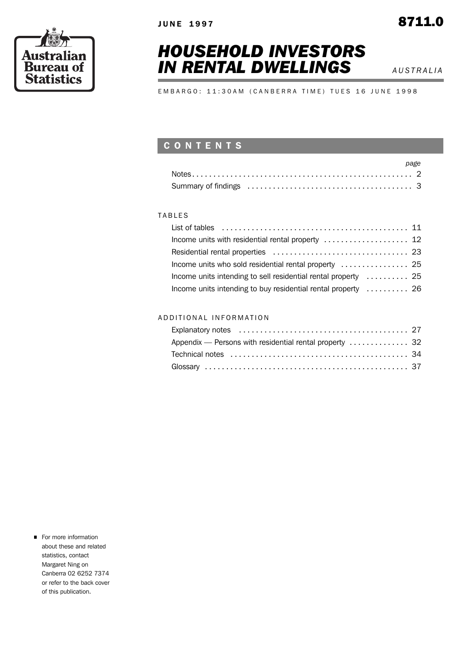*HOUSEHOLD INVESTORS* 

*IN RENTAL DWELLINGS AUSTRALIA***</del>** 

EMBARGO: 11:30AM (CANBERRA TIME) TUES 16 JUNE 1998

# C O N T E N T S

|  |  | page |
|--|--|------|
|  |  |      |
|  |  |      |

# **TABLES**

| Income units who sold residential rental property  25          |  |
|----------------------------------------------------------------|--|
| Income units intending to sell residential rental property  25 |  |
| Income units intending to buy residential rental property  26  |  |

# A D D I T I O N A L I N F O R M A T I O N

| Appendix — Persons with residential rental property  32 |  |
|---------------------------------------------------------|--|
|                                                         |  |
|                                                         |  |

**For more information** about these and related statistics, contact Margaret Ning on Canberra 02 6252 7374 or refer to the back cover of this publication.

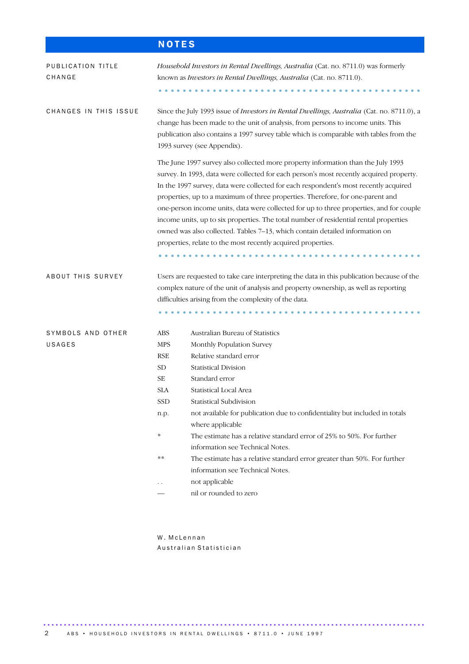|                             | <b>NOTES</b>                                                                                                                                                                                                                                                                                                                                                                                                                                                                                                                                                                                                                                                                              |  |  |  |  |
|-----------------------------|-------------------------------------------------------------------------------------------------------------------------------------------------------------------------------------------------------------------------------------------------------------------------------------------------------------------------------------------------------------------------------------------------------------------------------------------------------------------------------------------------------------------------------------------------------------------------------------------------------------------------------------------------------------------------------------------|--|--|--|--|
| PUBLICATION TITLE<br>CHANGE | Household Investors in Rental Dwellings, Australia (Cat. no. 8711.0) was formerly<br>known as Investors in Rental Dwellings, Australia (Cat. no. 8711.0).                                                                                                                                                                                                                                                                                                                                                                                                                                                                                                                                 |  |  |  |  |
| CHANGES IN THIS ISSUE       | Since the July 1993 issue of <i>Investors in Rental Dwellings, Australia</i> (Cat. no. 8711.0), a<br>change has been made to the unit of analysis, from persons to income units. This<br>publication also contains a 1997 survey table which is comparable with tables from the<br>1993 survey (see Appendix).                                                                                                                                                                                                                                                                                                                                                                            |  |  |  |  |
|                             | The June 1997 survey also collected more property information than the July 1993<br>survey. In 1993, data were collected for each person's most recently acquired property.<br>In the 1997 survey, data were collected for each respondent's most recently acquired<br>properties, up to a maximum of three properties. Therefore, for one-parent and<br>one-person income units, data were collected for up to three properties, and for couple<br>income units, up to six properties. The total number of residential rental properties<br>owned was also collected. Tables 7–13, which contain detailed information on<br>properties, relate to the most recently acquired properties. |  |  |  |  |
| ABOUT THIS SURVEY           | Users are requested to take care interpreting the data in this publication because of the<br>complex nature of the unit of analysis and property ownership, as well as reporting<br>difficulties arising from the complexity of the data.                                                                                                                                                                                                                                                                                                                                                                                                                                                 |  |  |  |  |
| SYMBOLS AND OTHER<br>USAGES | Australian Bureau of Statistics<br><b>ABS</b><br><b>MPS</b><br>Monthly Population Survey<br><b>RSE</b><br>Relative standard error<br>SD<br><b>Statistical Division</b><br><b>SE</b><br>Standard error<br><b>SLA</b><br>Statistical Local Area<br>SSD<br>Statistical Subdivision<br>not available for publication due to confidentiality but included in totals<br>n.p.<br>where applicable<br>*<br>The estimate has a relative standard error of 25% to 50%. For further<br>information see Technical Notes.<br>**<br>The estimate has a relative standard error greater than 50%. For further<br>information see Technical Notes.<br>not applicable<br>nil or rounded to zero            |  |  |  |  |

W. McLennan Australian Statistician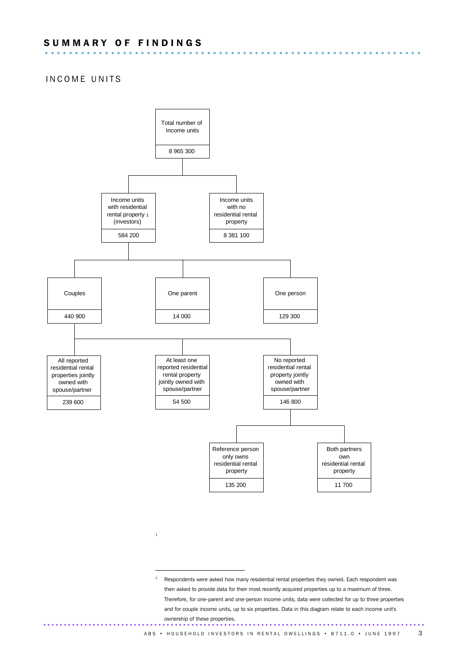# INCOME UNITS



1

 $1$  Respondents were asked how many residential rental properties they owned. Each respondent was then asked to provide data for their most recently acquired properties up to a maximum of three. Therefore, for one-parent and one-person income units, data were collected for up to three properties and for couple income units, up to six properties. Data in this diagram relate to each income unit's ownership of these properties. .............................................................................................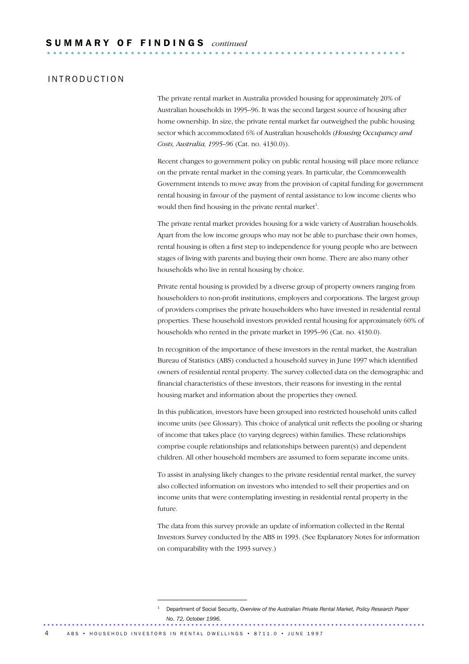# I N T R O D U C T I O N

The private rental market in Australia provided housing for approximately 20% of Australian households in 1995–96. It was the second largest source of housing after home ownership. In size, the private rental market far outweighed the public housing sector which accommodated 6% of Australian households (*Housing Occupancy and Costs, Australia, 1995–96* (Cat. no. 4130.0)).

Recent changes to government policy on public rental housing will place more reliance on the private rental market in the coming years. In particular, the Commonwealth Government intends to move away from the provision of capital funding for government rental housing in favour of the payment of rental assistance to low income clients who would then find housing in the private rental market<sup>1</sup>.

The private rental market provides housing for a wide variety of Australian households. Apart from the low income groups who may not be able to purchase their own homes, rental housing is often a first step to independence for young people who are between stages of living with parents and buying their own home. There are also many other households who live in rental housing by choice.

Private rental housing is provided by a diverse group of property owners ranging from householders to non-profit institutions, employers and corporations. The largest group of providers comprises the private householders who have invested in residential rental properties. These household investors provided rental housing for approximately 60% of households who rented in the private market in 1995–96 (Cat. no. 4130.0).

In recognition of the importance of these investors in the rental market, the Australian Bureau of Statistics (ABS) conducted a household survey in June 1997 which identified owners of residential rental property. The survey collected data on the demographic and financial characteristics of these investors, their reasons for investing in the rental housing market and information about the properties they owned.

In this publication, investors have been grouped into restricted household units called income units (see Glossary). This choice of analytical unit reflects the pooling or sharing of income that takes place (to varying degrees) within families. These relationships comprise couple relationships and relationships between parent(s) and dependent children. All other household members are assumed to form separate income units.

To assist in analysing likely changes to the private residential rental market, the survey also collected information on investors who intended to sell their properties and on income units that were contemplating investing in residential rental property in the future.

The data from this survey provide an update of information collected in the Rental Investors Survey conducted by the ABS in 1993. (See Explanatory Notes for information on comparability with the 1993 survey.)

<sup>1</sup> Department of Social Security, *Overview of the Australian Private Rental Market, Policy Research Paper No. 72, October 1996.* .............................................................................................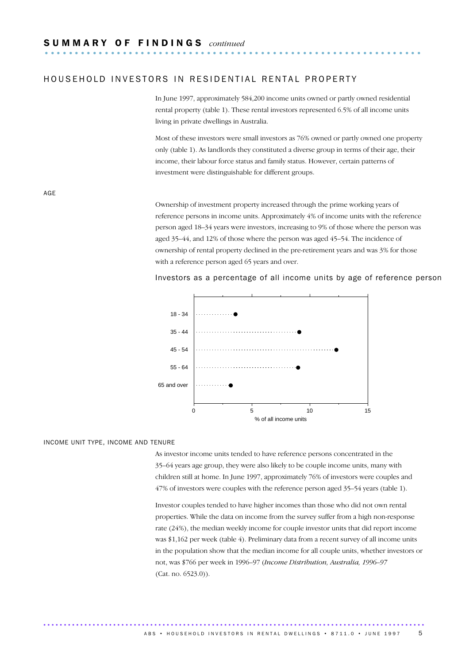# HOUSEHOLD INVESTORS IN RESIDENTIAL RENTAL PROPERTY

In June 1997, approximately 584,200 income units owned or partly owned residential rental property (table 1). These rental investors represented 6.5% of all income units living in private dwellings in Australia.

Most of these investors were small investors as 76% owned or partly owned one property only (table 1). As landlords they constituted a diverse group in terms of their age, their income, their labour force status and family status. However, certain patterns of investment were distinguishable for different groups.

AGE

Ownership of investment property increased through the prime working years of reference persons in income units. Approximately 4% of income units with the reference person aged 18–34 years were investors, increasing to 9% of those where the person was aged 35–44, and 12% of those where the person was aged 45–54. The incidence of ownership of rental property declined in the pre-retirement years and was 3% for those with a reference person aged 65 years and over.

#### Investors as a percentage of all income units by age of reference person



#### INCOME UNIT TYPE, INCOME AND TENURE

As investor income units tended to have reference persons concentrated in the 35–64 years age group, they were also likely to be couple income units, many with children still at home. In June 1997, approximately 76% of investors were couples and 47% of investors were couples with the reference person aged 35–54 years (table 1).

Investor couples tended to have higher incomes than those who did not own rental properties. While the data on income from the survey suffer from a high non-response rate (24%), the median weekly income for couple investor units that did report income was \$1,162 per week (table 4). Preliminary data from a recent survey of all income units in the population show that the median income for all couple units, whether investors or not, was \$766 per week in 1996–97 (*Income Distribution, Australia, 1996–97* (Cat. no. 6523.0)).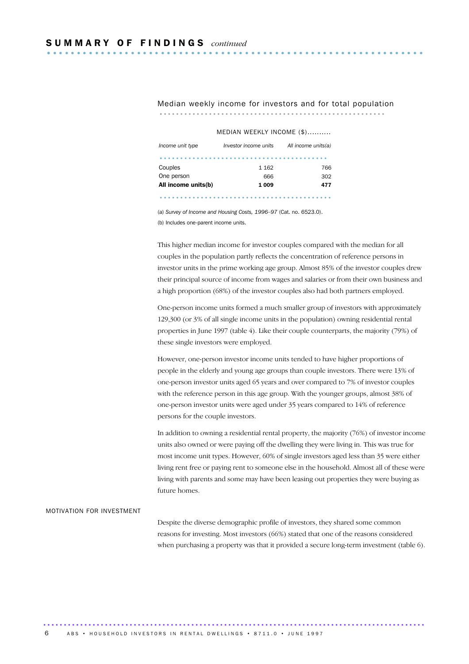#### Median weekly income for investors and for total population ....................................................... .

|                     | MEDIAN WEEKLY INCOME (\$) |                     |
|---------------------|---------------------------|---------------------|
| Income unit type    | Investor income units     | All income units(a) |
|                     |                           |                     |
| Couples             | 1 1 6 2                   | 766                 |
| One person          | 666                       | 302                 |
| All income units(b) | 1 009                     | 477                 |

..........................................

(a) *Survey of Income and Housing Costs, 1996–97* (Cat. no. 6523.0). (b) Includes one-parent income units.

This higher median income for investor couples compared with the median for all couples in the population partly reflects the concentration of reference persons in investor units in the prime working age group. Almost 85% of the investor couples drew their principal source of income from wages and salaries or from their own business and a high proportion (68%) of the investor couples also had both partners employed.

One-person income units formed a much smaller group of investors with approximately 129,300 (or 3% of all single income units in the population) owning residential rental properties in June 1997 (table 4). Like their couple counterparts, the majority (79%) of these single investors were employed.

However, one-person investor income units tended to have higher proportions of people in the elderly and young age groups than couple investors. There were 13% of one-person investor units aged 65 years and over compared to 7% of investor couples with the reference person in this age group. With the younger groups, almost 38% of one-person investor units were aged under 35 years compared to 14% of reference persons for the couple investors.

In addition to owning a residential rental property, the majority (76%) of investor income units also owned or were paying off the dwelling they were living in. This was true for most income unit types. However, 60% of single investors aged less than 35 were either living rent free or paying rent to someone else in the household. Almost all of these were living with parents and some may have been leasing out properties they were buying as future homes.

#### MOTIVATION FOR INVESTMENT

Despite the diverse demographic profile of investors, they shared some common reasons for investing. Most investors (66%) stated that one of the reasons considered when purchasing a property was that it provided a secure long-term investment (table 6).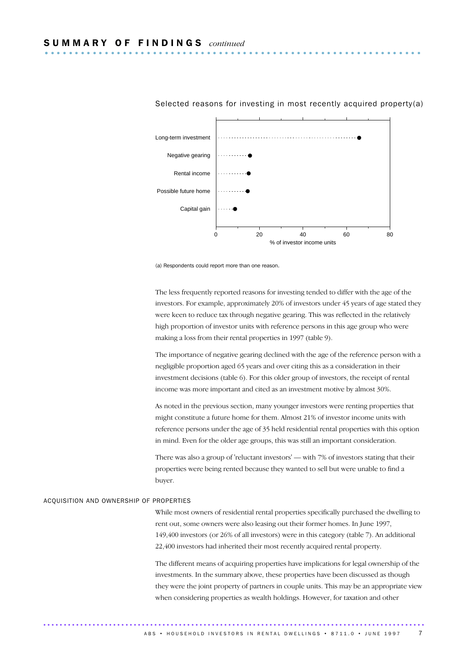

#### Selected reasons for investing in most recently acquired property(a)



The less frequently reported reasons for investing tended to differ with the age of the investors. For example, approximately 20% of investors under 45 years of age stated they were keen to reduce tax through negative gearing. This was reflected in the relatively high proportion of investor units with reference persons in this age group who were making a loss from their rental properties in 1997 (table 9).

The importance of negative gearing declined with the age of the reference person with a negligible proportion aged 65 years and over citing this as a consideration in their investment decisions (table 6). For this older group of investors, the receipt of rental income was more important and cited as an investment motive by almost 30%.

As noted in the previous section, many younger investors were renting properties that might constitute a future home for them. Almost 21% of investor income units with reference persons under the age of 35 held residential rental properties with this option in mind. Even for the older age groups, this was still an important consideration.

There was also a group of 'reluctant investors' — with 7% of investors stating that their properties were being rented because they wanted to sell but were unable to find a buyer.

#### ACQUISITION AND OWNERSHIP OF PROPERTIES

While most owners of residential rental properties specifically purchased the dwelling to rent out, some owners were also leasing out their former homes. In June 1997, 149,400 investors (or 26% of all investors) were in this category (table 7). An additional 22,400 investors had inherited their most recently acquired rental property.

The different means of acquiring properties have implications for legal ownership of the investments. In the summary above, these properties have been discussed as though they were the joint property of partners in couple units. This may be an appropriate view when considering properties as wealth holdings. However, for taxation and other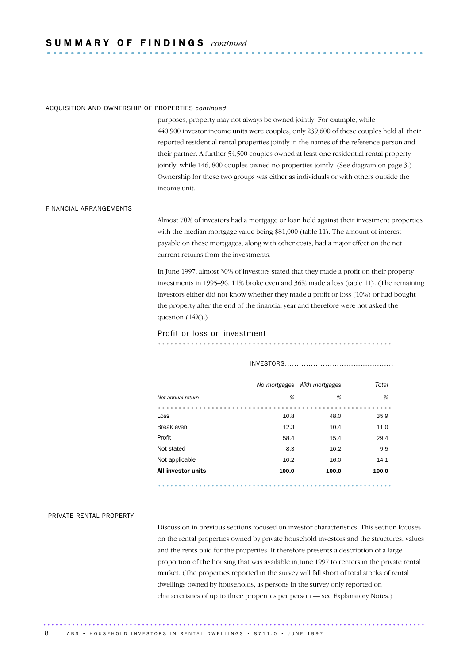# S U M M A R Y O F F I N D I N G S *continued* ............................................................... .

#### ACQUISITION AND OWNERSHIP OF PROPERTIES *continued*

purposes, property may not always be owned jointly. For example, while 440,900 investor income units were couples, only 239,600 of these couples held all their reported residential rental properties jointly in the names of the reference person and their partner. A further 54,500 couples owned at least one residential rental property jointly, while 146, 800 couples owned no properties jointly. (See diagram on page 3.) Ownership for these two groups was either as individuals or with others outside the income unit.

#### FINANCIAL ARRANGEMENTS

Almost 70% of investors had a mortgage or loan held against their investment properties with the median mortgage value being \$81,000 (table 11). The amount of interest payable on these mortgages, along with other costs, had a major effect on the net current returns from the investments.

In June 1997, almost 30% of investors stated that they made a profit on their property investments in 1995–96, 11% broke even and 36% made a loss (table 11). (The remaining investors either did not know whether they made a profit or loss (10%) or had bought the property after the end of the financial year and therefore were not asked the question  $(14%)$ .)

#### Profit or loss on investment

.........................................................

INVESTORS..............................................

|                    |       | No mortgages With mortgages | Total |
|--------------------|-------|-----------------------------|-------|
| Net annual return  | %     | %                           | %     |
|                    |       |                             |       |
| Loss               | 10.8  | 48.0                        | 35.9  |
| Break even         | 12.3  | 10.4                        | 11.0  |
| Profit             | 58.4  | 15.4                        | 29.4  |
| Not stated         | 8.3   | 10.2                        | 9.5   |
| Not applicable     | 10.2  | 16.0                        | 14.1  |
| All investor units | 100.0 | 100.0                       | 100.0 |

.........................................................

#### PRIVATE RENTAL PROPERTY

Discussion in previous sections focused on investor characteristics. This section focuses on the rental properties owned by private household investors and the structures, values and the rents paid for the properties. It therefore presents a description of a large proportion of the housing that was available in June 1997 to renters in the private rental market. (The properties reported in the survey will fall short of total stocks of rental dwellings owned by households, as persons in the survey only reported on characteristics of up to three properties per person — see Explanatory Notes.)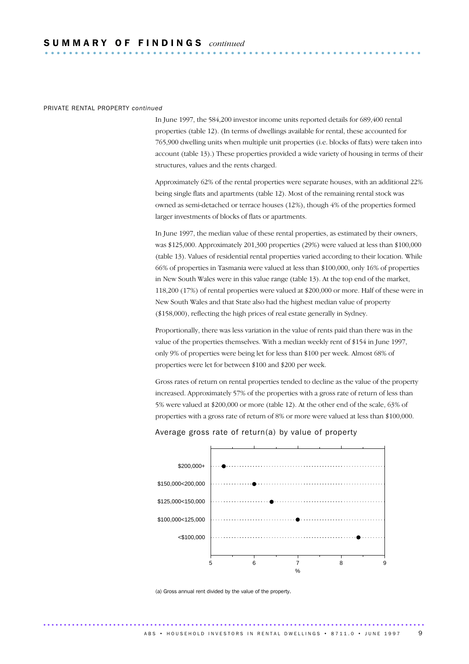#### PRIVATE RENTAL PROPERTY *continued*

In June 1997, the 584,200 investor income units reported details for 689,400 rental properties (table 12). (In terms of dwellings available for rental, these accounted for 765,900 dwelling units when multiple unit properties (i.e. blocks of flats) were taken into account (table 13).) These properties provided a wide variety of housing in terms of their structures, values and the rents charged.

Approximately 62% of the rental properties were separate houses, with an additional 22% being single flats and apartments (table 12). Most of the remaining rental stock was owned as semi-detached or terrace houses (12%), though 4% of the properties formed larger investments of blocks of flats or apartments.

In June 1997, the median value of these rental properties, as estimated by their owners, was \$125,000. Approximately 201,300 properties (29%) were valued at less than \$100,000 (table 13). Values of residential rental properties varied according to their location. While 66% of properties in Tasmania were valued at less than \$100,000, only 16% of properties in New South Wales were in this value range (table 13). At the top end of the market, 118,200 (17%) of rental properties were valued at \$200,000 or more. Half of these were in New South Wales and that State also had the highest median value of property (\$158,000), reflecting the high prices of real estate generally in Sydney.

Proportionally, there was less variation in the value of rents paid than there was in the value of the properties themselves. With a median weekly rent of \$154 in June 1997, only 9% of properties were being let for less than \$100 per week. Almost 68% of properties were let for between \$100 and \$200 per week.

Gross rates of return on rental properties tended to decline as the value of the property increased. Approximately 57% of the properties with a gross rate of return of less than 5% were valued at \$200,000 or more (table 12). At the other end of the scale, 63% of properties with a gross rate of return of 8% or more were valued at less than \$100,000.

#### Average gross rate of return(a) by value of property



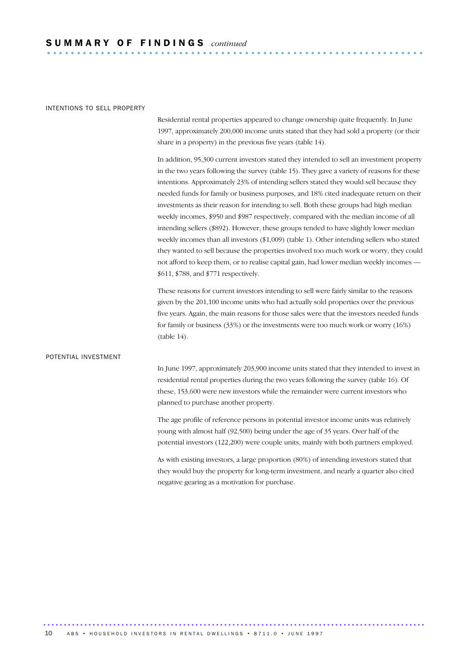#### INTENTIONS TO SELL PROPERTY

Residential rental properties appeared to change ownership quite frequently. In June 1997, approximately 200,000 income units stated that they had sold a property (or their share in a property) in the previous five years (table 14).

In addition, 95,300 current investors stated they intended to sell an investment property in the two years following the survey (table 15). They gave a variety of reasons for these intentions. Approximately 23% of intending sellers stated they would sell because they needed funds for family or business purposes, and 18% cited inadequate return on their investments as their reason for intending to sell. Both these groups had high median weekly incomes, \$950 and \$987 respectively, compared with the median income of all intending sellers (\$892). However, these groups tended to have slightly lower median weekly incomes than all investors (\$1,009) (table 1). Other intending sellers who stated they wanted to sell because the properties involved too much work or worry, they could not afford to keep them, or to realise capital gain, had lower median weekly incomes — \$611, \$788, and \$771 respectively.

These reasons for current investors intending to sell were fairly similar to the reasons given by the 201,100 income units who had actually sold properties over the previous five years. Again, the main reasons for those sales were that the investors needed funds for family or business (33%) or the investments were too much work or worry (16%)  $(table 14)$ .

#### POTENTIAL INVESTMENT

In June 1997, approximately 203,900 income units stated that they intended to invest in residential rental properties during the two years following the survey (table 16). Of these, 153,600 were new investors while the remainder were current investors who planned to purchase another property.

The age profile of reference persons in potential investor income units was relatively young with almost half (92,500) being under the age of 35 years. Over half of the potential investors (122,200) were couple units, mainly with both partners employed.

As with existing investors, a large proportion (80%) of intending investors stated that they would buy the property for long-term investment, and nearly a quarter also cited negative gearing as a motivation for purchase.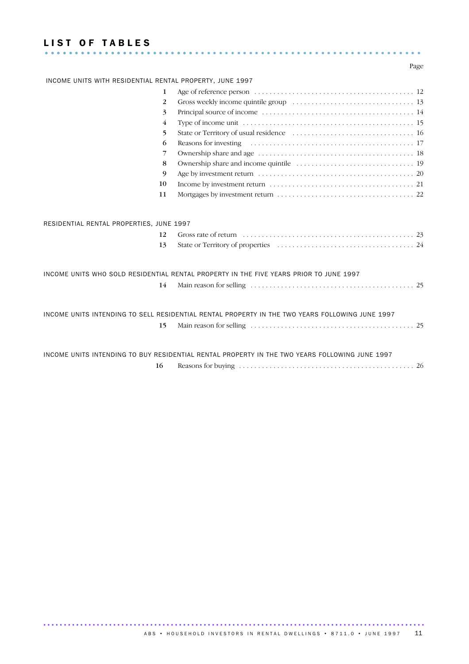# LIST OF TABLES ............................................................... .........................

Page

| INCOME UNITS WITH RESIDENTIAL RENTAL PROPERTY, JUNE 1997 |                                                                                                                      |
|----------------------------------------------------------|----------------------------------------------------------------------------------------------------------------------|
| 1                                                        |                                                                                                                      |
| 2                                                        |                                                                                                                      |
| 3                                                        |                                                                                                                      |
| $\overline{4}$                                           |                                                                                                                      |
| 5                                                        |                                                                                                                      |
| 6                                                        |                                                                                                                      |
| 7                                                        |                                                                                                                      |
| 8                                                        |                                                                                                                      |
| 9                                                        |                                                                                                                      |
| 10                                                       |                                                                                                                      |
| 11                                                       |                                                                                                                      |
| RESIDENTIAL RENTAL PROPERTIES, JUNE 1997<br>12<br>13     | Gross rate of return $\ldots \ldots \ldots \ldots \ldots \ldots \ldots \ldots \ldots \ldots \ldots \ldots \ldots$ 23 |
|                                                          | INCOME UNITS WHO SOLD RESIDENTIAL RENTAL PROPERTY IN THE FIVE YEARS PRIOR TO JUNE 1997                               |
| 14                                                       |                                                                                                                      |
| 15                                                       | INCOME UNITS INTENDING TO SELL RESIDENTIAL RENTAL PROPERTY IN THE TWO YEARS FOLLOWING JUNE 1997                      |
|                                                          | INCOME UNITS INTENDING TO BUY RESIDENTIAL RENTAL PROPERTY IN THE TWO YEARS FOLLOWING JUNE 1997                       |
| 16                                                       |                                                                                                                      |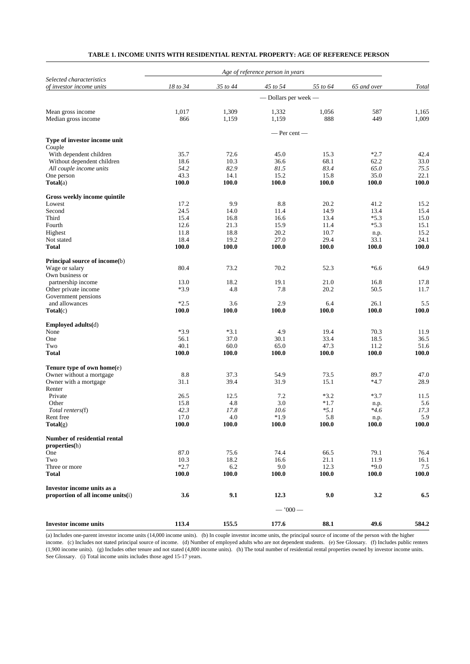|                                        |          |          | Age of reference person in years |          |             |       |
|----------------------------------------|----------|----------|----------------------------------|----------|-------------|-------|
| Selected characteristics               |          |          |                                  |          |             |       |
| of investor income units               | 18 to 34 | 35 to 44 | 45 to 54                         | 55 to 64 | 65 and over | Total |
|                                        |          |          | - Dollars per week -             |          |             |       |
| Mean gross income                      | 1,017    | 1,309    | 1,332                            | 1,056    | 587         | 1,165 |
| Median gross income                    | 866      | 1,159    | 1,159                            | 888      | 449         | 1,009 |
|                                        |          |          |                                  |          |             |       |
|                                        |          |          | — Per cent —                     |          |             |       |
| Type of investor income unit<br>Couple |          |          |                                  |          |             |       |
| With dependent children                | 35.7     | 72.6     | 45.0                             | 15.3     | $*2.7$      | 42.4  |
| Without dependent children             | 18.6     | 10.3     | 36.6                             | 68.1     | 62.2        | 33.0  |
| All couple income units                | 54.2     | 82.9     | 81.5                             | 83.4     | 65.0        | 75.5  |
| One person                             | 43.3     | 14.1     | 15.2                             | 15.8     | 35.0        | 22.1  |
| $\textbf{Total}(a)$                    | 100.0    | 100.0    | 100.0                            | 100.0    | 100.0       | 100.0 |
| Gross weekly income quintile           |          |          |                                  |          |             |       |
| Lowest                                 | 17.2     | 9.9      | 8.8                              | 20.2     | 41.2        | 15.2  |
| Second                                 | 24.5     | 14.0     | 11.4                             | 14.9     | 13.4        | 15.4  |
| Third                                  | 15.4     | 16.8     | 16.6                             | 13.4     | $*5.3$      | 15.0  |
| Fourth                                 | 12.6     | 21.3     | 15.9                             | 11.4     | $*5.3$      | 15.1  |
| Highest                                | 11.8     | 18.8     | 20.2                             | 10.7     | n.p.        | 15.2  |
| Not stated                             | 18.4     | 19.2     | 27.0                             | 29.4     | 33.1        | 24.1  |
| <b>Total</b>                           | 100.0    | 100.0    | 100.0                            | 100.0    | 100.0       | 100.0 |
| Principal source of income(b)          |          |          |                                  |          |             |       |
| Wage or salary                         | 80.4     | 73.2     | 70.2                             | 52.3     | $*6.6$      | 64.9  |
| Own business or                        |          |          |                                  |          |             |       |
| partnership income                     | 13.0     | 18.2     | 19.1                             | 21.0     | 16.8        | 17.8  |
| Other private income                   | *3.9     | 4.8      | 7.8                              | 20.2     | 50.5        | 11.7  |
| Government pensions                    |          |          |                                  |          |             |       |
| and allowances                         | $*2.5$   | 3.6      | 2.9                              | 6.4      | 26.1        | 5.5   |
| Total(c)                               | 100.0    | 100.0    | 100.0                            | 100.0    | 100.0       | 100.0 |
| Employed adults(d)                     |          |          |                                  |          |             |       |
| None                                   | $*3.9$   | $*3.1$   | 4.9                              | 19.4     | 70.3        | 11.9  |
| One                                    | 56.1     | 37.0     | 30.1                             | 33.4     | 18.5        | 36.5  |
| Two                                    | 40.1     | 60.0     | 65.0                             | 47.3     | 11.2        | 51.6  |
| <b>Total</b>                           | 100.0    | 100.0    | 100.0                            | 100.0    | 100.0       | 100.0 |
| Tenure type of own home(e)             |          |          |                                  |          |             |       |
| Owner without a mortgage               | 8.8      | 37.3     | 54.9                             | 73.5     | 89.7        | 47.0  |
| Owner with a mortgage                  | 31.1     | 39.4     | 31.9                             | 15.1     | $*4.7$      | 28.9  |
| Renter                                 |          |          |                                  |          |             |       |
| Private                                | 26.5     | 12.5     | 7.2                              | $*3.2$   | $*3.7$      | 11.5  |
| Other                                  | 15.8     | 4.8      | 3.0                              | $*1.7$   | n.p.        | 5.6   |
| Total renters(f)                       | 42.3     | 17.8     | 10.6                             | $*5.1$   | $*4.6$      | 17.3  |
| Rent free                              | 17.0     | 4.0      | $*1.9$                           | 5.8      | n.p.        | 5.9   |
| Total(g)                               | 100.0    | 100.0    | 100.0                            | 100.0    | 100.0       | 100.0 |
| Number of residential rental           |          |          |                                  |          |             |       |
| properties(h)                          |          |          |                                  |          |             |       |
| One                                    | 87.0     | 75.6     | 74.4                             | 66.5     | 79.1        | 76.4  |
| Two                                    | 10.3     | 18.2     | 16.6                             | 21.1     | 11.9        | 16.1  |
| Three or more                          | $*2.7$   | 6.2      | 9.0                              | 12.3     | $*9.0$      | 7.5   |
| <b>Total</b>                           | 100.0    | 100.0    | 100.0                            | 100.0    | 100.0       | 100.0 |
| Investor income units as a             |          |          |                                  |          |             |       |
| proportion of all income units(i)      | 3.6      | 9.1      | 12.3                             | 9.0      | 3.2         | 6.5   |
|                                        |          |          |                                  |          |             |       |
|                                        |          |          | $-1000-$                         |          |             |       |
| <b>Investor income units</b>           | 113.4    | 155.5    | 177.6                            | 88.1     | 49.6        | 584.2 |

# **TABLE 1. INCOME UNITS WITH RESIDENTIAL RENTAL PROPERTY: AGE OF REFERENCE PERSON**

(a) Includes one-parent investor income units (14,000 income units). (b) In couple investor income units, the principal source of income of the person with the higher income. (c) Includes not stated principal source of income. (d) Number of employed adults who are not dependent students. (e) See Glossary. (f) Includes public renters (1,900 income units). (g) Includes other tenure and not stated (4,800 income units). (h) The total number of residential rental properties owned by investor income units. See Glossary. (i) Total income units includes those aged 15-17 years.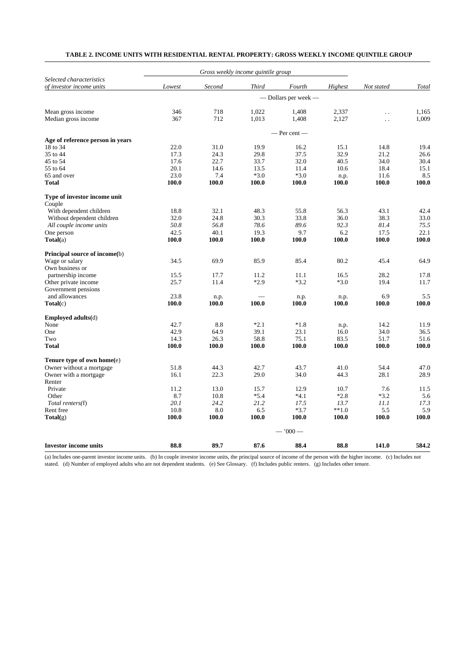| TABLE 2. INCOME UNITS WITH RESIDENTIAL RENTAL PROPERTY: GROSS WEEKLY INCOME QUINTILE GROUP |  |
|--------------------------------------------------------------------------------------------|--|
|--------------------------------------------------------------------------------------------|--|

|                                                      |                      |        | Gross weekly income quintile group |                  |         |                      |       |  |  |
|------------------------------------------------------|----------------------|--------|------------------------------------|------------------|---------|----------------------|-------|--|--|
| Selected characteristics<br>of investor income units | Lowest               | Second | <b>Third</b>                       | Fourth           | Highest | Not stated           | Total |  |  |
|                                                      | - Dollars per week - |        |                                    |                  |         |                      |       |  |  |
| Mean gross income                                    | 346                  | 718    | 1,022                              | 1,408            | 2,337   | $\ddotsc$            | 1,165 |  |  |
| Median gross income                                  | 367                  | 712    | 1,013                              | 1,408            | 2,127   | $\ddot{\phantom{0}}$ | 1,009 |  |  |
|                                                      |                      |        |                                    | $-$ Per cent $-$ |         |                      |       |  |  |
| Age of reference person in years                     |                      |        |                                    |                  |         |                      |       |  |  |
| 18 to 34                                             | 22.0                 | 31.0   | 19.9                               | 16.2             | 15.1    | 14.8                 | 19.4  |  |  |
| 35 to 44                                             | 17.3                 | 24.3   | 29.8                               | 37.5             | 32.9    | 21.2                 | 26.6  |  |  |
| 45 to 54                                             | 17.6                 | 22.7   | 33.7                               | 32.0             | 40.5    | 34.0                 | 30.4  |  |  |
| 55 to 64                                             | 20.1                 | 14.6   | 13.5                               | 11.4             | 10.6    | 18.4                 | 15.1  |  |  |
| 65 and over                                          | 23.0                 | 7.4    | $*3.0$                             | $*3.0$           | n.p.    | 11.6                 | 8.5   |  |  |
| <b>Total</b>                                         | 100.0                | 100.0  | 100.0                              | 100.0            | 100.0   | 100.0                | 100.0 |  |  |
| Type of investor income unit                         |                      |        |                                    |                  |         |                      |       |  |  |
| Couple                                               |                      |        |                                    |                  |         |                      |       |  |  |
| With dependent children                              | 18.8                 | 32.1   | 48.3                               | 55.8             | 56.3    | 43.1                 | 42.4  |  |  |
| Without dependent children                           | 32.0                 | 24.8   | 30.3                               | 33.8             | 36.0    | 38.3                 | 33.0  |  |  |
| All couple income units                              | 50.8                 | 56.8   | 78.6                               | 89.6             | 92.3    | 81.4                 | 75.5  |  |  |
| One person                                           | 42.5                 | 40.1   | 19.3                               | 9.7              | 6.2     | 17.5                 | 22.1  |  |  |
| $\textbf{Total}(a)$                                  | 100.0                | 100.0  | 100.0                              | 100.0            | 100.0   | 100.0                | 100.0 |  |  |
| Principal source of income(b)                        |                      |        |                                    |                  |         |                      |       |  |  |
| Wage or salary                                       | 34.5                 | 69.9   | 85.9                               | 85.4             | 80.2    | 45.4                 | 64.9  |  |  |
| Own business or                                      |                      |        |                                    |                  |         |                      |       |  |  |
| partnership income                                   | 15.5                 | 17.7   | 11.2                               | 11.1             | 16.5    | 28.2                 | 17.8  |  |  |
| Other private income                                 | 25.7                 | 11.4   | $*2.9$                             | $*3.2$           | $*3.0$  | 19.4                 | 11.7  |  |  |
| Government pensions                                  |                      |        |                                    |                  |         |                      |       |  |  |
| and allowances                                       | 23.8                 | n.p.   |                                    | n.p.             | n.p.    | 6.9                  | 5.5   |  |  |
| $\textbf{Total}(c)$                                  | 100.0                | 100.0  | 100.0                              | 100.0            | 100.0   | 100.0                | 100.0 |  |  |
| Emploved adults(d)                                   |                      |        |                                    |                  |         |                      |       |  |  |
| None                                                 | 42.7                 | 8.8    | $*2.1$                             | $*1.8$           | n.p.    | 14.2                 | 11.9  |  |  |
| One                                                  | 42.9                 | 64.9   | 39.1                               | 23.1             | 16.0    | 34.0                 | 36.5  |  |  |
| Two                                                  | 14.3                 | 26.3   | 58.8                               | 75.1             | 83.5    | 51.7                 | 51.6  |  |  |
| <b>Total</b>                                         | 100.0                | 100.0  | 100.0                              | 100.0            | 100.0   | 100.0                | 100.0 |  |  |
| Tenure type of own home(e)                           |                      |        |                                    |                  |         |                      |       |  |  |
| Owner without a mortgage                             | 51.8                 | 44.3   | 42.7                               | 43.7             | 41.0    | 54.4                 | 47.0  |  |  |
| Owner with a mortgage                                | 16.1                 | 22.3   | 29.0                               | 34.0             | 44.3    | 28.1                 | 28.9  |  |  |
| Renter                                               |                      |        |                                    |                  |         |                      |       |  |  |
| Private                                              | 11.2                 | 13.0   | 15.7                               | 12.9             | 10.7    | 7.6                  | 11.5  |  |  |
| Other                                                | 8.7                  | 10.8   | $*5.4$                             | $*4.1$           | $*2.8$  | $*3.2$               | 5.6   |  |  |
| Total renters(f)                                     | 20.1                 | 24.2   | 21.2                               | 17.5             | 13.7    | 11.1                 | 17.3  |  |  |
| Rent free                                            | 10.8                 | 8.0    | 6.5                                | $*3.7$           | $**1.0$ | 5.5                  | 5.9   |  |  |
| Total(g)                                             | 100.0                | 100.0  | 100.0                              | 100.0            | 100.0   | 100.0                | 100.0 |  |  |
|                                                      |                      |        |                                    | $-1000-$         |         |                      |       |  |  |
| <b>Investor income units</b>                         | 88.8                 | 89.7   | 87.6                               | 88.4             | 88.8    | 141.0                | 584.2 |  |  |

(a) Includes one-parent investor income units. (b) In couple investor income units, the principal source of income of the person with the higher income. (c) Includes not stated. (d) Number of employed adults who are not dependent students. (e) See Glossary. (f) Includes public renters. (g) Includes other tenure.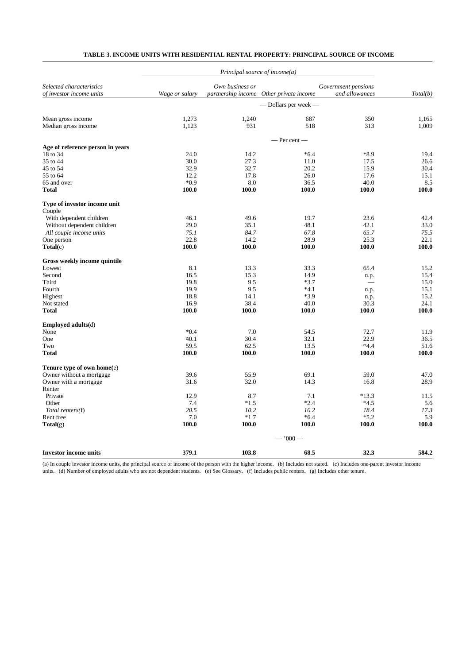| Own business or<br>Selected characteristics<br>Government pensions<br>of investor income units<br>Wage or salary<br>partnership income Other private income<br>and allowances<br>Total(b)<br>— Dollars per week —<br>1,273<br>1,240<br>687<br>350<br>Mean gross income<br>931<br>518<br>Median gross income<br>1,123<br>313<br>1,009<br>$-$ Per cent $-$<br>Age of reference person in years<br>18 to 34<br>$*6.4$<br>$*8.9$<br>24.0<br>14.2<br>19.4<br>35 to 44<br>27.3<br>30.0<br>11.0<br>17.5<br>26.6<br>45 to 54<br>32.9<br>32.7<br>20.2<br>15.9<br>30.4<br>55 to 64<br>12.2<br>17.8<br>26.0<br>15.1<br>17.6<br>$*0.9$<br>36.5<br>8.5<br>65 and over<br>8.0<br>40.0<br>100.0<br>100.0<br>100.0<br>Total<br>100.0<br>Type of investor income unit<br>Couple<br>With dependent children<br>46.1<br>49.6<br>19.7<br>23.6<br>48.1<br>Without dependent children<br>29.0<br>35.1<br>42.1<br>67.8<br>All couple income units<br>75.1<br>84.7<br>65.7<br>22.8<br>28.9<br>One person<br>14.2<br>25.3<br>100.0<br>100.0<br>100.0<br>100.0<br>$\textbf{Total}(c)$<br>Gross weekly income quintile<br>8.1<br>13.3<br>33.3<br>65.4<br>Lowest<br>Second<br>16.5<br>15.3<br>14.9<br>15.4<br>n.p.<br>9.5<br>$*3.7$<br>Third<br>19.8<br>15.0<br>19.9<br>9.5<br>$*4.1$<br>Fourth<br>15.1<br>n.p.<br>$*3.9$<br>Highest<br>18.8<br>14.1<br>15.2<br>n.p.<br>Not stated<br>38.4<br>40.0<br>24.1<br>16.9<br>30.3<br>100.0<br>Total<br>100.0<br>100.0<br>100.0<br>100.0<br><b>Employed adults(d)</b><br>$*0.4$<br>7.0<br>None<br>54.5<br>72.7<br>11.9<br>40.1<br>30.4<br>32.1<br>22.9<br>36.5<br>One<br>59.5<br>62.5<br>13.5<br>$*4.4$<br>51.6<br>Two<br>100.0<br><b>Total</b><br>100.0<br>100.0<br>100.0<br>Tenure type of own home(e)<br>Owner without a mortgage<br>39.6<br>55.9<br>69.1<br>59.0<br>Owner with a mortgage<br>31.6<br>32.0<br>14.3<br>16.8<br>Renter<br>Private<br>12.9<br>8.7<br>7.1<br>$*13.3$<br>7.4<br>$*1.5$<br>$*2.4$<br>$*4.5$<br>Other<br>Total renters(f)<br>20.5<br>10.2<br>10.2<br>18.4<br>Rent free<br>7.0<br>$*1.7$<br>$*6.4$<br>$*5.2$<br>100.0<br>100.0<br>100.0<br>100.0<br>$\text{Total}(g)$<br>100.0<br>$-1000-$<br>379.1<br>32.3<br>103.8<br>68.5<br><b>Investor income units</b> |  |  |       |
|-----------------------------------------------------------------------------------------------------------------------------------------------------------------------------------------------------------------------------------------------------------------------------------------------------------------------------------------------------------------------------------------------------------------------------------------------------------------------------------------------------------------------------------------------------------------------------------------------------------------------------------------------------------------------------------------------------------------------------------------------------------------------------------------------------------------------------------------------------------------------------------------------------------------------------------------------------------------------------------------------------------------------------------------------------------------------------------------------------------------------------------------------------------------------------------------------------------------------------------------------------------------------------------------------------------------------------------------------------------------------------------------------------------------------------------------------------------------------------------------------------------------------------------------------------------------------------------------------------------------------------------------------------------------------------------------------------------------------------------------------------------------------------------------------------------------------------------------------------------------------------------------------------------------------------------------------------------------------------------------------------------------------------------------------------------------------------------------------------------------------------------------------------------------------------------------------------|--|--|-------|
|                                                                                                                                                                                                                                                                                                                                                                                                                                                                                                                                                                                                                                                                                                                                                                                                                                                                                                                                                                                                                                                                                                                                                                                                                                                                                                                                                                                                                                                                                                                                                                                                                                                                                                                                                                                                                                                                                                                                                                                                                                                                                                                                                                                                     |  |  |       |
|                                                                                                                                                                                                                                                                                                                                                                                                                                                                                                                                                                                                                                                                                                                                                                                                                                                                                                                                                                                                                                                                                                                                                                                                                                                                                                                                                                                                                                                                                                                                                                                                                                                                                                                                                                                                                                                                                                                                                                                                                                                                                                                                                                                                     |  |  |       |
|                                                                                                                                                                                                                                                                                                                                                                                                                                                                                                                                                                                                                                                                                                                                                                                                                                                                                                                                                                                                                                                                                                                                                                                                                                                                                                                                                                                                                                                                                                                                                                                                                                                                                                                                                                                                                                                                                                                                                                                                                                                                                                                                                                                                     |  |  |       |
|                                                                                                                                                                                                                                                                                                                                                                                                                                                                                                                                                                                                                                                                                                                                                                                                                                                                                                                                                                                                                                                                                                                                                                                                                                                                                                                                                                                                                                                                                                                                                                                                                                                                                                                                                                                                                                                                                                                                                                                                                                                                                                                                                                                                     |  |  | 1,165 |
|                                                                                                                                                                                                                                                                                                                                                                                                                                                                                                                                                                                                                                                                                                                                                                                                                                                                                                                                                                                                                                                                                                                                                                                                                                                                                                                                                                                                                                                                                                                                                                                                                                                                                                                                                                                                                                                                                                                                                                                                                                                                                                                                                                                                     |  |  |       |
|                                                                                                                                                                                                                                                                                                                                                                                                                                                                                                                                                                                                                                                                                                                                                                                                                                                                                                                                                                                                                                                                                                                                                                                                                                                                                                                                                                                                                                                                                                                                                                                                                                                                                                                                                                                                                                                                                                                                                                                                                                                                                                                                                                                                     |  |  |       |
|                                                                                                                                                                                                                                                                                                                                                                                                                                                                                                                                                                                                                                                                                                                                                                                                                                                                                                                                                                                                                                                                                                                                                                                                                                                                                                                                                                                                                                                                                                                                                                                                                                                                                                                                                                                                                                                                                                                                                                                                                                                                                                                                                                                                     |  |  |       |
|                                                                                                                                                                                                                                                                                                                                                                                                                                                                                                                                                                                                                                                                                                                                                                                                                                                                                                                                                                                                                                                                                                                                                                                                                                                                                                                                                                                                                                                                                                                                                                                                                                                                                                                                                                                                                                                                                                                                                                                                                                                                                                                                                                                                     |  |  |       |
|                                                                                                                                                                                                                                                                                                                                                                                                                                                                                                                                                                                                                                                                                                                                                                                                                                                                                                                                                                                                                                                                                                                                                                                                                                                                                                                                                                                                                                                                                                                                                                                                                                                                                                                                                                                                                                                                                                                                                                                                                                                                                                                                                                                                     |  |  |       |
|                                                                                                                                                                                                                                                                                                                                                                                                                                                                                                                                                                                                                                                                                                                                                                                                                                                                                                                                                                                                                                                                                                                                                                                                                                                                                                                                                                                                                                                                                                                                                                                                                                                                                                                                                                                                                                                                                                                                                                                                                                                                                                                                                                                                     |  |  |       |
|                                                                                                                                                                                                                                                                                                                                                                                                                                                                                                                                                                                                                                                                                                                                                                                                                                                                                                                                                                                                                                                                                                                                                                                                                                                                                                                                                                                                                                                                                                                                                                                                                                                                                                                                                                                                                                                                                                                                                                                                                                                                                                                                                                                                     |  |  |       |
|                                                                                                                                                                                                                                                                                                                                                                                                                                                                                                                                                                                                                                                                                                                                                                                                                                                                                                                                                                                                                                                                                                                                                                                                                                                                                                                                                                                                                                                                                                                                                                                                                                                                                                                                                                                                                                                                                                                                                                                                                                                                                                                                                                                                     |  |  | 100.0 |
|                                                                                                                                                                                                                                                                                                                                                                                                                                                                                                                                                                                                                                                                                                                                                                                                                                                                                                                                                                                                                                                                                                                                                                                                                                                                                                                                                                                                                                                                                                                                                                                                                                                                                                                                                                                                                                                                                                                                                                                                                                                                                                                                                                                                     |  |  |       |
|                                                                                                                                                                                                                                                                                                                                                                                                                                                                                                                                                                                                                                                                                                                                                                                                                                                                                                                                                                                                                                                                                                                                                                                                                                                                                                                                                                                                                                                                                                                                                                                                                                                                                                                                                                                                                                                                                                                                                                                                                                                                                                                                                                                                     |  |  | 42.4  |
|                                                                                                                                                                                                                                                                                                                                                                                                                                                                                                                                                                                                                                                                                                                                                                                                                                                                                                                                                                                                                                                                                                                                                                                                                                                                                                                                                                                                                                                                                                                                                                                                                                                                                                                                                                                                                                                                                                                                                                                                                                                                                                                                                                                                     |  |  | 33.0  |
|                                                                                                                                                                                                                                                                                                                                                                                                                                                                                                                                                                                                                                                                                                                                                                                                                                                                                                                                                                                                                                                                                                                                                                                                                                                                                                                                                                                                                                                                                                                                                                                                                                                                                                                                                                                                                                                                                                                                                                                                                                                                                                                                                                                                     |  |  | 75.5  |
|                                                                                                                                                                                                                                                                                                                                                                                                                                                                                                                                                                                                                                                                                                                                                                                                                                                                                                                                                                                                                                                                                                                                                                                                                                                                                                                                                                                                                                                                                                                                                                                                                                                                                                                                                                                                                                                                                                                                                                                                                                                                                                                                                                                                     |  |  | 22.1  |
|                                                                                                                                                                                                                                                                                                                                                                                                                                                                                                                                                                                                                                                                                                                                                                                                                                                                                                                                                                                                                                                                                                                                                                                                                                                                                                                                                                                                                                                                                                                                                                                                                                                                                                                                                                                                                                                                                                                                                                                                                                                                                                                                                                                                     |  |  | 100.0 |
|                                                                                                                                                                                                                                                                                                                                                                                                                                                                                                                                                                                                                                                                                                                                                                                                                                                                                                                                                                                                                                                                                                                                                                                                                                                                                                                                                                                                                                                                                                                                                                                                                                                                                                                                                                                                                                                                                                                                                                                                                                                                                                                                                                                                     |  |  |       |
|                                                                                                                                                                                                                                                                                                                                                                                                                                                                                                                                                                                                                                                                                                                                                                                                                                                                                                                                                                                                                                                                                                                                                                                                                                                                                                                                                                                                                                                                                                                                                                                                                                                                                                                                                                                                                                                                                                                                                                                                                                                                                                                                                                                                     |  |  | 15.2  |
|                                                                                                                                                                                                                                                                                                                                                                                                                                                                                                                                                                                                                                                                                                                                                                                                                                                                                                                                                                                                                                                                                                                                                                                                                                                                                                                                                                                                                                                                                                                                                                                                                                                                                                                                                                                                                                                                                                                                                                                                                                                                                                                                                                                                     |  |  |       |
|                                                                                                                                                                                                                                                                                                                                                                                                                                                                                                                                                                                                                                                                                                                                                                                                                                                                                                                                                                                                                                                                                                                                                                                                                                                                                                                                                                                                                                                                                                                                                                                                                                                                                                                                                                                                                                                                                                                                                                                                                                                                                                                                                                                                     |  |  |       |
|                                                                                                                                                                                                                                                                                                                                                                                                                                                                                                                                                                                                                                                                                                                                                                                                                                                                                                                                                                                                                                                                                                                                                                                                                                                                                                                                                                                                                                                                                                                                                                                                                                                                                                                                                                                                                                                                                                                                                                                                                                                                                                                                                                                                     |  |  |       |
|                                                                                                                                                                                                                                                                                                                                                                                                                                                                                                                                                                                                                                                                                                                                                                                                                                                                                                                                                                                                                                                                                                                                                                                                                                                                                                                                                                                                                                                                                                                                                                                                                                                                                                                                                                                                                                                                                                                                                                                                                                                                                                                                                                                                     |  |  |       |
|                                                                                                                                                                                                                                                                                                                                                                                                                                                                                                                                                                                                                                                                                                                                                                                                                                                                                                                                                                                                                                                                                                                                                                                                                                                                                                                                                                                                                                                                                                                                                                                                                                                                                                                                                                                                                                                                                                                                                                                                                                                                                                                                                                                                     |  |  |       |
|                                                                                                                                                                                                                                                                                                                                                                                                                                                                                                                                                                                                                                                                                                                                                                                                                                                                                                                                                                                                                                                                                                                                                                                                                                                                                                                                                                                                                                                                                                                                                                                                                                                                                                                                                                                                                                                                                                                                                                                                                                                                                                                                                                                                     |  |  |       |
|                                                                                                                                                                                                                                                                                                                                                                                                                                                                                                                                                                                                                                                                                                                                                                                                                                                                                                                                                                                                                                                                                                                                                                                                                                                                                                                                                                                                                                                                                                                                                                                                                                                                                                                                                                                                                                                                                                                                                                                                                                                                                                                                                                                                     |  |  |       |
|                                                                                                                                                                                                                                                                                                                                                                                                                                                                                                                                                                                                                                                                                                                                                                                                                                                                                                                                                                                                                                                                                                                                                                                                                                                                                                                                                                                                                                                                                                                                                                                                                                                                                                                                                                                                                                                                                                                                                                                                                                                                                                                                                                                                     |  |  |       |
|                                                                                                                                                                                                                                                                                                                                                                                                                                                                                                                                                                                                                                                                                                                                                                                                                                                                                                                                                                                                                                                                                                                                                                                                                                                                                                                                                                                                                                                                                                                                                                                                                                                                                                                                                                                                                                                                                                                                                                                                                                                                                                                                                                                                     |  |  |       |
|                                                                                                                                                                                                                                                                                                                                                                                                                                                                                                                                                                                                                                                                                                                                                                                                                                                                                                                                                                                                                                                                                                                                                                                                                                                                                                                                                                                                                                                                                                                                                                                                                                                                                                                                                                                                                                                                                                                                                                                                                                                                                                                                                                                                     |  |  | 100.0 |
|                                                                                                                                                                                                                                                                                                                                                                                                                                                                                                                                                                                                                                                                                                                                                                                                                                                                                                                                                                                                                                                                                                                                                                                                                                                                                                                                                                                                                                                                                                                                                                                                                                                                                                                                                                                                                                                                                                                                                                                                                                                                                                                                                                                                     |  |  |       |
|                                                                                                                                                                                                                                                                                                                                                                                                                                                                                                                                                                                                                                                                                                                                                                                                                                                                                                                                                                                                                                                                                                                                                                                                                                                                                                                                                                                                                                                                                                                                                                                                                                                                                                                                                                                                                                                                                                                                                                                                                                                                                                                                                                                                     |  |  | 47.0  |
|                                                                                                                                                                                                                                                                                                                                                                                                                                                                                                                                                                                                                                                                                                                                                                                                                                                                                                                                                                                                                                                                                                                                                                                                                                                                                                                                                                                                                                                                                                                                                                                                                                                                                                                                                                                                                                                                                                                                                                                                                                                                                                                                                                                                     |  |  | 28.9  |
|                                                                                                                                                                                                                                                                                                                                                                                                                                                                                                                                                                                                                                                                                                                                                                                                                                                                                                                                                                                                                                                                                                                                                                                                                                                                                                                                                                                                                                                                                                                                                                                                                                                                                                                                                                                                                                                                                                                                                                                                                                                                                                                                                                                                     |  |  |       |
|                                                                                                                                                                                                                                                                                                                                                                                                                                                                                                                                                                                                                                                                                                                                                                                                                                                                                                                                                                                                                                                                                                                                                                                                                                                                                                                                                                                                                                                                                                                                                                                                                                                                                                                                                                                                                                                                                                                                                                                                                                                                                                                                                                                                     |  |  | 11.5  |
|                                                                                                                                                                                                                                                                                                                                                                                                                                                                                                                                                                                                                                                                                                                                                                                                                                                                                                                                                                                                                                                                                                                                                                                                                                                                                                                                                                                                                                                                                                                                                                                                                                                                                                                                                                                                                                                                                                                                                                                                                                                                                                                                                                                                     |  |  | 5.6   |
|                                                                                                                                                                                                                                                                                                                                                                                                                                                                                                                                                                                                                                                                                                                                                                                                                                                                                                                                                                                                                                                                                                                                                                                                                                                                                                                                                                                                                                                                                                                                                                                                                                                                                                                                                                                                                                                                                                                                                                                                                                                                                                                                                                                                     |  |  | 17.3  |
|                                                                                                                                                                                                                                                                                                                                                                                                                                                                                                                                                                                                                                                                                                                                                                                                                                                                                                                                                                                                                                                                                                                                                                                                                                                                                                                                                                                                                                                                                                                                                                                                                                                                                                                                                                                                                                                                                                                                                                                                                                                                                                                                                                                                     |  |  | 5.9   |
|                                                                                                                                                                                                                                                                                                                                                                                                                                                                                                                                                                                                                                                                                                                                                                                                                                                                                                                                                                                                                                                                                                                                                                                                                                                                                                                                                                                                                                                                                                                                                                                                                                                                                                                                                                                                                                                                                                                                                                                                                                                                                                                                                                                                     |  |  |       |
|                                                                                                                                                                                                                                                                                                                                                                                                                                                                                                                                                                                                                                                                                                                                                                                                                                                                                                                                                                                                                                                                                                                                                                                                                                                                                                                                                                                                                                                                                                                                                                                                                                                                                                                                                                                                                                                                                                                                                                                                                                                                                                                                                                                                     |  |  |       |
|                                                                                                                                                                                                                                                                                                                                                                                                                                                                                                                                                                                                                                                                                                                                                                                                                                                                                                                                                                                                                                                                                                                                                                                                                                                                                                                                                                                                                                                                                                                                                                                                                                                                                                                                                                                                                                                                                                                                                                                                                                                                                                                                                                                                     |  |  | 584.2 |

# **TABLE 3. INCOME UNITS WITH RESIDENTIAL RENTAL PROPERTY: PRINCIPAL SOURCE OF INCOME**

(a) In couple investor income units, the principal source of income of the person with the higher income. (b) Includes not stated. (c) Includes one-parent investor income units. (d) Number of employed adults who are not dependent students. (e) See Glossary. (f) Includes public renters. (g) Includes other tenure.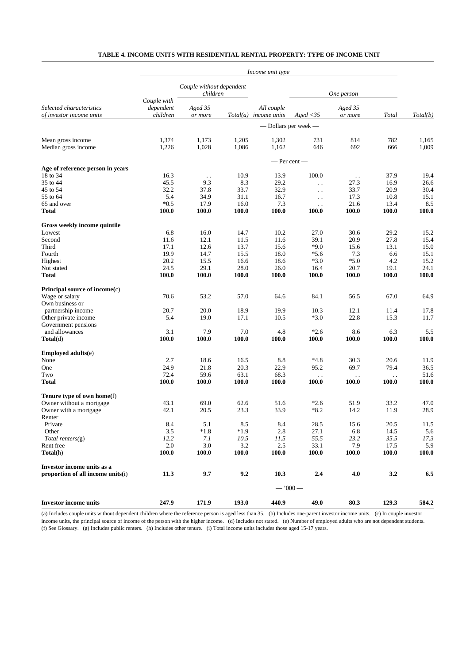|                                                                    | Income unit type                     |                                      |             |                                       |                        |                    |           |              |  |
|--------------------------------------------------------------------|--------------------------------------|--------------------------------------|-------------|---------------------------------------|------------------------|--------------------|-----------|--------------|--|
|                                                                    |                                      | Couple without dependent<br>children |             |                                       | One person             |                    |           |              |  |
| Selected characteristics<br>of investor income units               | Couple with<br>dependent<br>children | Aged 35<br>or more                   |             | All couple<br>$Total(a)$ income units | $A$ ged < 35           | Aged 35<br>or more | Total     | Total(b)     |  |
|                                                                    |                                      |                                      |             |                                       | - Dollars per week -   |                    |           |              |  |
| Mean gross income                                                  | 1,374                                | 1,173                                | 1,205       | 1,302                                 | 731                    | 814                | 782       | 1,165        |  |
| Median gross income                                                | 1,226                                | 1,028                                | 1,086       | 1,162                                 | 646                    | 692                | 666       | 1,009        |  |
|                                                                    |                                      | — Per cent —                         |             |                                       |                        |                    |           |              |  |
| Age of reference person in years                                   |                                      |                                      |             |                                       |                        |                    |           |              |  |
| 18 to 34                                                           | 16.3                                 | $\ddot{\phantom{0}}$                 | 10.9        | 13.9                                  | 100.0                  | $\sim$ $\sim$      | 37.9      | 19.4         |  |
| 35 to 44                                                           | 45.5                                 | 9.3                                  | 8.3         | 29.2                                  | $\ddot{\phantom{0}}$   | 27.3               | 16.9      | 26.6         |  |
| 45 to 54                                                           | 32.2                                 | 37.8                                 | 33.7        | 32.9                                  | $\ddot{\phantom{a}}$ . | 33.7               | 20.9      | 30.4         |  |
| 55 to 64                                                           | 5.4                                  | 34.9                                 | 31.1        | 16.7                                  | $\ddot{\phantom{a}}$ . | 17.3               | 10.8      | 15.1         |  |
| 65 and over                                                        | $*0.5$                               | 17.9                                 | 16.0        | 7.3                                   | $\ddot{\phantom{a}}$ . | 21.6               | 13.4      | 8.5          |  |
| <b>Total</b>                                                       | <b>100.0</b>                         | 100.0                                | 100.0       | 100.0                                 | 100.0                  | 100.0              | 100.0     | 100.0        |  |
| Gross weekly income quintile                                       |                                      |                                      |             |                                       |                        |                    |           |              |  |
| Lowest                                                             | 6.8                                  | 16.0                                 | 14.7        | 10.2                                  | 27.0                   | 30.6               | 29.2      | 15.2         |  |
| Second                                                             | 11.6                                 | 12.1                                 | 11.5        | 11.6                                  | 39.1                   | 20.9               | 27.8      | 15.4         |  |
| Third                                                              | 17.1                                 | 12.6                                 | 13.7        | 15.6                                  | $*9.0$                 | 15.6               | 13.1      | 15.0         |  |
| Fourth                                                             | 19.9                                 | 14.7                                 | 15.5        | 18.0                                  | $*5.6$                 | 7.3                | 6.6       | 15.1         |  |
| Highest                                                            | 20.2                                 | 15.5                                 | 16.6        | 18.6                                  | $*3.0$                 | $*5.0$             | 4.2       | 15.2         |  |
| Not stated                                                         | 24.5                                 | 29.1                                 | 28.0        | 26.0                                  | 16.4                   | 20.7               | 19.1      | 24.1         |  |
| <b>Total</b>                                                       | 100.0                                | 100.0                                | 100.0       | 100.0                                 | 100.0                  | 100.0              | 100.0     | 100.0        |  |
| Principal source of income(c)                                      |                                      |                                      |             |                                       |                        |                    |           |              |  |
| Wage or salary                                                     | 70.6                                 | 53.2                                 | 57.0        | 64.6                                  | 84.1                   | 56.5               | 67.0      | 64.9         |  |
| Own business or                                                    |                                      |                                      |             |                                       |                        |                    |           |              |  |
| partnership income                                                 | 20.7                                 | 20.0                                 | 18.9        | 19.9                                  | 10.3                   | 12.1               | 11.4      | 17.8         |  |
| Other private income                                               | 5.4                                  | 19.0                                 | 17.1        | 10.5                                  | $*3.0$                 | 22.8               | 15.3      | 11.7         |  |
| Government pensions                                                |                                      |                                      |             |                                       |                        |                    |           |              |  |
| and allowances                                                     | 3.1                                  | 7.9                                  | 7.0         | 4.8                                   | $*2.6$                 | 8.6                | 6.3       | 5.5          |  |
| $\textbf{Total}(d)$                                                | 100.0                                | 100.0                                | 100.0       | 100.0                                 | 100.0                  | 100.0              | 100.0     | 100.0        |  |
| Employed adults(e)                                                 |                                      |                                      |             |                                       |                        |                    |           |              |  |
| None                                                               | 2.7                                  | 18.6                                 | 16.5        | 8.8                                   | $*4.8$                 | 30.3               | 20.6      | 11.9         |  |
| One                                                                | 24.9                                 | 21.8                                 | 20.3        | 22.9                                  | 95.2                   | 69.7               | 79.4      | 36.5         |  |
| Two                                                                | 72.4                                 | 59.6                                 | 63.1        | 68.3                                  | $\ddot{\phantom{0}}$   | $\ddotsc$          | $\ddotsc$ | 51.6         |  |
| <b>Total</b>                                                       | <b>100.0</b>                         | <b>100.0</b>                         | 100.0       | 100.0                                 | 100.0                  | 100.0              | 100.0     | <b>100.0</b> |  |
| Tenure type of own home(f)                                         |                                      |                                      |             |                                       |                        |                    |           |              |  |
| Owner without a mortgage                                           | 43.1                                 | 69.0                                 | 62.6        | 51.6                                  | $*2.6$                 | 51.9               | 33.2      | 47.0         |  |
| Owner with a mortgage                                              | 42.1                                 | 20.5                                 | 23.3        | 33.9                                  | *8.2                   | 14.2               | 11.9      | 28.9         |  |
| Renter                                                             |                                      |                                      |             |                                       |                        |                    |           |              |  |
| Private                                                            | 8.4                                  | 5.1                                  | 8.5         | 8.4                                   | 28.5                   | 15.6               | 20.5      | 11.5         |  |
| Other                                                              | 3.5                                  | $*1.8$                               | $*1.9$      | 2.8                                   | 27.1                   | 6.8                | 14.5      | 5.6          |  |
| $Total \, renters(g)$                                              | 12.2                                 |                                      |             |                                       | 55.5                   | 23.2               | 35.5      |              |  |
| Rent free                                                          | 2.0                                  | 7.1<br>3.0                           | 10.5<br>3.2 | 11.5<br>2.5                           | 33.1                   | 7.9                | 17.5      | 17.3<br>5.9  |  |
| Total(h)                                                           | 100.0                                | 100.0                                | 100.0       | 100.0                                 | 100.0                  | 100.0              | 100.0     | <b>100.0</b> |  |
|                                                                    |                                      |                                      |             |                                       |                        |                    |           |              |  |
| Investor income units as a<br>proportion of all income units $(i)$ | 11.3                                 | 9.7                                  | 9.2         | 10.3                                  | 2.4                    | 4.0                | 3.2       | 6.5          |  |
|                                                                    |                                      |                                      |             |                                       | $-1000-$               |                    |           |              |  |
| <b>Investor income units</b>                                       | 247.9                                | 171.9                                | 193.0       | 440.9                                 | 49.0                   | 80.3               | 129.3     | 584.2        |  |
|                                                                    |                                      |                                      |             |                                       |                        |                    |           |              |  |

# **TABLE 4. INCOME UNITS WITH RESIDENTIAL RENTAL PROPERTY: TYPE OF INCOME UNIT**

(a) Includes couple units without dependent children where the reference person is aged less than 35. (b) Includes one-parent investor income units. (c) In couple investor income units, the principal source of income of the person with the higher income. (d) Includes not stated. (e) Number of employed adults who are not dependent students. (f) See Glossary. (g) Includes public renters. (h) Includes other tenure. (i) Total income units includes those aged 15-17 years.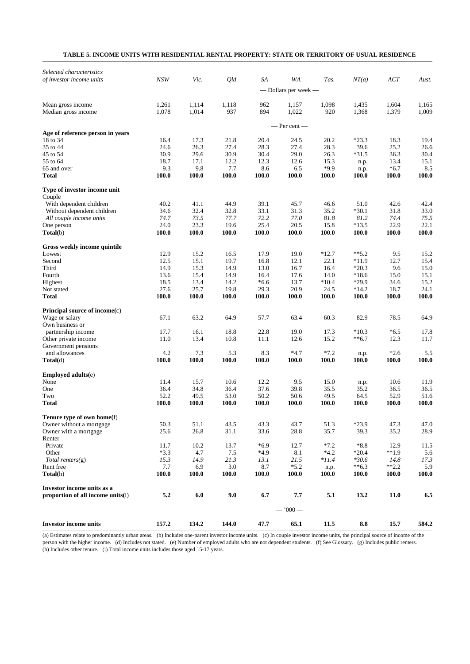| TABLE 5. INCOME UNITS WITH RESIDENTIAL RENTAL PROPERTY: STATE OR TERRITORY OF USUAL RESIDENCE |
|-----------------------------------------------------------------------------------------------|
|-----------------------------------------------------------------------------------------------|

| Selected characteristics                              |               |               |                  |               |                      |               |                  |                  |                      |
|-------------------------------------------------------|---------------|---------------|------------------|---------------|----------------------|---------------|------------------|------------------|----------------------|
| of investor income units                              | NSW           | Vic.          | Qld              | SA            | WA                   | Tas.          | NT(a)            | ACT              | Aust.                |
|                                                       |               |               |                  |               | — Dollars per week — |               |                  |                  |                      |
| Mean gross income                                     | 1,261         | 1,114         | 1,118            | 962           | 1,157                | 1,098         | 1,435            | 1,604            | 1,165                |
| Median gross income                                   | 1,078         | 1,014         | 937              | 894           | 1,022                | 920           | 1,368            | 1,379            | 1,009                |
|                                                       |               |               |                  |               | $-$ Per cent $-$     |               |                  |                  |                      |
| Age of reference person in years                      |               |               |                  |               |                      |               |                  |                  |                      |
| 18 to 34<br>35 to 44                                  | 16.4<br>24.6  | 17.3<br>26.3  | 21.8<br>27.4     | 20.4<br>28.3  | 24.5<br>27.4         | 20.2<br>28.3  | $*23.3$<br>39.6  | 18.3<br>25.2     | 19.4<br>26.6         |
| 45 to 54                                              | 30.9          | 29.6          | 30.9             | 30.4          | 29.0                 | 26.3          | $*31.5$          | 36.3             | 30.4                 |
| 55 to 64                                              | 18.7          | 17.1          | 12.2             | 12.3          | 12.6                 | 15.3          | n.p.             | 13.4             | 15.1                 |
| 65 and over                                           | 9.3           | 9.8           | 7.7              | 8.6           | 6.5                  | $*9.9$        | n.p.             | $*6.7$           | 8.5                  |
| Total                                                 | 100.0         | 100.0         | 100.0            | 100.0         | 100.0                | 100.0         | 100.0            | 100.0            | 100.0                |
| Type of investor income unit                          |               |               |                  |               |                      |               |                  |                  |                      |
| Couple                                                |               |               |                  |               |                      |               |                  |                  |                      |
| With dependent children<br>Without dependent children | 40.2<br>34.6  | 41.1<br>32.4  | 44.9<br>32.8     | 39.1<br>33.1  | 45.7<br>31.3         | 46.6<br>35.2  | 51.0<br>$*30.1$  | 42.6<br>31.8     | 42.4<br>33.0         |
| All couple income units                               | 74.7          | 73.5          | 77.7             | 72.2          | 77.0                 | 81.8          | 81.2             | 74.4             | 75.5                 |
| One person                                            | 24.0          | 23.3          | 19.6             | 25.4          | 20.5                 | 15.8          | $*13.5$          | 22.9             | 22.1                 |
| Total(b)                                              | 100.0         | 100.0         | 100.0            | 100.0         | 100.0                | 100.0         | 100.0            | 100.0            | 100.0                |
| Gross weekly income quintile                          |               |               |                  |               |                      |               |                  |                  |                      |
| Lowest                                                | 12.9          | 15.2          | 16.5             | 17.9          | 19.0                 | $*12.7$       | $**5.2$          | 9.5              | 15.2                 |
| Second                                                | 12.5          | 15.1          | 19.7             | 16.8          | 12.1                 | 22.1          | $*11.9$          | 12.7             | 15.4                 |
| Third                                                 | 14.9          | 15.3          | 14.9             | 13.0          | 16.7                 | 16.4          | $*20.3$          | 9.6              | 15.0                 |
| Fourth                                                | 13.6          | 15.4          | 14.9             | 16.4          | 17.6                 | 14.0          | $*18.6$          | 15.0             | 15.1                 |
| Highest                                               | 18.5          | 13.4          | 14.2             | $*6.6$        | 13.7                 | $*10.4$       | *29.9            | 34.6             | 15.2                 |
| Not stated<br><b>Total</b>                            | 27.6<br>100.0 | 25.7<br>100.0 | 19.8<br>100.0    | 29.3<br>100.0 | 20.9<br>100.0        | 24.5<br>100.0 | $*14.2$<br>100.0 | 18.7<br>100.0    | 24.1<br>100.0        |
| Principal source of income(c)                         |               |               |                  |               |                      |               |                  |                  |                      |
| Wage or salary                                        | 67.1          | 63.2          | 64.9             | 57.7          | 63.4                 | 60.3          | 82.9             | 78.5             | 64.9                 |
| Own business or                                       |               |               |                  |               |                      |               |                  |                  |                      |
| partnership income                                    | 17.7          | 16.1          | 18.8             | 22.8          | 19.0                 | 17.3          | $*10.3$          | $*6.5$           | 17.8                 |
| Other private income                                  | 11.0          | 13.4          | 10.8             | 11.1          | 12.6                 | 15.2          | $**6.7$          | 12.3             | 11.7                 |
| Government pensions                                   |               |               |                  |               |                      |               |                  |                  |                      |
| and allowances                                        | 4.2           | 7.3           | 5.3              | 8.3           | $*4.7$               | $*7.2$        | n.p.             | $*2.6$           | 5.5                  |
| Total(d)                                              | 100.0         | 100.0         | 100.0            | 100.0         | 100.0                | 100.0         | 100.0            | 100.0            | 100.0                |
| <b>Employed adults(e)</b>                             |               |               |                  |               |                      |               |                  |                  |                      |
| None                                                  | 11.4          | 15.7          | 10.6             | 12.2          | 9.5                  | 15.0          | n.p.             | 10.6             | 11.9                 |
| One                                                   | 36.4          | 34.8          | 36.4             | 37.6          | 39.8                 | 35.5          | 35.2             | 36.5             | 36.5                 |
| Two<br><b>Total</b>                                   | 52.2<br>100.0 | 49.5<br>100.0 | 53.0<br>100.0    | 50.2<br>100.0 | 50.6<br>100.0        | 49.5<br>100.0 | 64.5<br>100.0    | 52.9<br>100.0    | 51.6<br><b>100.0</b> |
| Tenure type of own home(f)                            |               |               |                  |               |                      |               |                  |                  |                      |
| Owner without a mortgage                              | 50.3          | 51.1          | 43.5             | 43.3          | 43.7                 | 51.3          | $*23.9$          | 47.3             | 47.0                 |
| Owner with a mortgage                                 | 25.6          | 26.8          | 31.1             | 33.6          | 28.8                 | 35.7          | 39.3             | 35.2             | 28.9                 |
| Renter                                                |               |               |                  |               |                      |               |                  |                  |                      |
| Private                                               | 11.7          | 10.2          | 13.7             | $*6.9$        | 12.7                 | $*7.2$        | $*8.8$           | 12.9             | 11.5                 |
| Other                                                 | $*3.3$        | 4.7           | 7.5              | $*4.9$        | 8.1                  | $*4.2$        | $*20.4$          | $**1.9$          | 5.6                  |
| $Total \, renters(g)$                                 | 15.3          | 14.9          | 21.3             | 13.1          | 21.5                 | $*11.4$       | $*30.6$          | 14.8             | 17.3                 |
| Rent free<br>Total(h)                                 | 7.7<br>100.0  | 6.9<br>100.0  | $3.0\,$<br>100.0 | 8.7<br>100.0  | $*5.2$<br>100.0      | n.p.<br>100.0 | $**6.3$<br>100.0 | $**2.2$<br>100.0 | 5.9<br>100.0         |
| Investor income units as a                            |               |               |                  |               |                      |               |                  |                  |                      |
| proportion of all income units(i)                     | 5.2           | 6.0           | 9.0              | 6.7           | 7.7                  | 5.1           | 13.2             | 11.0             | 6.5                  |
|                                                       |               |               |                  |               | $-1000-$             |               |                  |                  |                      |
| <b>Investor income units</b>                          | 157.2         | 134.2         | 144.0            | 47.7          | 65.1                 | 11.5          | 8.8              | 15.7             | 584.2                |

(a) Estimates relate to predominantly urban areas. (b) Includes one-parent investor income units. (c) In couple investor income units, the principal source of income of the person with the higher income. (d) Includes not stated. (e) Number of employed adults who are not dependent students. (f) See Glossary. (g) Includes public renters. (h) Includes other tenure. (i) Total income units includes those aged 15-17 years.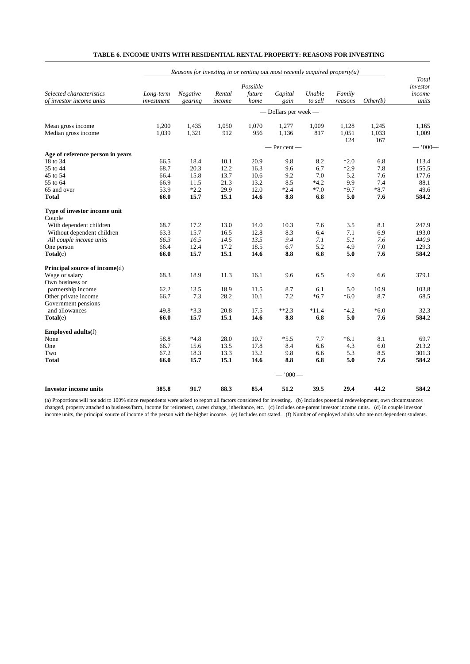|                                              | Reasons for investing in or renting out most recently acquired property(a) |                 |        |          |                      |         |         |          |                   |
|----------------------------------------------|----------------------------------------------------------------------------|-----------------|--------|----------|----------------------|---------|---------|----------|-------------------|
|                                              |                                                                            |                 |        | Possible |                      |         |         |          | Total<br>investor |
| Selected characteristics                     | Long-term                                                                  | <b>Negative</b> | Rental | future   | Capital              | Unable  | Family  |          | income            |
| of investor income units                     | investment                                                                 | gearing         | income | home     | gain                 | to sell | reasons | Other(b) | units             |
|                                              |                                                                            |                 |        |          | - Dollars per week - |         |         |          |                   |
| Mean gross income                            | 1,200                                                                      | 1,435           | 1,050  | 1,070    | 1,277                | 1,009   | 1,128   | 1,245    | 1,165             |
| Median gross income                          | 1,039                                                                      | 1,321           | 912    | 956      | 1,136                | 817     | 1,051   | 1,033    | 1,009             |
|                                              |                                                                            |                 |        |          |                      |         | 124     | 167      |                   |
|                                              |                                                                            |                 |        |          | $-$ Per cent $-$     |         |         |          | $-1000-$          |
| Age of reference person in years<br>18 to 34 | 66.5                                                                       | 18.4            | 10.1   | 20.9     | 9.8                  | 8.2     | $*2.0$  | 6.8      | 113.4             |
| 35 to 44                                     | 68.7                                                                       | 20.3            | 12.2   | 16.3     | 9.6                  | 6.7     | $*2.9$  | 7.8      | 155.5             |
| 45 to 54                                     | 66.4                                                                       | 15.8            | 13.7   | 10.6     | 9.2                  | 7.0     | 5.2     | 7.6      | 177.6             |
| 55 to 64                                     | 66.9                                                                       | 11.5            | 21.3   | 13.2     | 8.5                  | $*4.2$  | 9.9     | 7.4      | 88.1              |
| 65 and over                                  | 53.9                                                                       | $*2.2$          | 29.9   | 12.0     | $*2.4$               | $*7.0$  | $*9.7$  | $*8.7$   | 49.6              |
| <b>Total</b>                                 | 66.0                                                                       | 15.7            | 15.1   | 14.6     | 8.8                  | 6.8     | 5.0     | 7.6      | 584.2             |
|                                              |                                                                            |                 |        |          |                      |         |         |          |                   |
| Type of investor income unit<br>Couple       |                                                                            |                 |        |          |                      |         |         |          |                   |
| With dependent children                      | 68.7                                                                       | 17.2            | 13.0   | 14.0     | 10.3                 | 7.6     | 3.5     | 8.1      | 247.9             |
| Without dependent children                   | 63.3                                                                       | 15.7            | 16.5   | 12.8     | 8.3                  | 6.4     | 7.1     | 6.9      | 193.0             |
| All couple income units                      | 66.3                                                                       | 16.5            | 14.5   | 13.5     | 9.4                  | 7.1     | 5.1     | 7.6      | 440.9             |
| One person                                   | 66.4                                                                       | 12.4            | 17.2   | 18.5     | 6.7                  | 5.2     | 4.9     | 7.0      | 129.3             |
| Total(c)                                     | 66.0                                                                       | 15.7            | 15.1   | 14.6     | 8.8                  | 6.8     | 5.0     | 7.6      | 584.2             |
| Principal source of income(d)                |                                                                            |                 |        |          |                      |         |         |          |                   |
| Wage or salary                               | 68.3                                                                       | 18.9            | 11.3   | 16.1     | 9.6                  | 6.5     | 4.9     | 6.6      | 379.1             |
| Own business or                              |                                                                            |                 |        |          |                      |         |         |          |                   |
| partnership income                           | 62.2                                                                       | 13.5            | 18.9   | 11.5     | 8.7                  | 6.1     | 5.0     | 10.9     | 103.8             |
| Other private income                         | 66.7                                                                       | 7.3             | 28.2   | 10.1     | 7.2                  | $*6.7$  | $*6.0$  | 8.7      | 68.5              |
| Government pensions                          |                                                                            |                 |        |          |                      |         |         |          |                   |
| and allowances                               | 49.8                                                                       | $*3.3$          | 20.8   | 17.5     | $**2.3$              | $*11.4$ | $*4.2$  | $*6.0$   | 32.3              |
| Total(e)                                     | 66.0                                                                       | 15.7            | 15.1   | 14.6     | 8.8                  | 6.8     | 5.0     | 7.6      | 584.2             |
| <b>Employed adults(f)</b>                    |                                                                            |                 |        |          |                      |         |         |          |                   |
| None                                         | 58.8                                                                       | $*4.8$          | 28.0   | 10.7     | $*5.5$               | 7.7     | $*6.1$  | 8.1      | 69.7              |
| One                                          | 66.7                                                                       | 15.6            | 13.5   | 17.8     | 8.4                  | 6.6     | 4.3     | 6.0      | 213.2             |
| Two                                          | 67.2                                                                       | 18.3            | 13.3   | 13.2     | 9.8                  | 6.6     | 5.3     | 8.5      | 301.3             |
| Total                                        | 66.0                                                                       | 15.7            | 15.1   | 14.6     | 8.8                  | 6.8     | 5.0     | 7.6      | 584.2             |
|                                              |                                                                            |                 |        |          | $-1000-$             |         |         |          |                   |
| <b>Investor income units</b>                 | 385.8                                                                      | 91.7            | 88.3   | 85.4     | 51.2                 | 39.5    | 29.4    | 44.2     | 584.2             |

### **TABLE 6. INCOME UNITS WITH RESIDENTIAL RENTAL PROPERTY: REASONS FOR INVESTING**

(a) Proportions will not add to 100% since respondents were asked to report all factors considered for investing. (b) Includes potential redevelopment, own circumstances changed, property attached to business/farm, income for retirement, career change, inheritance, etc. (c) Includes one-parent investor income units. (d) In couple investor income units, the principal source of income of the person with the higher income. (e) Includes not stated. (f) Number of employed adults who are not dependent students.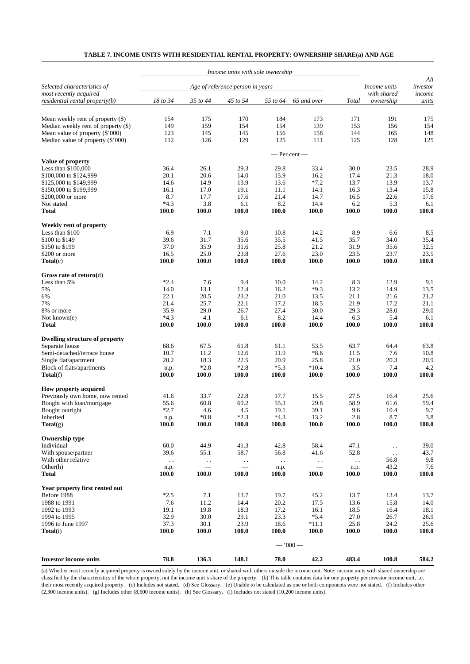| TABLE 7. INCOME UNITS WITH RESIDENTIAL RENTAL PROPERTY: OWNERSHIP SHARE(a) AND AGE |  |
|------------------------------------------------------------------------------------|--|
|------------------------------------------------------------------------------------|--|

|                                                              |               |               | Income units with sole ownership |                |                        |               |                          |                 |
|--------------------------------------------------------------|---------------|---------------|----------------------------------|----------------|------------------------|---------------|--------------------------|-----------------|
| Selected characteristics of                                  |               |               | Age of reference person in years |                |                        |               | Income units             | All<br>investor |
| most recently acquired<br>$residental$ rental property $(b)$ | 18 to 34      | 35 to 44      | 45 to 54                         | 55 to 64       | 65 and over            | Total         | with shared<br>ownership | income<br>units |
|                                                              |               |               |                                  |                |                        |               |                          |                 |
| Mean weekly rent of property $(\$)$                          | 154           | 175           | 170                              | 184            | 173                    | 171           | 191                      | 175             |
| Median weekly rent of property (\$)                          | 149           | 159           | 154                              | 154            | 139                    | 153           | 156                      | 154             |
| Mean value of property (\$'000)                              | 123           | 145           | 145                              | 156            | 158                    | 144           | 165                      | 148             |
| Median value of property (\$'000)                            | 112           | 126           | 129                              | 125            | 111                    | 125           | 128                      | 125             |
|                                                              |               |               |                                  |                |                        |               |                          |                 |
| Value of property                                            |               |               |                                  |                | $-$ Per cent $-$       |               |                          |                 |
| Less than \$100,000                                          | 36.4          | 26.1          | 29.3                             | 29.8           | 33.4                   | 30.0          | 23.5                     | 28.9            |
| \$100,000 to \$124,999                                       | 20.1          | 20.6          | 14.0                             | 15.9           | 16.2                   | 17.4          | 21.3                     | 18.0            |
| \$125,000 to \$149,999                                       | 14.6          | 14.9          | 13.9                             | 13.6           | $*7.2$                 | 13.7          | 13.9                     | 13.7            |
| \$150,000 to \$199,999                                       | 16.1          | 17.0          | 19.1                             | 11.1           | 14.1                   | 16.3          | 13.4                     | 15.8            |
| \$200,000 or more                                            | 8.7           | 17.7          | 17.6                             | 21.4           | 14.7                   | 16.5          | 22.6                     | 17.6            |
| Not stated                                                   | $*4.3$        | 3.8           | 6.1                              | 8.2            | 14.4                   | 6.2           | 5.3                      | 6.1             |
| <b>Total</b>                                                 | 100.0         | 100.0         | 100.0                            | 100.0          | 100.0                  | 100.0         | 100.0                    | 100.0           |
| Weekly rent of property                                      |               |               |                                  |                |                        |               |                          |                 |
| Less than \$100                                              | 6.9           | 7.1           | 9.0                              | 10.8           | 14.2                   | 8.9           | 6.6                      | 8.5             |
| \$100 to \$149                                               | 39.6          | 31.7          | 35.6                             | 35.5           | 41.5                   | 35.7          | 34.0                     | 35.4            |
| \$150 to \$199                                               | 37.0          | 35.9          | 31.6                             | 25.8           | 21.2                   | 31.9          | 35.6                     | 32.5            |
| \$200 or more<br>$\textbf{Total}(c)$                         | 16.5<br>100.0 | 25.0<br>100.0 | 23.8<br>100.0                    | 27.6<br>100.0  | 23.0<br>100.0          | 23.5<br>100.0 | 23.7<br>100.0            | 23.5<br>100.0   |
|                                                              |               |               |                                  |                |                        |               |                          |                 |
| Gross rate of return $(d)$                                   |               |               |                                  |                |                        |               |                          |                 |
| Less than 5%                                                 | $*2.4$        | 7.6           | 9.4                              | 10.0           | 14.2                   | 8.3           | 12.9                     | 9.1             |
| 5%                                                           | 14.0          | 13.1          | 12.4                             | 16.2           | $*9.3$                 | 13.2          | 14.9                     | 13.5            |
| 6%                                                           | 22.1          | 20.5          | 23.2                             | 21.0           | 13.5                   | 21.1          | 21.6                     | 21.2            |
| 7%<br>8% or more                                             | 21.4<br>35.9  | 25.7<br>29.0  | 22.1<br>26.7                     | 17.2<br>27.4   | 18.5<br>30.0           | 21.9<br>29.3  | 17.2<br>28.0             | 21.1<br>29.0    |
| Not known(e)                                                 | $*4.3$        | 4.1           | 6.1                              | 8.2            | 14.4                   | 6.3           | 5.4                      | 6.1             |
| <b>Total</b>                                                 | 100.0         | 100.0         | 100.0                            | 100.0          | 100.0                  | 100.0         | 100.0                    | 100.0           |
| <b>Dwelling structure of property</b>                        |               |               |                                  |                |                        |               |                          |                 |
| Separate house                                               | 68.6          | 67.5          | 61.8                             | 61.1           | 53.5                   | 63.7          | 64.4                     | 63.8            |
| Semi-detached/terrace house                                  | 10.7          | 11.2          | 12.6                             | 11.9           | $*8.6$                 | 11.5          | 7.6                      | 10.8            |
| Single flat/apartment                                        | 20.2          | 18.3          | 22.5                             | 20.9           | 25.8                   | 21.0          | 20.3                     | 20.9            |
| Block of flats/apartments                                    | n.p.          | $*2.8$        | $*2.8$                           | $*5.3$         | $*10.4$                | 3.5           | 7.4                      | 4.2             |
| Total(f)                                                     | 100.0         | 100.0         | 100.0                            | 100.0          | 100.0                  | 100.0         | 100.0                    | 100.0           |
| How property acquired                                        |               |               |                                  |                |                        |               |                          |                 |
| Previously own home, now rented                              | 41.6          | 33.7          | 22.8                             | 17.7           | 15.5                   | 27.5          | 16.4                     | 25.6            |
| Bought with loan/mortgage                                    | 55.6          | 60.8          | 69.2                             | 55.3           | 29.8                   | 58.9          | 61.6                     | 59.4            |
| Bought outright                                              | $*2.7$        | 4.6<br>$*0.8$ | 4.5<br>$*2.3$                    | 19.1<br>$*4.3$ | 39.1<br>13.2           | 9.6<br>2.8    | 10.4<br>8.7              | 9.7<br>3.8      |
| Inherited<br>Total(g)                                        | n.p.<br>100.0 | 100.0         | 100.0                            | 100.0          | 100.0                  | 100.0         | 100.0                    | 100.0           |
|                                                              |               |               |                                  |                |                        |               |                          |                 |
| <b>Ownership type</b>                                        |               |               |                                  |                |                        |               |                          |                 |
| Individual                                                   | 60.0          | 44.9          | 41.3                             | 42.8           | 58.4                   | 47.1          | $\sim$ .                 | 39.0            |
| With spouse/partner                                          | 39.6          | 55.1          | 58.7                             | 56.8           | 41.6                   | 52.8          | $\sim$ .                 | 43.7            |
| With other relative<br>Other(h)                              | $\sim$ .      | $\epsilon$ .  | $\ddot{\phantom{a}}$ .           | $\sim$ .       | $\ddot{\phantom{1}}$ . | $\sim$ .      | 56.8<br>43.2             | 9.8<br>7.6      |
| <b>Total</b>                                                 | n.p.<br>100.0 | 100.0         | 100.0                            | n.p.<br>100.0  | 100.0                  | n.p.<br>100.0 | 100.0                    | 100.0           |
|                                                              |               |               |                                  |                |                        |               |                          |                 |
| Year property first rented out                               |               |               |                                  |                |                        |               |                          |                 |
| Before 1988                                                  | $*2.5$        | 7.1           | 13.7                             | 19.7           | 45.2                   | 13.7          | 13.4                     | 13.7            |
| 1988 to 1991<br>1992 to 1993                                 | 7.6<br>19.1   | 11.2<br>19.8  | 14.4<br>18.3                     | 20.2<br>17.2   | 17.5                   | 13.6<br>18.5  | 15.8                     | 14.0            |
| 1994 to 1995                                                 | 32.9          | 30.0          | 29.1                             | 23.3           | 16.1<br>$*5.4$         | 27.0          | 16.4<br>26.7             | 18.1<br>26.9    |
| 1996 to June 1997                                            | 37.3          | 30.1          | 23.9                             | 18.6           | $*11.1$                | 25.8          | 24.2                     | 25.6            |
| Total(i)                                                     | 100.0         | 100.0         | 100.0                            | 100.0          | 100.0                  | 100.0         | 100.0                    | 100.0           |
|                                                              |               |               |                                  |                | $-1000-$               |               |                          |                 |
|                                                              |               |               |                                  |                |                        |               |                          |                 |
| <b>Investor income units</b>                                 | 78.8          | 136.3         | 148.1                            | 78.0           | 42.2                   | 483.4         | 100.8                    | 584.2           |

(a) Whether most recently acquired property is owned solely by the income unit, or shared with others outside the income unit. Note: income units with shared ownership are classified by the characteristics of the whole property, not the income unit's share of the property. (b) This table contains data for one property per investor income unit, i.e. their most recently acquired property. (c) Includes not stated. (d) See Glossary. (e) Unable to be calculated as one or both components were not stated. (f) Includes other (2,300 income units). (g) Includes other (8,600 income units). (h) See Glossary. (i) Includes not stated (10,200 income units).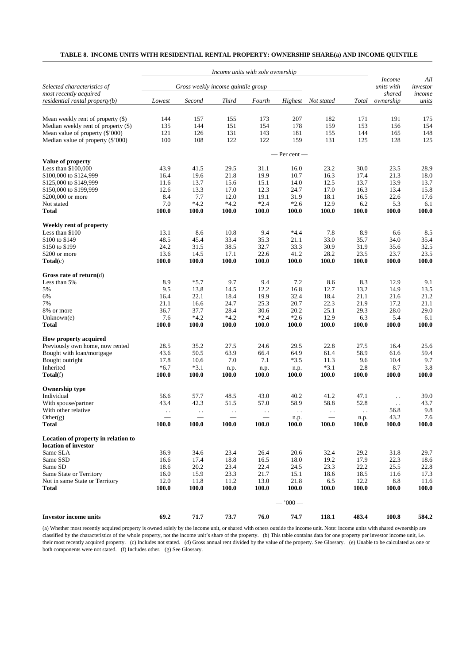# **TABLE 8. INCOME UNITS WITH RESIDENTIAL RENTAL PROPERTY: OWNERSHIP SHARE(a) AND INCOME QUINTILE**

|                                                       |                      |                                    | Income units with sole ownership |                          |                        |                          |                        |                                       |                           |
|-------------------------------------------------------|----------------------|------------------------------------|----------------------------------|--------------------------|------------------------|--------------------------|------------------------|---------------------------------------|---------------------------|
| Selected characteristics of<br>most recently acquired |                      | Gross weekly income quintile group |                                  |                          |                        |                          |                        | <i>Income</i><br>units with<br>shared | All<br>investor<br>income |
| residential rental property(b)                        | Lowest               | Second                             | <b>Third</b>                     | Fourth                   | Highest                | Not stated               | Total                  | ownership                             | units                     |
|                                                       |                      |                                    |                                  |                          |                        |                          |                        |                                       |                           |
| Mean weekly rent of property (\$)                     | 144                  | 157                                | 155                              | 173                      | 207                    | 182                      | 171                    | 191                                   | 175                       |
| Median weekly rent of property (\$)                   | 135                  | 144                                | 151                              | 154                      | 178                    | 159                      | 153                    | 156                                   | 154                       |
| Mean value of property (\$'000)                       | 121                  | 126                                | 131                              | 143                      | 181                    | 155                      | 144                    | 165                                   | 148                       |
| Median value of property (\$'000)                     | 100                  | 108                                | 122                              | 122                      | 159                    | 131                      | 125                    | 128                                   | 125                       |
|                                                       |                      |                                    |                                  |                          | $-$ Per cent $-$       |                          |                        |                                       |                           |
| Value of property                                     |                      |                                    |                                  |                          |                        |                          |                        |                                       |                           |
| Less than \$100,000                                   | 43.9                 | 41.5                               | 29.5                             | 31.1                     | 16.0                   | 23.2                     | 30.0                   | 23.5                                  | 28.9                      |
| \$100,000 to \$124,999                                | 16.4                 | 19.6                               | 21.8                             | 19.9                     | 10.7                   | 16.3                     | 17.4                   | 21.3                                  | 18.0                      |
| \$125,000 to \$149,999                                | 11.6                 | 13.7                               | 15.6                             | 15.1                     | 14.0                   | 12.5                     | 13.7                   | 13.9                                  | 13.7                      |
| \$150,000 to \$199,999                                | 12.6                 | 13.3                               | 17.0                             | 12.3                     | 24.7                   | 17.0                     | 16.3                   | 13.4                                  | 15.8                      |
| \$200,000 or more                                     | 8.4                  | 7.7                                | 12.0                             | 19.1                     | 31.9                   | 18.1                     | 16.5                   | 22.6                                  | 17.6                      |
| Not stated                                            | 7.0                  | $*4.2$                             | $*4.2$                           | $*2.4$                   | $*2.6$                 | 12.9                     | 6.2                    | 5.3                                   | 6.1                       |
| <b>Total</b>                                          | 100.0                | 100.0                              | 100.0                            | 100.0                    | 100.0                  | 100.0                    | 100.0                  | 100.0                                 | 100.0                     |
| Weekly rent of property                               |                      |                                    |                                  |                          |                        |                          |                        |                                       |                           |
| Less than \$100                                       | 13.1                 | 8.6                                | 10.8                             | 9.4                      | $*4.4$                 | 7.8                      | 8.9                    | 6.6                                   | 8.5                       |
| \$100 to \$149                                        | 48.5                 | 45.4                               | 33.4                             | 35.3                     | 21.1                   | 33.0                     | 35.7                   | 34.0                                  | 35.4                      |
| \$150 to \$199                                        | 24.2                 | 31.5                               | 38.5                             | 32.7                     | 33.3                   | 30.9                     | 31.9                   | 35.6                                  | 32.5                      |
| \$200 or more                                         | 13.6                 | 14.5                               | 17.1                             | 22.6                     | 41.2                   | 28.2                     | 23.5                   | 23.7                                  | 23.5                      |
| $\textbf{Total}(c)$                                   | 100.0                | 100.0                              | 100.0                            | 100.0                    | 100.0                  | 100.0                    | 100.0                  | 100.0                                 | <b>100.0</b>              |
| Gross rate of return $(d)$                            |                      |                                    |                                  |                          |                        |                          |                        |                                       |                           |
| Less than 5%                                          | 8.9                  | $*5.7$                             | 9.7                              | 9.4                      | 7.2                    | 8.6                      | 8.3                    | 12.9                                  | 9.1                       |
| 5%                                                    | 9.5                  | 13.8                               | 14.5                             | 12.2                     | 16.8                   | 12.7                     | 13.2                   | 14.9                                  | 13.5                      |
| 6%                                                    | 16.4                 | 22.1                               | 18.4                             | 19.9                     | 32.4                   | 18.4                     | 21.1                   | 21.6                                  | 21.2                      |
| 7%                                                    | 21.1                 | 16.6                               | 24.7                             | 25.3                     | 20.7                   | 22.3                     | 21.9                   | 17.2                                  | 21.1                      |
| 8% or more                                            | 36.7                 | 37.7                               | 28.4                             | 30.6                     | 20.2                   | 25.1                     | 29.3                   | 28.0                                  | 29.0                      |
| Unknown(e)                                            | 7.6                  | $*4.2$                             | $*4.2$                           | $*2.4$                   | $*2.6$                 | 12.9                     | 6.3                    | 5.4                                   | 6.1                       |
| Total                                                 | 100.0                | 100.0                              | 100.0                            | 100.0                    | 100.0                  | 100.0                    | 100.0                  | 100.0                                 | 100.0                     |
| <b>How property acquired</b>                          |                      |                                    |                                  |                          |                        |                          |                        |                                       |                           |
| Previously own home, now rented                       | 28.5                 | 35.2                               | 27.5                             | 24.6                     | 29.5                   | 22.8                     | 27.5                   | 16.4                                  | 25.6                      |
| Bought with loan/mortgage                             | 43.6                 | 50.5                               | 63.9                             | 66.4                     | 64.9                   | 61.4                     | 58.9                   | 61.6                                  | 59.4                      |
| Bought outright                                       | 17.8                 | 10.6                               | 7.0                              | 7.1                      | $*3.5$                 | 11.3                     | 9.6                    | 10.4                                  | 9.7                       |
| Inherited                                             | $*6.7$               | $*3.1$                             | n.p.                             | n.p.                     | n.p.                   | $*3.1$                   | 2.8                    | 8.7                                   | 3.8                       |
| $\textbf{Total}(f)$                                   | 100.0                | 100.0                              | <b>100.0</b>                     | <b>100.0</b>             | <b>100.0</b>           | 100.0                    | 100.0                  | 100.0                                 | <b>100.0</b>              |
| <b>Ownership type</b>                                 |                      |                                    |                                  |                          |                        |                          |                        |                                       |                           |
| Individual                                            | 56.6                 | 57.7                               | 48.5                             | 43.0                     | 40.2                   | 41.2                     | 47.1                   | $\ddot{\phantom{0}}$                  | 39.0                      |
| With spouse/partner                                   | 43.4                 | 42.3                               | 51.5                             | 57.0                     | 58.9                   | 58.8                     | 52.8                   | $\sim$ $\sim$                         | 43.7                      |
| With other relative                                   | $\ddot{\phantom{0}}$ | $\ddot{\phantom{0}}$               | $\ddot{\phantom{1}}$ .           | $\ddot{\phantom{1}}$ .   | $\ddot{\phantom{1}}$ . | $\ddot{\phantom{1}}$ .   | $\ddot{\phantom{1}}$ . | 56.8                                  | 9.8                       |
| Other(g)                                              |                      | $\frac{1}{2}$                      |                                  | $\overline{\phantom{0}}$ | n.p.                   | $\overline{\phantom{0}}$ | n.p.                   | 43.2                                  | 7.6                       |
| Total                                                 | 100.0                | 100.0                              | 100.0                            | $\bf 100.0$              | <b>100.0</b>           | 100.0                    | <b>100.0</b>           | <b>100.0</b>                          | <b>100.0</b>              |
| Location of property in relation to                   |                      |                                    |                                  |                          |                        |                          |                        |                                       |                           |
| location of investor                                  |                      |                                    |                                  |                          |                        |                          |                        |                                       |                           |
| Same SLA                                              | 36.9                 | 34.6                               | 23.4                             | 26.4                     | 20.6                   | 32.4                     | 29.2                   | 31.8                                  | 29.7                      |
| Same SSD                                              | 16.6                 | 17.4                               | 18.8                             | 16.5                     | 18.0                   | 19.2                     | 17.9                   | 22.3                                  | 18.6                      |
| Same SD                                               | 18.6                 | 20.2                               | 23.4                             | 22.4                     | 24.5                   | 23.3                     | 22.2                   | 25.5                                  | 22.8                      |
| Same State or Territory                               | 16.0                 | 15.9                               | 23.3                             | 21.7                     | 15.1                   | 18.6                     | 18.5                   | 11.6                                  | 17.3                      |
| Not in same State or Territory                        | 12.0                 | 11.8                               | 11.2                             | 13.0                     | 21.8                   | 6.5                      | 12.2                   | 8.8                                   | 11.6                      |
| Total                                                 | 100.0                | 100.0                              | <b>100.0</b>                     | 100.0                    | <b>100.0</b>           | 100.0                    | 100.0                  | 100.0                                 | 100.0                     |
|                                                       |                      |                                    |                                  |                          | $-1000-$               |                          |                        |                                       |                           |
| <b>Investor income units</b>                          | 69.2                 | 71.7                               | 73.7                             | 76.0                     | 74.7                   | 118.1                    | 483.4                  | 100.8                                 | 584.2                     |
|                                                       |                      |                                    |                                  |                          |                        |                          |                        |                                       |                           |

(a) Whether most recently acquired property is owned solely by the income unit, or shared with others outside the income unit. Note: income units with shared ownership are classified by the characteristics of the whole property, not the income unit's share of the property. (b) This table contains data for one property per investor income unit, i.e. their most recently acquired property. (c) Includes not stated. (d) Gross annual rent divided by the value of the property. See Glossary. (e) Unable to be calculated as one or both components were not stated. (f) Includes other. (g) See Glossary.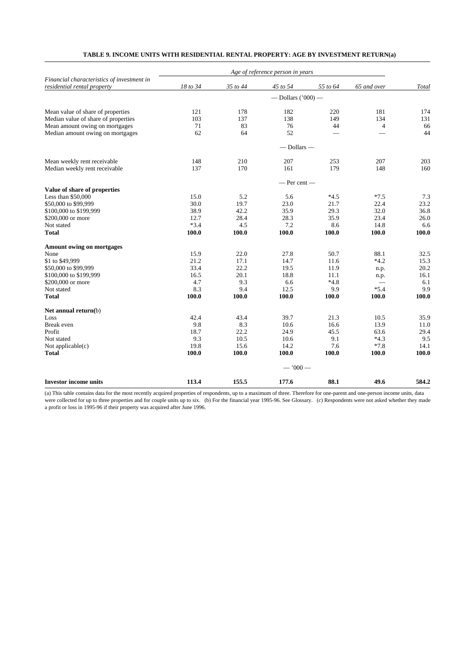| Financial characteristics of investment in<br>residential rental property | 18 to 34 | 35 to 44 | 45 to 54             | 55 to 64 | 65 and over              | Total |
|---------------------------------------------------------------------------|----------|----------|----------------------|----------|--------------------------|-------|
|                                                                           |          |          | — Dollars $('000)$ — |          |                          |       |
| Mean value of share of properties                                         | 121      | 178      | 182                  | 220      | 181                      | 174   |
| Median value of share of properties                                       | 103      | 137      | 138                  | 149      | 134                      | 131   |
| Mean amount owing on mortgages                                            | 71       | 83       | 76                   | 44       | $\overline{4}$           | 66    |
| Median amount owing on mortgages                                          | 62       | 64       | 52                   |          | $\overline{\phantom{0}}$ | 44    |
|                                                                           |          |          | $-$ Dollars $-$      |          |                          |       |
| Mean weekly rent receivable                                               | 148      | 210      | 207                  | 253      | 207                      | 203   |
| Median weekly rent receivable                                             | 137      | 170      | 161                  | 179      | 148                      | 160   |
|                                                                           |          |          | $-$ Per cent $-$     |          |                          |       |
| Value of share of properties                                              |          |          |                      |          |                          |       |
| Less than \$50,000                                                        | 15.0     | 5.2      | 5.6                  | $*4.5$   | $*7.5$                   | 7.3   |
| \$50,000 to \$99,999                                                      | 30.0     | 19.7     | 23.0                 | 21.7     | 22.4                     | 23.2  |
| \$100,000 to \$199,999                                                    | 38.9     | 42.2     | 35.9                 | 29.3     | 32.0                     | 36.8  |
| \$200,000 or more                                                         | 12.7     | 28.4     | 28.3                 | 35.9     | 23.4                     | 26.0  |
| Not stated                                                                | $*3.4$   | 4.5      | 7.2                  | 8.6      | 14.8                     | 6.6   |
| <b>Total</b>                                                              | 100.0    | 100.0    | 100.0                | 100.0    | 100.0                    | 100.0 |
| <b>Amount owing on mortgages</b>                                          |          |          |                      |          |                          |       |
| None                                                                      | 15.9     | 22.0     | 27.8                 | 50.7     | 88.1                     | 32.5  |
| \$1 to \$49,999                                                           | 21.2     | 17.1     | 14.7                 | 11.6     | $*4.2$                   | 15.3  |
| \$50,000 to \$99,999                                                      | 33.4     | 22.2     | 19.5                 | 11.9     | n.p.                     | 20.2  |
| \$100,000 to \$199,999                                                    | 16.5     | 20.1     | 18.8                 | 11.1     | n.p.                     | 16.1  |
| \$200,000 or more                                                         | 4.7      | 9.3      | 6.6                  | $*4.8$   |                          | 6.1   |
| Not stated                                                                | 8.3      | 9.4      | 12.5                 | 9.9      | $*5.4$                   | 9.9   |
| <b>Total</b>                                                              | 100.0    | 100.0    | 100.0                | 100.0    | 100.0                    | 100.0 |
| Net annual return(b)                                                      |          |          |                      |          |                          |       |
| Loss                                                                      | 42.4     | 43.4     | 39.7                 | 21.3     | 10.5                     | 35.9  |
| <b>Break</b> even                                                         | 9.8      | 8.3      | 10.6                 | 16.6     | 13.9                     | 11.0  |
| Profit                                                                    | 18.7     | 22.2     | 24.9                 | 45.5     | 63.6                     | 29.4  |
| Not stated                                                                | 9.3      | 10.5     | 10.6                 | 9.1      | $*4.3$                   | 9.5   |
| Not applicable $(c)$                                                      | 19.8     | 15.6     | 14.2                 | 7.6      | $*7.8$                   | 14.1  |
| <b>Total</b>                                                              | 100.0    | 100.0    | 100.0                | 100.0    | 100.0                    | 100.0 |
|                                                                           |          |          | $-1000-$             |          |                          |       |
| <b>Investor income units</b>                                              | 113.4    | 155.5    | 177.6                | 88.1     | 49.6                     | 584.2 |

# **TABLE 9. INCOME UNITS WITH RESIDENTIAL RENTAL PROPERTY: AGE BY INVESTMENT RETURN(a)**

(a) This table contains data for the most recently acquired properties of respondents, up to a maximum of three. Therefore for one-parent and one-person income units, data were collected for up to three properties and for couple units up to six. (b) For the financial year 1995-96. See Glossary. (c) Respondents were not asked whether they made a profit or loss in 1995-96 if their property was acquired after June 1996.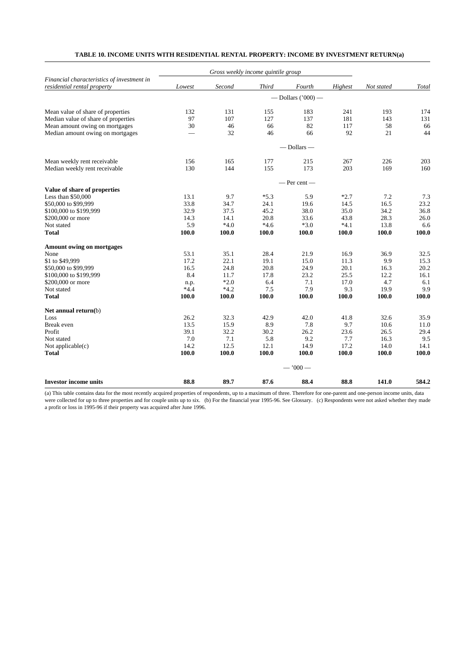| Financial characteristics of investment in<br>residential rental property | Lowest | Second | <b>Third</b> | Fourth                 | Highest | Not stated | Total |
|---------------------------------------------------------------------------|--------|--------|--------------|------------------------|---------|------------|-------|
|                                                                           |        |        |              | $-$ Dollars ('000) $-$ |         |            |       |
| Mean value of share of properties                                         | 132    | 131    | 155          | 183                    | 241     | 193        | 174   |
| Median value of share of properties                                       | 97     | 107    | 127          | 137                    | 181     | 143        | 131   |
| Mean amount owing on mortgages                                            | 30     | 46     | 66           | 82                     | 117     | 58         | 66    |
| Median amount owing on mortgages                                          |        | 32     | 46           | 66                     | 92      | 21         | 44    |
|                                                                           |        |        |              | $-$ Dollars $-$        |         |            |       |
| Mean weekly rent receivable                                               | 156    | 165    | 177          | 215                    | 267     | 226        | 203   |
| Median weekly rent receivable                                             | 130    | 144    | 155          | 173                    | 203     | 169        | 160   |
|                                                                           |        |        |              | $-$ Per cent $-$       |         |            |       |
| Value of share of properties                                              |        |        |              |                        |         |            |       |
| Less than $$50,000$                                                       | 13.1   | 9.7    | $*5.3$       | 5.9                    | $*2.7$  | 7.2        | 7.3   |
| \$50,000 to \$99,999                                                      | 33.8   | 34.7   | 24.1         | 19.6                   | 14.5    | 16.5       | 23.2  |
| \$100,000 to \$199,999                                                    | 32.9   | 37.5   | 45.2         | 38.0                   | 35.0    | 34.2       | 36.8  |
| \$200,000 or more                                                         | 14.3   | 14.1   | 20.8         | 33.6                   | 43.8    | 28.3       | 26.0  |
| Not stated                                                                | 5.9    | $*4.0$ | $*4.6$       | $*3.0$                 | $*4.1$  | 13.8       | 6.6   |
| <b>Total</b>                                                              | 100.0  | 100.0  | 100.0        | 100.0                  | 100.0   | 100.0      | 100.0 |
| <b>Amount owing on mortgages</b>                                          |        |        |              |                        |         |            |       |
| None                                                                      | 53.1   | 35.1   | 28.4         | 21.9                   | 16.9    | 36.9       | 32.5  |
| \$1 to \$49,999                                                           | 17.2   | 22.1   | 19.1         | 15.0                   | 11.3    | 9.9        | 15.3  |
| \$50,000 to \$99,999                                                      | 16.5   | 24.8   | 20.8         | 24.9                   | 20.1    | 16.3       | 20.2  |
| \$100,000 to \$199,999                                                    | 8.4    | 11.7   | 17.8         | 23.2                   | 25.5    | 12.2       | 16.1  |
| \$200,000 or more                                                         | n.p.   | $*2.0$ | 6.4          | 7.1                    | 17.0    | 4.7        | 6.1   |
| Not stated                                                                | $*4.4$ | $*4.2$ | 7.5          | 7.9                    | 9.3     | 19.9       | 9.9   |
| <b>Total</b>                                                              | 100.0  | 100.0  | 100.0        | 100.0                  | 100.0   | 100.0      | 100.0 |
| Net annual return(b)                                                      |        |        |              |                        |         |            |       |
| Loss                                                                      | 26.2   | 32.3   | 42.9         | 42.0                   | 41.8    | 32.6       | 35.9  |
| Break even                                                                | 13.5   | 15.9   | 8.9          | 7.8                    | 9.7     | 10.6       | 11.0  |
| Profit                                                                    | 39.1   | 32.2   | 30.2         | 26.2                   | 23.6    | 26.5       | 29.4  |
| Not stated                                                                | 7.0    | 7.1    | 5.8          | 9.2                    | 7.7     | 16.3       | 9.5   |
| Not applicable(c)                                                         | 14.2   | 12.5   | 12.1         | 14.9                   | 17.2    | 14.0       | 14.1  |
| <b>Total</b>                                                              | 100.0  | 100.0  | 100.0        | 100.0                  | 100.0   | 100.0      | 100.0 |
|                                                                           |        |        |              | $-7000-$               |         |            |       |
| <b>Investor income units</b>                                              | 88.8   | 89.7   | 87.6         | 88.4                   | 88.8    | 141.0      | 584.2 |

# **TABLE 10. INCOME UNITS WITH RESIDENTIAL RENTAL PROPERTY: INCOME BY INVESTMENT RETURN(a)**

(a) This table contains data for the most recently acquired properties of respondents, up to a maximum of three. Therefore for one-parent and one-person income units, data were collected for up to three properties and for couple units up to six. (b) For the financial year 1995-96. See Glossary. (c) Respondents were not asked whether they made a profit or loss in 1995-96 if their property was acquired after June 1996.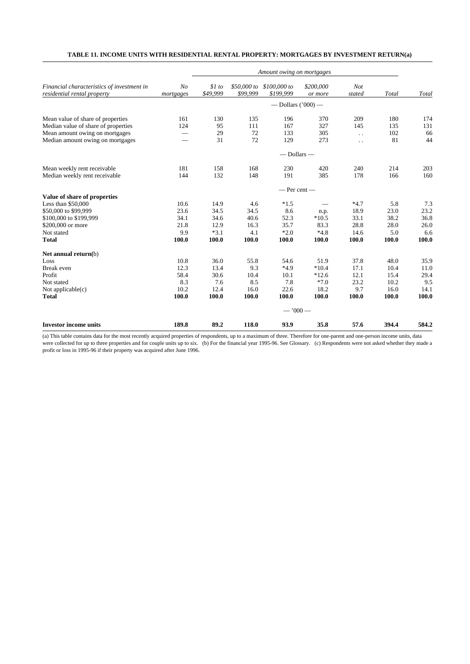# **TABLE 11. INCOME UNITS WITH RESIDENTIAL RENTAL PROPERTY: MORTGAGES BY INVESTMENT RETURN(a)**

|                                                                           |                             |                    | Amount owing on mortgages |                                       |                      |                      |       |       |  |  |
|---------------------------------------------------------------------------|-----------------------------|--------------------|---------------------------|---------------------------------------|----------------------|----------------------|-------|-------|--|--|
| Financial characteristics of investment in<br>residential rental property | N <sub>O</sub><br>mortgages | \$1 to<br>\$49,999 | \$99,999                  | \$50,000 to \$100,000 to<br>\$199,999 | \$200,000<br>or more | <b>Not</b><br>stated | Total | Total |  |  |
|                                                                           |                             |                    |                           | — Dollars $(200)$ —                   |                      |                      |       |       |  |  |
| Mean value of share of properties                                         | 161                         | 130                | 135                       | 196                                   | 370                  | 209                  | 180   | 174   |  |  |
| Median value of share of properties                                       | 124                         | 95                 | 111                       | 167                                   | 327                  | 145                  | 135   | 131   |  |  |
| Mean amount owing on mortgages                                            |                             | 29                 | 72                        | 133                                   | 305                  | $\ddot{\phantom{a}}$ | 102   | 66    |  |  |
| Median amount owing on mortgages                                          |                             | 31                 | 72                        | 129                                   | 273                  | $\ddot{\phantom{0}}$ | 81    | 44    |  |  |
|                                                                           |                             |                    |                           | $-$ Dollars $-$                       |                      |                      |       |       |  |  |
| Mean weekly rent receivable                                               | 181                         | 158                | 168                       | 230                                   | 420                  | 240                  | 214   | 203   |  |  |
| Median weekly rent receivable                                             | 144                         | 132                | 148                       | 191                                   | 385                  | 178                  | 166   | 160   |  |  |
|                                                                           |                             |                    |                           | $-$ Per cent $-$                      |                      |                      |       |       |  |  |
| Value of share of properties                                              |                             |                    |                           |                                       |                      |                      |       |       |  |  |
| Less than $$50,000$                                                       | 10.6                        | 14.9               | 4.6                       | $*1.5$                                |                      | $*4.7$               | 5.8   | 7.3   |  |  |
| \$50,000 to \$99,999                                                      | 23.6                        | 34.5               | 34.5                      | 8.6                                   | n.p.                 | 18.9                 | 23.0  | 23.2  |  |  |
| \$100,000 to \$199,999                                                    | 34.1                        | 34.6               | 40.6                      | 52.3                                  | $*10.5$              | 33.1                 | 38.2  | 36.8  |  |  |
| \$200,000 or more                                                         | 21.8                        | 12.9               | 16.3                      | 35.7                                  | 83.3                 | 28.8                 | 28.0  | 26.0  |  |  |
| Not stated                                                                | 9.9                         | $*3.1$             | 4.1                       | $*2.0$                                | $*4.8$               | 14.6                 | 5.0   | 6.6   |  |  |
| <b>Total</b>                                                              | 100.0                       | 100.0              | 100.0                     | 100.0                                 | 100.0                | 100.0                | 100.0 | 100.0 |  |  |
| Net annual return(b)                                                      |                             |                    |                           |                                       |                      |                      |       |       |  |  |
| Loss                                                                      | 10.8                        | 36.0               | 55.8                      | 54.6                                  | 51.9                 | 37.8                 | 48.0  | 35.9  |  |  |
| Break even                                                                | 12.3                        | 13.4               | 9.3                       | $*4.9$                                | $*10.4$              | 17.1                 | 10.4  | 11.0  |  |  |
| Profit                                                                    | 58.4                        | 30.6               | 10.4                      | 10.1                                  | $*12.6$              | 12.1                 | 15.4  | 29.4  |  |  |
| Not stated                                                                | 8.3                         | 7.6                | 8.5                       | 7.8                                   | $*7.0$               | 23.2                 | 10.2  | 9.5   |  |  |
| Not applicable $(c)$                                                      | 10.2                        | 12.4               | 16.0                      | 22.6                                  | 18.2                 | 9.7                  | 16.0  | 14.1  |  |  |
| <b>Total</b>                                                              | 100.0                       | 100.0              | 100.0                     | 100.0                                 | 100.0                | 100.0                | 100.0 | 100.0 |  |  |
|                                                                           |                             |                    |                           | $-7000-$                              |                      |                      |       |       |  |  |
| <b>Investor income units</b>                                              | 189.8                       | 89.2               | 118.0                     | 93.9                                  | 35.8                 | 57.6                 | 394.4 | 584.2 |  |  |

(a) This table contains data for the most recently acquired properties of respondents, up to a maximum of three. Therefore for one-parent and one-person income units, data were collected for up to three properties and for couple units up to six. (b) For the financial year 1995-96. See Glossary. (c) Respondents were not asked whether they made a profit or loss in 1995-96 if their property was acquired after June 1996.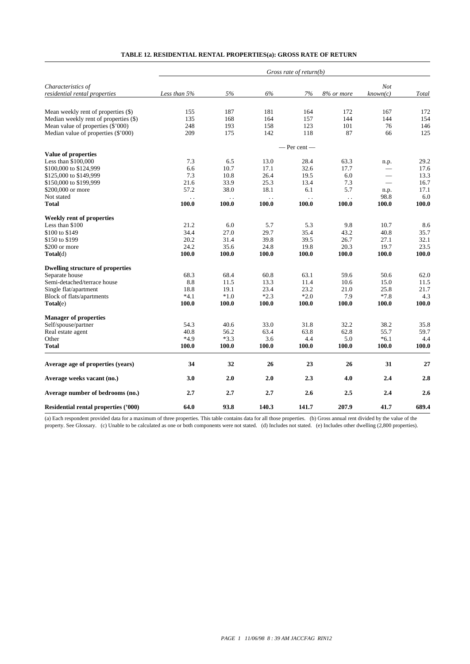| TABLE 12. RESIDENTIAL RENTAL PROPERTIES(a): GROSS RATE OF RETURN |  |  |  |
|------------------------------------------------------------------|--|--|--|
|------------------------------------------------------------------|--|--|--|

|                                         | Gross rate of return(b) |                                 |                               |                    |                                 |                          |       |  |  |  |
|-----------------------------------------|-------------------------|---------------------------------|-------------------------------|--------------------|---------------------------------|--------------------------|-------|--|--|--|
| Characteristics of                      |                         |                                 |                               |                    |                                 | Not                      |       |  |  |  |
| residential rental properties           | Less than 5%            | 5%                              | 6%                            | 7%                 | 8% or more                      | known(c)                 | Total |  |  |  |
|                                         |                         |                                 |                               |                    |                                 |                          |       |  |  |  |
| Mean weekly rent of properties (\$)     | 155                     | 187                             | 181                           | 164                | 172                             | 167                      | 172   |  |  |  |
| Median weekly rent of properties (\$)   | 135                     | 168                             | 164                           | 157                | 144                             | 144                      | 154   |  |  |  |
| Mean value of properties (\$'000)       | 248                     | 193                             | 158                           | 123                | 101                             | 76                       | 146   |  |  |  |
| Median value of properties (\$'000)     | 209                     | 175                             | 142                           | 118                | 87                              | 66                       | 125   |  |  |  |
|                                         |                         |                                 |                               | — Per cent —       |                                 |                          |       |  |  |  |
| Value of properties                     |                         |                                 |                               |                    |                                 |                          |       |  |  |  |
| Less than \$100,000                     | 7.3                     | 6.5                             | 13.0                          | 28.4               | 63.3                            | n.p.                     | 29.2  |  |  |  |
| \$100,000 to \$124,999                  | 6.6                     | 10.7                            | 17.1                          | 32.6               | 17.7                            |                          | 17.6  |  |  |  |
| \$125,000 to \$149,999                  | 7.3                     | 10.8                            | 26.4                          | 19.5               | 6.0                             | $\overline{\phantom{0}}$ | 13.3  |  |  |  |
| \$150,000 to \$199,999                  | 21.6                    | 33.9                            | 25.3                          | 13.4               | 7.3                             | $\qquad \qquad$          | 16.7  |  |  |  |
| \$200,000 or more                       | 57.2                    | 38.0                            | 18.1                          | 6.1                | 5.7                             | n.p.                     | 17.1  |  |  |  |
| Not stated                              |                         |                                 |                               |                    |                                 | 98.8                     | 6.0   |  |  |  |
| <b>Total</b>                            | $\ddotsc$<br>100.0      | $\ddot{\phantom{a}}$ .<br>100.0 | $\ddot{\phantom{a}}$<br>100.0 | $\ddotsc$<br>100.0 | $\ddot{\phantom{a}}$ .<br>100.0 | 100.0                    | 100.0 |  |  |  |
|                                         |                         |                                 |                               |                    |                                 |                          |       |  |  |  |
| <b>Weekly rent of properties</b>        |                         |                                 |                               |                    |                                 |                          |       |  |  |  |
| Less than \$100                         | 21.2                    | 6.0                             | 5.7                           | 5.3                | 9.8                             | 10.7                     | 8.6   |  |  |  |
| \$100 to \$149                          | 34.4                    | 27.0                            | 29.7                          | 35.4               | 43.2                            | 40.8                     | 35.7  |  |  |  |
| \$150 to \$199                          | 20.2                    | 31.4                            | 39.8                          | 39.5               | 26.7                            | 27.1                     | 32.1  |  |  |  |
| \$200 or more                           | 24.2                    | 35.6                            | 24.8                          | 19.8               | 20.3                            | 19.7                     | 23.5  |  |  |  |
| Total(d)                                | 100.0                   | 100.0                           | 100.0                         | 100.0              | 100.0                           | 100.0                    | 100.0 |  |  |  |
| <b>Dwelling structure of properties</b> |                         |                                 |                               |                    |                                 |                          |       |  |  |  |
| Separate house                          | 68.3                    | 68.4                            | 60.8                          | 63.1               | 59.6                            | 50.6                     | 62.0  |  |  |  |
| Semi-detached/terrace house             | 8.8                     | 11.5                            | 13.3                          | 11.4               | 10.6                            | 15.0                     | 11.5  |  |  |  |
| Single flat/apartment                   | 18.8                    | 19.1                            | 23.4                          | 23.2               | 21.0                            | 25.8                     | 21.7  |  |  |  |
| Block of flats/apartments               | $*4.1$                  | $*1.0$                          | $*2.3$                        | $*2.0$             | 7.9                             | $*7.8$                   | 4.3   |  |  |  |
| Total(e)                                | 100.0                   | 100.0                           | 100.0                         | 100.0              | 100.0                           | 100.0                    | 100.0 |  |  |  |
|                                         |                         |                                 |                               |                    |                                 |                          |       |  |  |  |
| <b>Manager of properties</b>            |                         |                                 |                               |                    |                                 |                          |       |  |  |  |
| Self/spouse/partner                     | 54.3                    | 40.6                            | 33.0                          | 31.8               | 32.2                            | 38.2                     | 35.8  |  |  |  |
| Real estate agent                       | 40.8                    | 56.2                            | 63.4                          | 63.8               | 62.8                            | 55.7                     | 59.7  |  |  |  |
| Other                                   | $*4.9$                  | $*3.3$                          | 3.6                           | 4.4                | 5.0                             | $*6.1$                   | 4.4   |  |  |  |
| <b>Total</b>                            | 100.0                   | 100.0                           | 100.0                         | 100.0              | 100.0                           | 100.0                    | 100.0 |  |  |  |
| Average age of properties (years)       | 34                      | 32                              | 26                            | 23                 | 26                              | 31                       | 27    |  |  |  |
| Average weeks vacant (no.)              | 3.0                     | 2.0                             | 2.0                           | 2.3                | 4.0                             | 2.4                      | 2.8   |  |  |  |
| Average number of bedrooms (no.)        | 2.7                     | 2.7                             | 2.7                           | 2.6                | 2.5                             | 2.4                      | 2.6   |  |  |  |
| Residential rental properties ('000)    | 64.0                    | 93.8                            | 140.3                         | 141.7              | 207.9                           | 41.7                     | 689.4 |  |  |  |

(a) Each respondent provided data for a maximum of three properties. This table contains data for all those properties. (b) Gross annual rent divided by the value of the property. See Glossary. (c) Unable to be calculated as one or both components were not stated. (d) Includes not stated. (e) Includes other dwelling (2,800 properties).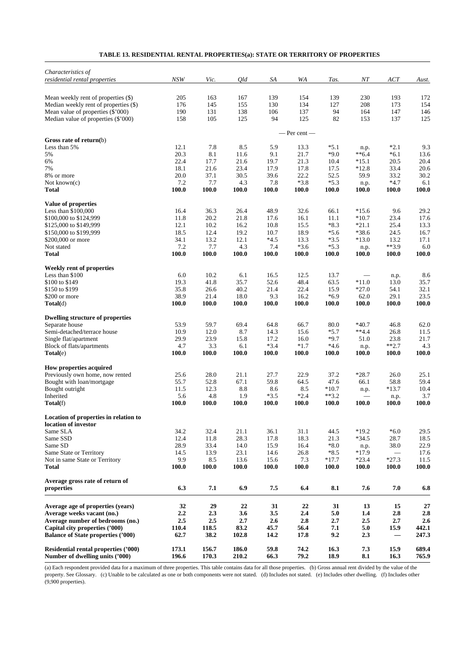| Characteristics of                                 |              |              |              |                |                |                  |                          |                  |              |
|----------------------------------------------------|--------------|--------------|--------------|----------------|----------------|------------------|--------------------------|------------------|--------------|
| residential rental properties                      | NSW          | Vic.         | <i>Old</i>   | SA             | WA             | Tas.             | NT                       | ACT              | Aust.        |
| Mean weekly rent of properties (\$)                | 205          | 163          | 167          | 139            | 154            | 139              | 230                      | 193              | 172          |
| Median weekly rent of properties (\$)              | 176          | 145          | 155          | 130            | 134            | 127              | 208                      | 173              | 154          |
| Mean value of properties (\$'000)                  | 190          | 131          | 138          | 106            | 137            | 94               | 164                      | 147              | 146          |
| Median value of properties (\$'000)                | 158          | 105          | 125          | 94             | 125            | 82               | 153                      | 137              | 125          |
|                                                    |              |              |              |                | — Per cent —   |                  |                          |                  |              |
| Gross rate of return $(b)$                         |              |              |              |                |                |                  |                          |                  |              |
| Less than 5%                                       | 12.1         | 7.8          | 8.5          | 5.9            | 13.3           | $*5.1$           | n.p.                     | $*2.1$           | 9.3          |
| 5%<br>6%                                           | 20.3<br>22.4 | 8.1<br>17.7  | 11.6<br>21.6 | 9.1<br>19.7    | 21.7<br>21.3   | $*9.0$<br>10.4   | $**6.4$<br>$*15.1$       | $*6.1$<br>20.5   | 13.6<br>20.4 |
| 7%                                                 | 18.1         | 21.6         | 23.4         | 17.9           | 17.8           | 17.5             | $*12.8$                  | 33.4             | 20.6         |
| 8% or more                                         | 20.0         | 37.1         | 30.5         | 39.6           | 22.2           | 52.5             | 59.9                     | 33.2             | 30.2         |
| Not known(c)                                       | 7.2          | 7.7          | 4.3          | 7.8            | $*3.8$         | $*5.3$           | n.p.                     | $*4.7$           | 6.1          |
| Total                                              | 100.0        | 100.0        | 100.0        | 100.0          | 100.0          | 100.0            | 100.0                    | 100.0            | 100.0        |
| Value of properties                                |              |              |              |                |                |                  |                          |                  |              |
| Less than $$100,000$                               | 16.4         | 36.3         | 26.4         | 48.9           | 32.6           | 66.1             | $*15.6$                  | 9.6              | 29.2         |
| \$100,000 to \$124,999                             | 11.8         | 20.2         | 21.8         | 17.6           | 16.1           | 11.1             | $*10.7$                  | 23.4             | 17.6         |
| \$125,000 to \$149,999                             | 12.1         | 10.2         | 16.2         | 10.8           | 15.5           | $*8.3$           | $*21.1$                  | 25.4             | 13.3         |
| \$150,000 to \$199,999                             | 18.5         | 12.4         | 19.2         | 10.7           | 18.9           | $*5.6$           | $*38.6$                  | 24.5             | 16.7         |
| \$200,000 or more<br>Not stated                    | 34.1<br>7.2  | 13.2<br>7.7  | 12.1<br>4.3  | $*4.5$<br>7.4  | 13.3<br>$*3.6$ | $*3.5$<br>$*5.3$ | $*13.0$                  | 13.2<br>$**3.9$  | 17.1<br>6.0  |
| <b>Total</b>                                       | 100.0        | 100.0        | 100.0        | 100.0          | 100.0          | 100.0            | n.p.<br>100.0            | 100.0            | 100.0        |
| Weekly rent of properties                          |              |              |              |                |                |                  |                          |                  |              |
| Less than \$100                                    | 6.0          | 10.2         | 6.1          | 16.5           | 12.5           | 13.7             |                          | n.p.             | 8.6          |
| \$100 to \$149                                     | 19.3         | 41.8         | 35.7         | 52.6           | 48.4           | 63.5             | $*11.0$                  | 13.0             | 35.7         |
| \$150 to \$199                                     | 35.8         | 26.6         | 40.2         | 21.4           | 22.4           | 15.9             | $*27.0$                  | 54.1             | 32.1         |
| \$200 or more                                      | 38.9         | 21.4         | 18.0         | 9.3            | 16.2           | $*6.9$           | 62.0                     | 29.1             | 23.5         |
| Total(d)                                           | 100.0        | 100.0        | 100.0        | 100.0          | 100.0          | 100.0            | 100.0                    | 100.0            | 100.0        |
| <b>Dwelling structure of properties</b>            |              |              |              |                |                |                  |                          |                  |              |
| Separate house                                     | 53.9         | 59.7         | 69.4         | 64.8           | 66.7           | 80.0             | $*40.7$                  | 46.8             | 62.0         |
| Semi-detached/terrace house                        | 10.9         | 12.0         | 8.7          | 14.3           | 15.6           | $*5.7$           | $**4.4$                  | 26.8             | 11.5         |
| Single flat/apartment<br>Block of flats/apartments | 29.9<br>4.7  | 23.9<br>3.3  | 15.8<br>6.1  | 17.2<br>$*3.4$ | 16.0<br>$*1.7$ | $*9.7$<br>$*4.6$ | 51.0<br>n.p.             | 23.8<br>$***2.7$ | 21.7<br>4.3  |
| Total(e)                                           | 100.0        | 100.0        | 100.0        | 100.0          | 100.0          | 100.0            | 100.0                    | 100.0            | 100.0        |
| How properties acquired                            |              |              |              |                |                |                  |                          |                  |              |
| Previously own home, now rented                    | 25.6         | 28.0         | 21.1         | 27.7           | 22.9           | 37.2             | $*28.7$                  | 26.0             | 25.1         |
| Bought with loan/mortgage                          | 55.7         | 52.8         | 67.1         | 59.8           | 64.5           | 47.6             | 66.1                     | 58.8             | 59.4         |
| Bought outright                                    | 11.5         | 12.3         | 8.8          | 8.6            | 8.5            | $*10.7$          | n.p.                     | $*13.7$          | 10.4         |
| Inherited                                          | 5.6          | 4.8          | 1.9          | $*3.5$         | $*2.4$         | $**3.2$          | $\overline{\phantom{0}}$ | n.p.             | 3.7          |
| $\textbf{Total}(f)$                                | 100.0        | 100.0        | <b>100.0</b> | 100.0          | 100.0          | 100.0            | 100.0                    | 100.0            | <b>100.0</b> |
| Location of properties in relation to              |              |              |              |                |                |                  |                          |                  |              |
| location of investor                               |              |              |              |                |                |                  |                          |                  |              |
| Same SLA<br>Same SSD                               | 34.2<br>12.4 | 32.4<br>11.8 | 21.1<br>28.3 | 36.1<br>17.8   | 31.1<br>18.3   | 44.5<br>21.3     | $*19.2$<br>$*34.5$       | $*6.0$<br>28.7   | 29.5<br>18.5 |
| Same SD                                            | 28.9         | 33.4         | 14.0         | 15.9           | 16.4           | $*8.0$           | n.p.                     | 38.0             | 22.9         |
| Same State or Territory                            | 14.5         | 13.9         | 23.1         | 14.6           | 26.8           | $*8.5$           | $*17.9$                  |                  | 17.6         |
| Not in same State or Territory                     | 9.9          | 8.5          | 13.6         | 15.6           | 7.3            | $*17.7$          | $*23.4$                  | $*27.3$          | 11.5         |
| <b>Total</b>                                       | 100.0        | 100.0        | 100.0        | 100.0          | 100.0          | 100.0            | 100.0                    | <b>100.0</b>     | 100.0        |
| Average gross rate of return of                    |              |              |              |                |                |                  |                          |                  |              |
| properties                                         | 6.3          | 7.1          | 6.9          | 7.5            | 6.4            | 8.1              | 7.6                      | 7.0              | 6.8          |
| Average age of properties (years)                  | 32           | 29           | 22           | 31             | 22             | 31               | 13                       | 15               | 27           |
| Average weeks vacant (no.)                         | 2.2          | 2.3          | 3.6          | 3.5            | 2.4            | 5.0              | $1.4\,$                  | 2.8              | 2.8          |
| Average number of bedrooms (no.)                   | 2.5          | 2.5          | 2.7          | 2.6            | 2.8            | 2.7              | 2.5                      | 2.7              | 2.6          |
| Capital city properties ('000)                     | 110.4        | 118.5        | 83.2         | 45.7           | 56.4           | 7.1              | 5.0                      | 15.9             | 442.1        |
| <b>Balance of State properties ('000)</b>          | 62.7         | 38.2         | 102.8        | 14.2           | 17.8           | 9.2              | 2.3                      |                  | 247.3        |
| <b>Residential rental properties ('000)</b>        | 173.1        | 156.7        | 186.0        | 59.8           | 74.2           | 16.3             | 7.3                      | 15.9             | 689.4        |
| Number of dwelling units ('000)                    | 196.6        | 170.3        | 210.2        | 66.3           | 79.2           | 18.9             | 8.1                      | 16.3             | 765.9        |

# **TABLE 13. RESIDENTIAL RENTAL PROPERTIES(a): STATE OR TERRITORY OF PROPERTIES**

(a) Each respondent provided data for a maximum of three properties. This table contains data for all those properties. (b) Gross annual rent divided by the value of the property. See Glossary. (c) Unable to be calculated as one or both components were not stated. (d) Includes not stated. (e) Includes other dwelling. (f) Includes other (9,900 properties).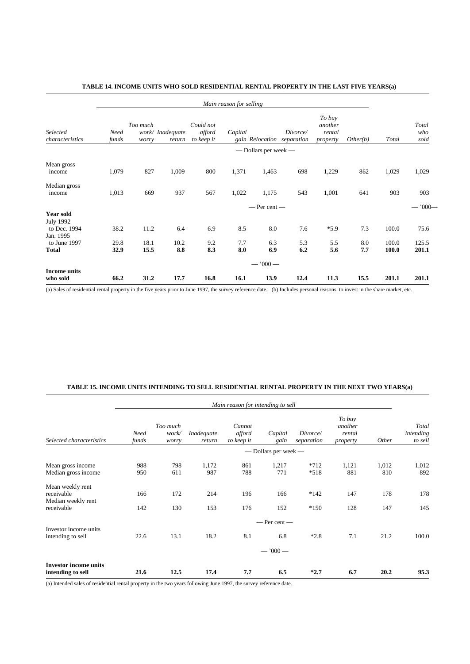|                                                      |                      |                   |                            |                                   | Main reason for selling |                      |                                        |                                         |            |                |                      |
|------------------------------------------------------|----------------------|-------------------|----------------------------|-----------------------------------|-------------------------|----------------------|----------------------------------------|-----------------------------------------|------------|----------------|----------------------|
| Selected<br>characteristics                          | <b>Need</b><br>funds | Too much<br>worry | work/ Inadequate<br>return | Could not<br>afford<br>to keep it | Capital                 |                      | Divorce/<br>gain Relocation separation | To buy<br>another<br>rental<br>property | Other(b)   | Total          | Total<br>who<br>sold |
|                                                      |                      |                   |                            |                                   |                         | — Dollars per week — |                                        |                                         |            |                |                      |
| Mean gross<br>income                                 | 1,079                | 827               | 1,009                      | 800                               | 1,371                   | 1,463                | 698                                    | 1,229                                   | 862        | 1,029          | 1,029                |
| Median gross<br>income                               | 1,013                | 669               | 937                        | 567                               | 1,022                   | 1,175                | 543                                    | 1,001                                   | 641        | 903            | 903                  |
|                                                      |                      |                   |                            |                                   |                         | $-$ Per cent $-$     |                                        |                                         |            |                | $-$ '000 $-$         |
| <b>Year sold</b><br><b>July 1992</b><br>to Dec. 1994 | 38.2                 | 11.2              | 6.4                        | 6.9                               | 8.5                     | 8.0                  | 7.6                                    | $*5.9$                                  | 7.3        | 100.0          | 75.6                 |
| Jan. 1995<br>to June 1997<br>Total                   | 29.8<br>32.9         | 18.1<br>15.5      | 10.2<br>8.8                | 9.2<br>8.3                        | 7.7<br>8.0              | 6.3<br>6.9           | 5.3<br>6.2                             | 5.5<br>5.6                              | 8.0<br>7.7 | 100.0<br>100.0 | 125.5<br>201.1       |
|                                                      |                      |                   |                            |                                   |                         | $-7000-$             |                                        |                                         |            |                |                      |
| <b>Income units</b><br>who sold                      | 66.2                 | 31.2              | 17.7                       | 16.8                              | 16.1                    | 13.9                 | 12.4                                   | 11.3                                    | 15.5       | 201.1          | 201.1                |

# **TABLE 14. INCOME UNITS WHO SOLD RESIDENTIAL RENTAL PROPERTY IN THE LAST FIVE YEARS(a)**

(a) Sales of residential rental property in the five years prior to June 1997, the survey reference date. (b) Includes personal reasons, to invest in the share market, etc.

#### **TABLE 15. INCOME UNITS INTENDING TO SELL RESIDENTIAL RENTAL PROPERTY IN THE NEXT TWO YEARS(a)**

|                                                   | Main reason for intending to sell |                            |                      |                                |                      |                        |                                         |              |                                      |  |
|---------------------------------------------------|-----------------------------------|----------------------------|----------------------|--------------------------------|----------------------|------------------------|-----------------------------------------|--------------|--------------------------------------|--|
| Selected characteristics                          | Need<br>funds                     | Too much<br>work/<br>worry | Inadequate<br>return | Cannot<br>afford<br>to keep it | Capital<br>gain      | Divorce/<br>separation | To buy<br>another<br>rental<br>property | Other        | <b>Total</b><br>intending<br>to sell |  |
|                                                   |                                   |                            |                      |                                | — Dollars per week — |                        |                                         |              |                                      |  |
| Mean gross income<br>Median gross income          | 988<br>950                        | 798<br>611                 | 1,172<br>987         | 861<br>788                     | 1,217<br>771         | $*712$<br>$*518$       | 1,121<br>881                            | 1,012<br>810 | 1,012<br>892                         |  |
| Mean weekly rent<br>receivable                    | 166                               | 172                        | 214                  | 196                            | 166                  | $*142$                 | 147                                     | 178          | 178                                  |  |
| Median weekly rent<br>receivable                  | 142                               | 130                        | 153                  | 176                            | 152                  | $*150$                 | 128                                     | 147          | 145                                  |  |
|                                                   |                                   |                            |                      |                                | $-$ Per cent $-$     |                        |                                         |              |                                      |  |
| Investor income units<br>intending to sell        | 22.6                              | 13.1                       | 18.2                 | 8.1                            | 6.8                  | $*2.8$                 | 7.1                                     | 21.2         | 100.0                                |  |
|                                                   |                                   |                            |                      |                                | $-1000-$             |                        |                                         |              |                                      |  |
| <b>Investor income units</b><br>intending to sell | 21.6                              | 12.5                       | 17.4                 | 7.7                            | 6.5                  | $*2.7$                 | 6.7                                     | 20.2         | 95.3                                 |  |

(a) Intended sales of residential rental property in the two years following June 1997, the survey reference date.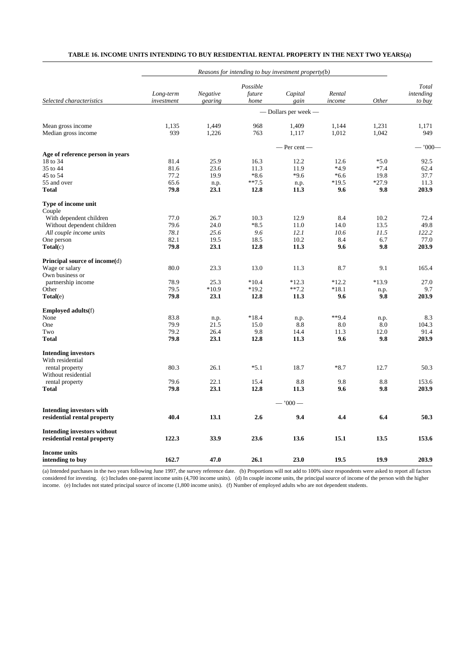|                                                | Reasons for intending to buy investment property $(b)$ |          |          |                      |         |         |              |  |  |  |
|------------------------------------------------|--------------------------------------------------------|----------|----------|----------------------|---------|---------|--------------|--|--|--|
|                                                |                                                        |          | Possible |                      |         |         | Total        |  |  |  |
|                                                | Long-term                                              | Negative | future   | Capital              | Rental  |         | intending    |  |  |  |
| Selected characteristics                       | investment                                             | gearing  | home     | gain                 | income  | Other   | to buy       |  |  |  |
|                                                |                                                        |          |          | — Dollars per week — |         |         |              |  |  |  |
| Mean gross income                              | 1.135                                                  | 1,449    | 968      | 1,409                | 1.144   | 1,231   | 1.171        |  |  |  |
| Median gross income                            | 939                                                    | 1,226    | 763      | 1,117                | 1,012   | 1,042   | 949          |  |  |  |
|                                                |                                                        |          |          | $-$ Per cent $-$     |         |         | $-$ '000 $-$ |  |  |  |
| Age of reference person in years               |                                                        |          |          |                      |         |         |              |  |  |  |
| 18 to 34                                       | 81.4                                                   | 25.9     | 16.3     | 12.2                 | 12.6    | $*5.0$  | 92.5         |  |  |  |
| 35 to 44                                       | 81.6                                                   | 23.6     | 11.3     | 11.9                 | *4.9    | $*7.4$  | 62.4         |  |  |  |
| 45 to 54                                       | 77.2                                                   | 19.9     | $*8.6$   | $*9.6$               | $*6.6$  | 19.8    | 37.7         |  |  |  |
| 55 and over                                    | 65.6                                                   | n.p.     | $**7.5$  | n.p.                 | $*19.5$ | $*27.9$ | 11.3         |  |  |  |
| Total                                          | 79.8                                                   | 23.1     | 12.8     | 11.3                 | 9.6     | 9.8     | 203.9        |  |  |  |
| Type of income unit<br>Couple                  |                                                        |          |          |                      |         |         |              |  |  |  |
| With dependent children                        | 77.0                                                   | 26.7     | 10.3     | 12.9                 | 8.4     | 10.2    | 72.4         |  |  |  |
| Without dependent children                     | 79.6                                                   | 24.0     | $*8.5$   | 11.0                 | 14.0    | 13.5    | 49.8         |  |  |  |
| All couple income units                        | 78.1                                                   | 25.6     | 9.6      | 12.1                 | 10.6    | 11.5    | 122.2        |  |  |  |
| One person                                     | 82.1                                                   | 19.5     | 18.5     | 10.2                 | 8.4     | 6.7     | 77.0         |  |  |  |
| $\textbf{Total}(c)$                            | 79.8                                                   | 23.1     | 12.8     | 11.3                 | 9.6     | 9.8     | 203.9        |  |  |  |
| Principal source of income(d)                  |                                                        |          |          |                      |         |         |              |  |  |  |
| Wage or salary                                 | 80.0                                                   | 23.3     | 13.0     | 11.3                 | 8.7     | 9.1     | 165.4        |  |  |  |
| Own business or                                |                                                        |          |          |                      |         |         |              |  |  |  |
| partnership income                             | 78.9                                                   | 25.3     | $*10.4$  | $*12.3$              | $*12.2$ | $*13.9$ | 27.0         |  |  |  |
| Other                                          | 79.5                                                   | $*10.9$  | $*19.2$  | $**7.2$              | $*18.1$ | n.p.    | 9.7          |  |  |  |
| Total(e)                                       | 79.8                                                   | 23.1     | 12.8     | 11.3                 | 9.6     | 9.8     | 203.9        |  |  |  |
| <b>Employed adults</b> (f)                     |                                                        |          |          |                      |         |         |              |  |  |  |
| None                                           | 83.8                                                   | n.p.     | $*18.4$  | n.p.                 | $**9.4$ | n.p.    | 8.3          |  |  |  |
| One                                            | 79.9                                                   | 21.5     | 15.0     | 8.8                  | 8.0     | 8.0     | 104.3        |  |  |  |
| Two                                            | 79.2                                                   | 26.4     | 9.8      | 14.4                 | 11.3    | 12.0    | 91.4         |  |  |  |
| Total                                          | 79.8                                                   | 23.1     | 12.8     | 11.3                 | 9.6     | 9.8     | 203.9        |  |  |  |
| <b>Intending investors</b><br>With residential |                                                        |          |          |                      |         |         |              |  |  |  |
| rental property                                | 80.3                                                   | 26.1     | $*5.1$   | 18.7                 | $*8.7$  | 12.7    | 50.3         |  |  |  |
| Without residential                            |                                                        |          |          |                      |         |         |              |  |  |  |
| rental property                                | 79.6                                                   | 22.1     | 15.4     | 8.8                  | 9.8     | 8.8     | 153.6        |  |  |  |
| Total                                          | 79.8                                                   | 23.1     | 12.8     | 11.3                 | 9.6     | 9.8     | 203.9        |  |  |  |
|                                                |                                                        |          |          | $-1000-$             |         |         |              |  |  |  |
| <b>Intending investors with</b>                |                                                        |          |          |                      |         |         |              |  |  |  |
| residential rental property                    | 40.4                                                   | 13.1     | 2.6      | 9.4                  | 4.4     | 6.4     | 50.3         |  |  |  |
| <b>Intending investors without</b>             |                                                        |          |          |                      |         |         |              |  |  |  |
| residential rental property                    | 122.3                                                  | 33.9     | 23.6     | 13.6                 | 15.1    | 13.5    | 153.6        |  |  |  |
| <b>Income units</b>                            |                                                        |          |          |                      |         |         |              |  |  |  |
| intending to buy                               | 162.7                                                  | 47.0     | 26.1     | 23.0                 | 19.5    | 19.9    | 203.9        |  |  |  |

# **TABLE 16. INCOME UNITS INTENDING TO BUY RESIDENTIAL RENTAL PROPERTY IN THE NEXT TWO YEARS(a)**

(a) Intended purchases in the two years following June 1997, the survey reference date. (b) Proportions will not add to 100% since respondents were asked to report all factors considered for investing. (c) Includes one-parent income units (4,700 income units). (d) In couple income units, the principal source of income of the person with the higher income. (e) Includes not stated principal source of income (1,800 income units). (f) Number of employed adults who are not dependent students.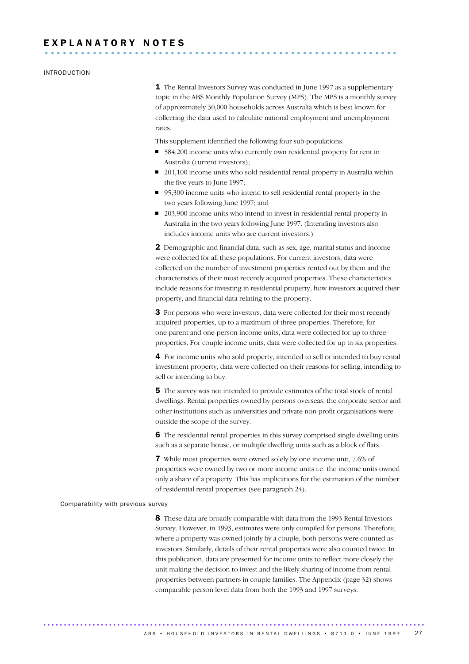# EXPLANATORY NOTES

#### INTRODUCTION

1 The Rental Investors Survey was conducted in June 1997 as a supplementary topic in the ABS Monthly Population Survey (MPS). The MPS is a monthly survey of approximately 30,000 households across Australia which is best known for collecting the data used to calculate national employment and unemployment rates.

This supplement identified the following four sub-populations:

- 584,200 income units who currently own residential property for rent in Australia (current investors);
- 201,100 income units who sold residential rental property in Australia within the five years to June 1997;
- 95,300 income units who intend to sell residential rental property in the two years following June 1997; and
- 203,900 income units who intend to invest in residential rental property in Australia in the two years following June 1997. (Intending investors also includes income units who are current investors.)

2 Demographic and financial data, such as sex, age, marital status and income were collected for all these populations. For current investors, data were collected on the number of investment properties rented out by them and the characteristics of their most recently acquired properties. These characteristics include reasons for investing in residential property, how investors acquired their property, and financial data relating to the property.

3 For persons who were investors, data were collected for their most recently acquired properties, up to a maximum of three properties. Therefore, for one-parent and one-person income units, data were collected for up to three properties. For couple income units, data were collected for up to six properties.

4 For income units who sold property, intended to sell or intended to buy rental investment property, data were collected on their reasons for selling, intending to sell or intending to buy.

5 The survey was not intended to provide estimates of the total stock of rental dwellings. Rental properties owned by persons overseas, the corporate sector and other institutions such as universities and private non-profit organisations were outside the scope of the survey.

6 The residential rental properties in this survey comprised single dwelling units such as a separate house, or multiple dwelling units such as a block of flats.

7 While most properties were owned solely by one income unit, 7.6% of properties were owned by two or more income units i.e. the income units owned only a share of a property. This has implications for the estimation of the number of residential rental properties (see paragraph 24).

#### Comparability with previous survey

8 These data are broadly comparable with data from the 1993 Rental Investors Survey. However, in 1993, estimates were only compiled for persons. Therefore, where a property was owned jointly by a couple, both persons were counted as investors. Similarly, details of their rental properties were also counted twice. In this publication, data are presented for income units to reflect more closely the unit making the decision to invest and the likely sharing of income from rental properties between partners in couple families. The Appendix (page 32) shows comparable person level data from both the 1993 and 1997 surveys.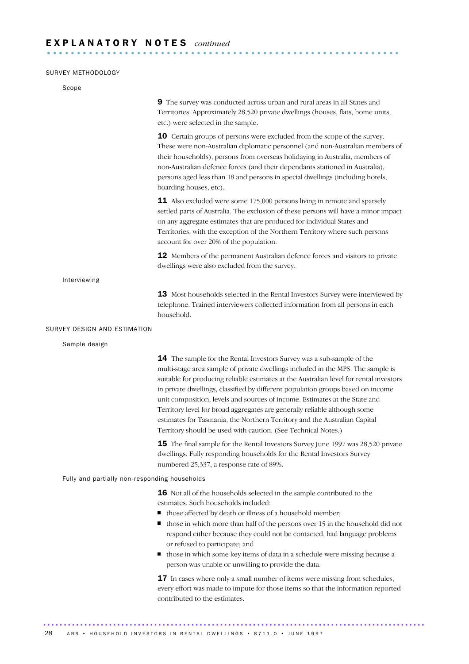### SURVEY METHODOLOGY

| Scope                                         |                                                                                                                                                                                                                                                                                                                                                                                                                                                                                                                                                                                                                                                       |
|-----------------------------------------------|-------------------------------------------------------------------------------------------------------------------------------------------------------------------------------------------------------------------------------------------------------------------------------------------------------------------------------------------------------------------------------------------------------------------------------------------------------------------------------------------------------------------------------------------------------------------------------------------------------------------------------------------------------|
|                                               | 9 The survey was conducted across urban and rural areas in all States and<br>Territories. Approximately 28,520 private dwellings (houses, flats, home units,<br>etc.) were selected in the sample.                                                                                                                                                                                                                                                                                                                                                                                                                                                    |
|                                               | <b>10</b> Certain groups of persons were excluded from the scope of the survey.<br>These were non-Australian diplomatic personnel (and non-Australian members of<br>their households), persons from overseas holidaying in Australia, members of<br>non-Australian defence forces (and their dependants stationed in Australia),<br>persons aged less than 18 and persons in special dwellings (including hotels,<br>boarding houses, etc).                                                                                                                                                                                                           |
|                                               | <b>11</b> Also excluded were some 175,000 persons living in remote and sparsely<br>settled parts of Australia. The exclusion of these persons will have a minor impact<br>on any aggregate estimates that are produced for individual States and<br>Territories, with the exception of the Northern Territory where such persons<br>account for over 20% of the population.                                                                                                                                                                                                                                                                           |
|                                               | <b>12</b> Members of the permanent Australian defence forces and visitors to private<br>dwellings were also excluded from the survey.                                                                                                                                                                                                                                                                                                                                                                                                                                                                                                                 |
| Interviewing                                  |                                                                                                                                                                                                                                                                                                                                                                                                                                                                                                                                                                                                                                                       |
|                                               | 13 Most households selected in the Rental Investors Survey were interviewed by<br>telephone. Trained interviewers collected information from all persons in each<br>household.                                                                                                                                                                                                                                                                                                                                                                                                                                                                        |
| SURVEY DESIGN AND ESTIMATION                  |                                                                                                                                                                                                                                                                                                                                                                                                                                                                                                                                                                                                                                                       |
| Sample design                                 |                                                                                                                                                                                                                                                                                                                                                                                                                                                                                                                                                                                                                                                       |
|                                               | <b>14</b> The sample for the Rental Investors Survey was a sub-sample of the<br>multi-stage area sample of private dwellings included in the MPS. The sample is<br>suitable for producing reliable estimates at the Australian level for rental investors<br>in private dwellings, classified by different population groups based on income<br>unit composition, levels and sources of income. Estimates at the State and<br>Territory level for broad aggregates are generally reliable although some<br>estimates for Tasmania, the Northern Territory and the Australian Capital<br>Territory should be used with caution. (See Technical Notes.) |
|                                               | 15 The final sample for the Rental Investors Survey June 1997 was 28,520 private<br>dwellings. Fully responding households for the Rental Investors Survey<br>numbered 25,337, a response rate of 89%.                                                                                                                                                                                                                                                                                                                                                                                                                                                |
| Fully and partially non-responding households |                                                                                                                                                                                                                                                                                                                                                                                                                                                                                                                                                                                                                                                       |
|                                               | 16 Not all of the households selected in the sample contributed to the<br>estimates. Such households included:<br>those affected by death or illness of a household member;<br>those in which more than half of the persons over 15 in the household did not<br>respond either because they could not be contacted, had language problems<br>or refused to participate; and<br>those in which some key items of data in a schedule were missing because a<br>person was unable or unwilling to provide the data.                                                                                                                                      |
|                                               | 17 In cases where only a small number of items were missing from schedules,<br>every effort was made to impute for those items so that the information reported<br>contributed to the estimates.                                                                                                                                                                                                                                                                                                                                                                                                                                                      |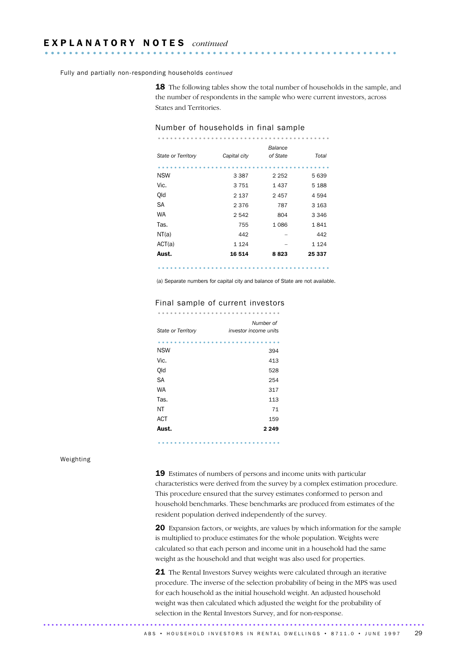Fully and partially non-responding households *continued*

**18** The following tables show the total number of households in the sample, and the number of respondents in the sample who were current investors, across States and Territories.

| State or Territory | Capital city | Balance<br>of State | Total   |
|--------------------|--------------|---------------------|---------|
|                    |              |                     |         |
| <b>NSW</b>         | 3 3 8 7      | 2 2 5 2             | 5 639   |
| Vic.               | 3751         | 1437                | 5 1 8 8 |
| Qld                | 2 1 3 7      | 2 4 5 7             | 4 5 9 4 |
| SA                 | 2376         | 787                 | 3 1 6 3 |
| <b>WA</b>          | 2542         | 804                 | 3 3 4 6 |
| Tas.               | 755          | 1086                | 1841    |
| NT(a)              | 442          |                     | 442     |
| ACT(a)             | 1 1 2 4      |                     | 1 1 2 4 |
| Aust.              | 16514        | 8823                | 25 337  |
|                    |              |                     |         |

#### Number of households in final sample

..........................................

(a) Separate numbers for capital city and balance of State are not available.

# Final sample of current investors<br>..............................

| State or Territory | Number of<br>investor income units |
|--------------------|------------------------------------|
|                    |                                    |
| <b>NSW</b>         | 394                                |
| Vic.               | 413                                |
| Qld                | 528                                |
| <b>SA</b>          | 254                                |
| WA                 | 317                                |
| Tas.               | 113                                |
| ΝT                 | 71                                 |
| <b>ACT</b>         | 159                                |
| Aust.              | 2 2 4 9                            |

..............................

#### Weighting

19 Estimates of numbers of persons and income units with particular characteristics were derived from the survey by a complex estimation procedure. This procedure ensured that the survey estimates conformed to person and household benchmarks. These benchmarks are produced from estimates of the resident population derived independently of the survey.

20 Expansion factors, or weights, are values by which information for the sample is multiplied to produce estimates for the whole population. Weights were calculated so that each person and income unit in a household had the same weight as the household and that weight was also used for properties.

21 The Rental Investors Survey weights were calculated through an iterative procedure. The inverse of the selection probability of being in the MPS was used for each household as the initial household weight. An adjusted household weight was then calculated which adjusted the weight for the probability of selection in the Rental Investors Survey, and for non-response.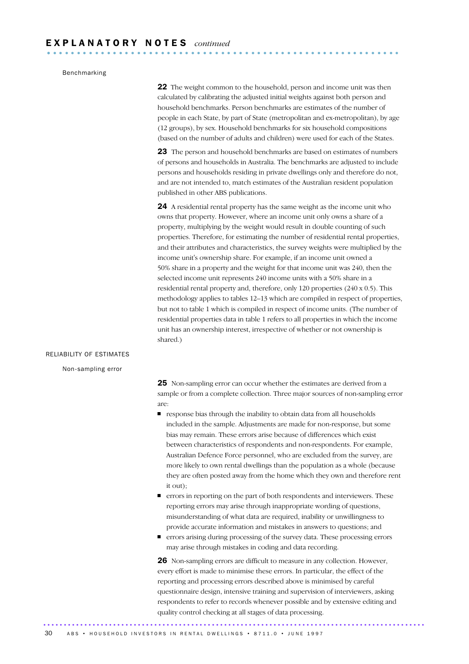# Benchmarking

**22** The weight common to the household, person and income unit was then calculated by calibrating the adjusted initial weights against both person and household benchmarks. Person benchmarks are estimates of the number of people in each State, by part of State (metropolitan and ex-metropolitan), by age (12 groups), by sex. Household benchmarks for six household compositions (based on the number of adults and children) were used for each of the States.

23 The person and household benchmarks are based on estimates of numbers of persons and households in Australia. The benchmarks are adjusted to include persons and households residing in private dwellings only and therefore do not, and are not intended to, match estimates of the Australian resident population published in other ABS publications.

24 A residential rental property has the same weight as the income unit who owns that property. However, where an income unit only owns a share of a property, multiplying by the weight would result in double counting of such properties. Therefore, for estimating the number of residential rental properties, and their attributes and characteristics, the survey weights were multiplied by the income unit's ownership share. For example, if an income unit owned a 50% share in a property and the weight for that income unit was 240, then the selected income unit represents 240 income units with a 50% share in a residential rental property and, therefore, only 120 properties (240 x 0.5). This methodology applies to tables 12–13 which are compiled in respect of properties, but not to table 1 which is compiled in respect of income units. (The number of residential properties data in table 1 refers to all properties in which the income unit has an ownership interest, irrespective of whether or not ownership is shared.)

#### RELIABILITY OF ESTIMATES

Non-sampling error

25 Non-sampling error can occur whether the estimates are derived from a sample or from a complete collection. Three major sources of non-sampling error are:

- $\blacksquare$  response bias through the inability to obtain data from all households included in the sample. Adjustments are made for non-response, but some bias may remain. These errors arise because of differences which exist between characteristics of respondents and non-respondents. For example, Australian Defence Force personnel, who are excluded from the survey, are more likely to own rental dwellings than the population as a whole (because they are often posted away from the home which they own and therefore rent it out);
- errors in reporting on the part of both respondents and interviewers. These reporting errors may arise through inappropriate wording of questions, misunderstanding of what data are required, inability or unwillingness to provide accurate information and mistakes in answers to questions; and
- errors arising during processing of the survey data. These processing errors may arise through mistakes in coding and data recording.

26 Non-sampling errors are difficult to measure in any collection. However, every effort is made to minimise these errors. In particular, the effect of the reporting and processing errors described above is minimised by careful questionnaire design, intensive training and supervision of interviewers, asking respondents to refer to records whenever possible and by extensive editing and quality control checking at all stages of data processing.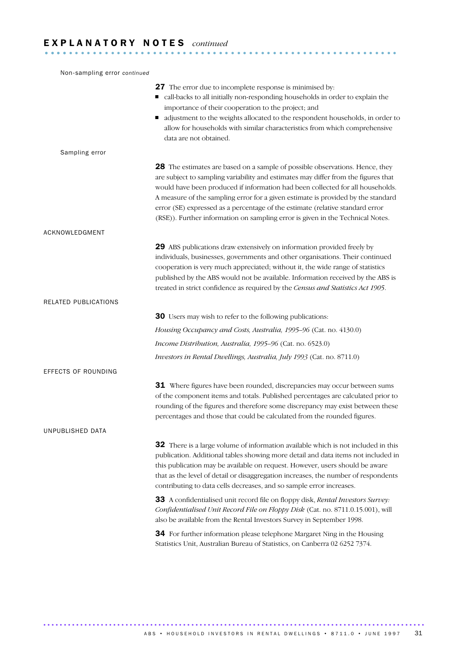# E X P L A N A T O R Y N O T E S *continued* ........................................................... ....

| Non-sampling error continued |                                                                                                                                                                                                                                                                                                                                                                                                                                                                                                             |
|------------------------------|-------------------------------------------------------------------------------------------------------------------------------------------------------------------------------------------------------------------------------------------------------------------------------------------------------------------------------------------------------------------------------------------------------------------------------------------------------------------------------------------------------------|
|                              | 27 The error due to incomplete response is minimised by:<br>call-backs to all initially non-responding households in order to explain the<br>importance of their cooperation to the project; and<br>adjustment to the weights allocated to the respondent households, in order to<br>allow for households with similar characteristics from which comprehensive<br>data are not obtained.                                                                                                                   |
| Sampling error               |                                                                                                                                                                                                                                                                                                                                                                                                                                                                                                             |
|                              | 28 The estimates are based on a sample of possible observations. Hence, they<br>are subject to sampling variability and estimates may differ from the figures that<br>would have been produced if information had been collected for all households.<br>A measure of the sampling error for a given estimate is provided by the standard<br>error (SE) expressed as a percentage of the estimate (relative standard error<br>(RSE)). Further information on sampling error is given in the Technical Notes. |
| ACKNOWLEDGMENT               |                                                                                                                                                                                                                                                                                                                                                                                                                                                                                                             |
|                              | 29 ABS publications draw extensively on information provided freely by<br>individuals, businesses, governments and other organisations. Their continued<br>cooperation is very much appreciated; without it, the wide range of statistics<br>published by the ABS would not be available. Information received by the ABS is<br>treated in strict confidence as required by the Census and Statistics Act 1905.                                                                                             |
| RELATED PUBLICATIONS         |                                                                                                                                                                                                                                                                                                                                                                                                                                                                                                             |
|                              | <b>30</b> Users may wish to refer to the following publications:                                                                                                                                                                                                                                                                                                                                                                                                                                            |
|                              | Housing Occupancy and Costs, Australia, 1995-96 (Cat. no. 4130.0)                                                                                                                                                                                                                                                                                                                                                                                                                                           |
|                              | Income Distribution, Australia, 1995-96 (Cat. no. 6523.0)                                                                                                                                                                                                                                                                                                                                                                                                                                                   |
|                              | Investors in Rental Dwellings, Australia, July 1993 (Cat. no. 8711.0)                                                                                                                                                                                                                                                                                                                                                                                                                                       |
| EFFECTS OF ROUNDING          |                                                                                                                                                                                                                                                                                                                                                                                                                                                                                                             |
|                              | <b>31</b> Where figures have been rounded, discrepancies may occur between sums<br>of the component items and totals. Published percentages are calculated prior to<br>rounding of the figures and therefore some discrepancy may exist between these<br>percentages and those that could be calculated from the rounded figures.                                                                                                                                                                           |
| UNPUBLISHED DATA             |                                                                                                                                                                                                                                                                                                                                                                                                                                                                                                             |
|                              | 32 There is a large volume of information available which is not included in this<br>publication. Additional tables showing more detail and data items not included in<br>this publication may be available on request. However, users should be aware<br>that as the level of detail or disaggregation increases, the number of respondents<br>contributing to data cells decreases, and so sample error increases.                                                                                        |
|                              | 33 A confidentialised unit record file on floppy disk, Rental Investors Survey:<br>Confidentialised Unit Record File on Floppy Disk (Cat. no. 8711.0.15.001), will<br>also be available from the Rental Investors Survey in September 1998.                                                                                                                                                                                                                                                                 |
|                              | 34 For further information please telephone Margaret Ning in the Housing<br>Statistics Unit, Australian Bureau of Statistics, on Canberra 02 6252 7374.                                                                                                                                                                                                                                                                                                                                                     |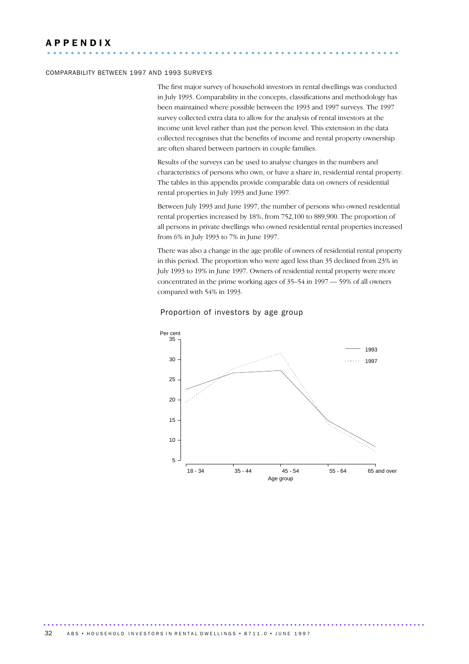### COMPARABILITY BETWEEN 1997 AND 1993 SURVEYS

The first major survey of household investors in rental dwellings was conducted in July 1993. Comparability in the concepts, classifications and methodology has been maintained where possible between the 1993 and 1997 surveys. The 1997 survey collected extra data to allow for the analysis of rental investors at the income unit level rather than just the person level. This extension in the data collected recognises that the benefits of income and rental property ownership are often shared between partners in couple families.

Results of the surveys can be used to analyse changes in the numbers and characteristics of persons who own, or have a share in, residential rental property. The tables in this appendix provide comparable data on owners of residential rental properties in July 1993 and June 1997.

Between July 1993 and June 1997, the number of persons who owned residential rental properties increased by 18%, from 752,100 to 889,900. The proportion of all persons in private dwellings who owned residential rental properties increased from 6% in July 1993 to 7% in June 1997.

There was also a change in the age profile of owners of residential rental property in this period. The proportion who were aged less than 35 declined from 23% in July 1993 to 19% in June 1997. Owners of residential rental property were more concentrated in the prime working ages of 35–54 in 1997 — 59% of all owners compared with 54% in 1993.



#### Proportion of investors by age group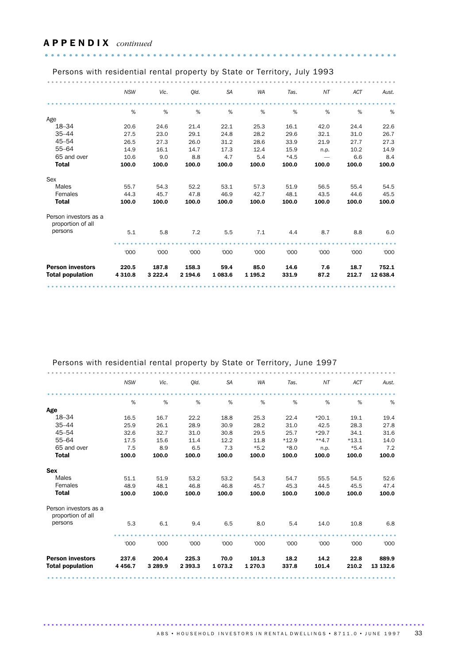# A P P E N D I X *continued*  ........................................................... .

| Persons with residential rental property by State or Territory, July 1993 |            |             |         |           |             |        |       |            |          |
|---------------------------------------------------------------------------|------------|-------------|---------|-----------|-------------|--------|-------|------------|----------|
|                                                                           |            |             |         |           |             |        |       |            |          |
|                                                                           | <b>NSW</b> | Vic.        | Old.    | <b>SA</b> | <b>WA</b>   | Tas.   | NT    | <b>ACT</b> | Aust.    |
|                                                                           |            |             |         |           |             |        |       |            |          |
|                                                                           | %          | %           | %       | %         | %           | %      | %     | %          | %        |
| Age                                                                       |            |             |         |           |             |        |       |            |          |
| $18 - 34$                                                                 | 20.6       | 24.6        | 21.4    | 22.1      | 25.3        | 16.1   | 42.0  | 24.4       | 22.6     |
| $35 - 44$                                                                 | 27.5       | 23.0        | 29.1    | 24.8      | 28.2        | 29.6   | 32.1  | 31.0       | 26.7     |
| $45 - 54$                                                                 | 26.5       | 27.3        | 26.0    | 31.2      | 28.6        | 33.9   | 21.9  | 27.7       | 27.3     |
| $55 - 64$                                                                 | 14.9       | 16.1        | 14.7    | 17.3      | 12.4        | 15.9   | n.p.  | 10.2       | 14.9     |
| 65 and over                                                               | 10.6       | 9.0         | 8.8     | 4.7       | 5.4         | $*4.5$ |       | 6.6        | 8.4      |
| <b>Total</b>                                                              | 100.0      | 100.0       | 100.0   | 100.0     | 100.0       | 100.0  | 100.0 | 100.0      | 100.0    |
| Sex                                                                       |            |             |         |           |             |        |       |            |          |
| <b>Males</b>                                                              | 55.7       | 54.3        | 52.2    | 53.1      | 57.3        | 51.9   | 56.5  | 55.4       | 54.5     |
| Females                                                                   | 44.3       | 45.7        | 47.8    | 46.9      | 42.7        | 48.1   | 43.5  | 44.6       | 45.5     |
| <b>Total</b>                                                              | 100.0      | 100.0       | 100.0   | 100.0     | 100.0       | 100.0  | 100.0 | 100.0      | 100.0    |
| Person investors as a<br>proportion of all                                |            |             |         |           |             |        |       |            |          |
| persons                                                                   | 5.1        | 5.8         | 7.2     | 5.5       | 7.1         | 4.4    | 8.7   | 8.8        | 6.0      |
|                                                                           |            |             |         |           |             |        |       |            |          |
|                                                                           | '000       | '000        | '000    | '000      | '000        | '000   | '000  | '000       | '000     |
| <b>Person investors</b>                                                   | 220.5      | 187.8       | 158.3   | 59.4      | 85.0        | 14.6   | 7.6   | 18.7       | 752.1    |
| <b>Total population</b>                                                   | 4 3 1 0.8  | 3 2 2 2 . 4 | 2 194.6 | 1 083.6   | 1 1 9 5 . 2 | 331.9  | 87.2  | 212.7      | 12 638.4 |
|                                                                           |            |             |         |           |             |        |       |            |          |

| Persons with residential rental property by State or Territory, June 1997 |            |             |             |           |           |         |         |            |          |
|---------------------------------------------------------------------------|------------|-------------|-------------|-----------|-----------|---------|---------|------------|----------|
|                                                                           |            |             |             |           |           |         |         |            |          |
|                                                                           | <b>NSW</b> | Vic.        | Old.        | <b>SA</b> | <b>WA</b> | Tas.    | NT      | <b>ACT</b> | Aust.    |
|                                                                           |            |             |             |           |           |         |         |            |          |
|                                                                           | %          | %           | $\%$        | %         | %         | %       | $\%$    | %          | %        |
| Age                                                                       |            |             |             |           |           |         |         |            |          |
| 18-34                                                                     | 16.5       | 16.7        | 22.2        | 18.8      | 25.3      | 22.4    | $*20.1$ | 19.1       | 19.4     |
| $35 - 44$                                                                 | 25.9       | 26.1        | 28.9        | 30.9      | 28.2      | 31.0    | 42.5    | 28.3       | 27.8     |
| $45 - 54$                                                                 | 32.6       | 32.7        | 31.0        | 30.8      | 29.5      | 25.7    | $*29.7$ | 34.1       | 31.6     |
| $55 - 64$                                                                 | 17.5       | 15.6        | 11.4        | 12.2      | 11.8      | $*12.9$ | $**4.7$ | $*13.1$    | 14.0     |
| 65 and over                                                               | 7.5        | 8.9         | 6.5         | 7.3       | $*5.2$    | $*8.0$  | n.p.    | $*5.4$     | 7.2      |
| <b>Total</b>                                                              | 100.0      | 100.0       | 100.0       | 100.0     | 100.0     | 100.0   | 100.0   | 100.0      | 100.0    |
| <b>Sex</b>                                                                |            |             |             |           |           |         |         |            |          |
| <b>Males</b>                                                              | 51.1       | 51.9        | 53.2        | 53.2      | 54.3      | 54.7    | 55.5    | 54.5       | 52.6     |
| Females                                                                   | 48.9       | 48.1        | 46.8        | 46.8      | 45.7      | 45.3    | 44.5    | 45.5       | 47.4     |
| <b>Total</b>                                                              | 100.0      | 100.0       | 100.0       | 100.0     | 100.0     | 100.0   | 100.0   | 100.0      | 100.0    |
| Person investors as a<br>proportion of all                                |            |             |             |           |           |         |         |            |          |
| persons                                                                   | 5.3        | 6.1         | 9.4         | 6.5       | 8.0       | 5.4     | 14.0    | 10.8       | 6.8      |
|                                                                           |            |             |             |           |           |         |         |            |          |
|                                                                           | '000       | '000        | '000        | '000      | '000      | '000    | '000    | '000       | '000     |
| <b>Person investors</b>                                                   | 237.6      | 200.4       | 225.3       | 70.0      | 101.3     | 18.2    | 14.2    | 22.8       | 889.9    |
| <b>Total population</b>                                                   | 4 4 5 6.7  | 3 2 8 9 . 9 | 2 3 9 3 . 3 | 1073.2    | 1 270.3   | 337.8   | 101.4   | 210.2      | 13 132.6 |
|                                                                           |            |             |             |           |           |         |         |            |          |

............................................................................................. ABS • HOUSEHOLD INVESTORS IN RENTAL DWELLINGS • 8711.0 • JUNE 1997 33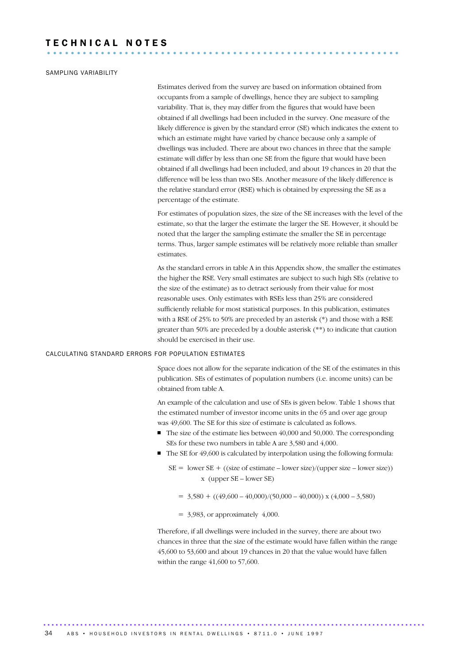# T E C H N I C A L N O T E S ...........................................................

### SAMPLING VARIABILITY

Estimates derived from the survey are based on information obtained from occupants from a sample of dwellings, hence they are subject to sampling variability. That is, they may differ from the figures that would have been obtained if all dwellings had been included in the survey. One measure of the likely difference is given by the standard error (SE) which indicates the extent to which an estimate might have varied by chance because only a sample of dwellings was included. There are about two chances in three that the sample estimate will differ by less than one SE from the figure that would have been obtained if all dwellings had been included, and about 19 chances in 20 that the difference will be less than two SEs. Another measure of the likely difference is the relative standard error (RSE) which is obtained by expressing the SE as a percentage of the estimate.

For estimates of population sizes, the size of the SE increases with the level of the estimate, so that the larger the estimate the larger the SE. However, it should be noted that the larger the sampling estimate the smaller the SE in percentage terms. Thus, larger sample estimates will be relatively more reliable than smaller estimates.

As the standard errors in table A in this Appendix show, the smaller the estimates the higher the RSE. Very small estimates are subject to such high SEs (relative to the size of the estimate) as to detract seriously from their value for most reasonable uses. Only estimates with RSEs less than 25% are considered sufficiently reliable for most statistical purposes. In this publication, estimates with a RSE of 25% to 50% are preceded by an asterisk (\*) and those with a RSE greater than 50% are preceded by a double asterisk (\*\*) to indicate that caution should be exercised in their use.

#### CALCULATING STANDARD ERRORS FOR POPULATION ESTIMATES

Space does not allow for the separate indication of the SE of the estimates in this publication. SEs of estimates of population numbers (i.e. income units) can be obtained from table A.

An example of the calculation and use of SEs is given below. Table 1 shows that the estimated number of investor income units in the 65 and over age group was 49,600. The SE for this size of estimate is calculated as follows.

- The size of the estimate lies between 40,000 and 50,000. The corresponding SEs for these two numbers in table A are 3,580 and 4,000.
- $\blacksquare$  The SE for 49,600 is calculated by interpolation using the following formula:
	- $SE =$  lower  $SE + ((size of estimate lower size)/(upper size lower size))$  x (upper SE – lower SE)
		- $=$  3,580 + ((49,600 40,000)/(50,000 40,000)) x (4,000 3,580)
		- $=$  3,983, or approximately 4,000.

.............................................................................................

Therefore, if all dwellings were included in the survey, there are about two chances in three that the size of the estimate would have fallen within the range 45,600 to 53,600 and about 19 chances in 20 that the value would have fallen within the range 41,600 to 57,600.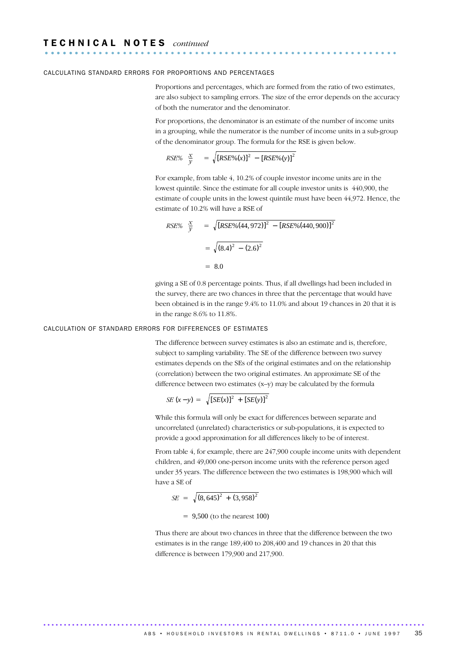#### CALCULATING STANDARD ERRORS FOR PROPORTIONS AND PERCENTAGES

Proportions and percentages, which are formed from the ratio of two estimates, are also subject to sampling errors. The size of the error depends on the accuracy of both the numerator and the denominator.

For proportions, the denominator is an estimate of the number of income units in a grouping, while the numerator is the number of income units in a sub-group of the denominator group. The formula for the RSE is given below.

$$
RSE\% \left(\frac{x}{y}\right) = \sqrt{[RSE\% (x)]^2 - [RSE\% (y)]^2}
$$

For example, from table 4, 10.2% of couple investor income units are in the lowest quintile. Since the estimate for all couple investor units is 440,900, the estimate of couple units in the lowest quintile must have been 44,972. Hence, the estimate of 10.2% will have a RSE of

$$
RSE\% \left(\frac{x}{y}\right) = \sqrt{[RSE\% (44, 972)]^2 - [RSE\% (440, 900)]^2}
$$

$$
= \sqrt{(8.4)^2 - (2.6)^2}
$$

$$
= 8.0
$$

giving a SE of 0.8 percentage points. Thus, if all dwellings had been included in the survey, there are two chances in three that the percentage that would have been obtained is in the range 9.4% to 11.0% and about 19 chances in 20 that it is in the range 8.6% to 11.8%.

#### CALCULATION OF STANDARD ERRORS FOR DIFFERENCES OF ESTIMATES

The difference between survey estimates is also an estimate and is, therefore, subject to sampling variability. The SE of the difference between two survey estimates depends on the SEs of the original estimates and on the relationship (correlation) between the two original estimates. An approximate SE of the difference between two estimates (x–y) may be calculated by the formula

$$
SE(x - y) = \sqrt{[SE(x)]^{2} + [SE(y)]^{2}}
$$

While this formula will only be exact for differences between separate and uncorrelated (unrelated) characteristics or sub-populations, it is expected to provide a good approximation for all differences likely to be of interest.

From table 4, for example, there are 247,900 couple income units with dependent children, and 49,000 one-person income units with the reference person aged under 35 years. The difference between the two estimates is 198,900 which will have a SE of

$$
SE = \sqrt{(8,645)^2 + (3,958)^2}
$$
  
= 9,500 (to the nearest 100)

Thus there are about two chances in three that the difference between the two estimates is in the range 189,400 to 208,400 and 19 chances in 20 that this difference is between 179,900 and 217,900.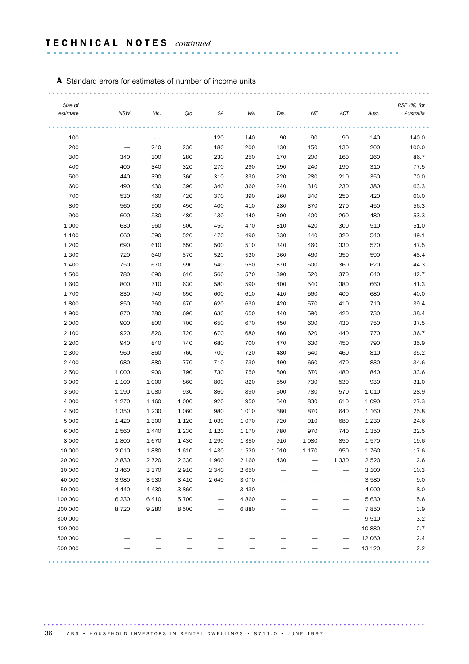# A Standard errors for estimates of number of income units

| Size of  |            |         |         |         |         |      |         |                   |         | RSE (%) for |
|----------|------------|---------|---------|---------|---------|------|---------|-------------------|---------|-------------|
| estimate | <b>NSW</b> | Vic.    | Qld     | SA      | WA      | Tas. | ΝT      | ACT               | Aust.   | Australia   |
| 100      |            |         |         | 120     | 140     | 90   | 90      | 90                | 140     | 140.0       |
| 200      |            | 240     | 230     | 180     | 200     | 130  | 150     | 130               | 200     | 100.0       |
| 300      | 340        | 300     | 280     | 230     | 250     | 170  | 200     | 160               | 260     | 86.7        |
| 400      | 400        | 340     | 320     | 270     | 290     | 190  | 240     | 190               | 310     | 77.5        |
| 500      | 440        | 390     | 360     | 310     | 330     | 220  | 280     | 210               | 350     | 70.0        |
| 600      | 490        | 430     | 390     | 340     | 360     | 240  | 310     | 230               | 380     | 63.3        |
| 700      | 530        | 460     | 420     | 370     | 390     | 260  | 340     | 250               | 420     | 60.0        |
| 800      | 560        | 500     | 450     | 400     | 410     | 280  | 370     | 270               | 450     | 56.3        |
| 900      | 600        | 530     | 480     | 430     | 440     | 300  | 400     | 290               | 480     | 53.3        |
| 1 0 0 0  | 630        | 560     | 500     | 450     | 470     | 310  | 420     | 300               | 510     | 51.0        |
| 1 100    | 660        | 590     | 520     | 470     | 490     | 330  | 440     | 320               | 540     | 49.1        |
| 1 200    | 690        | 610     | 550     | 500     | 510     | 340  | 460     | 330               | 570     | 47.5        |
| 1 300    | 720        | 640     | 570     | 520     | 530     | 360  | 480     | 350               | 590     | 45.4        |
| 1 400    | 750        | 670     | 590     | 540     | 550     | 370  | 500     | 360               | 620     | 44.3        |
| 1500     | 780        | 690     | 610     | 560     | 570     | 390  | 520     | 370               | 640     | 42.7        |
| 1600     | 800        | 710     | 630     | 580     | 590     | 400  | 540     | 380               | 660     | 41.3        |
| 1700     | 830        | 740     | 650     | 600     | 610     | 410  | 560     | 400               | 680     | 40.0        |
| 1800     | 850        | 760     | 670     | 620     | 630     | 420  | 570     | 410               | 710     | 39.4        |
| 1900     | 870        | 780     | 690     | 630     | 650     | 440  | 590     | 420               | 730     | 38.4        |
| 2 0 0 0  | 900        | 800     | 700     | 650     | 670     | 450  | 600     | 430               | 750     | 37.5        |
| 2 100    | 920        | 820     | 720     | 670     | 680     | 460  | 620     | 440               | 770     | 36.7        |
| 2 2 0 0  | 940        | 840     | 740     | 680     | 700     | 470  | 630     | 450               | 790     | 35.9        |
| 2 3 0 0  | 960        | 860     | 760     | 700     | 720     | 480  | 640     | 460               | 810     | 35.2        |
| 2 4 0 0  | 980        | 880     | 770     | 710     | 730     | 490  | 660     | 470               | 830     | 34.6        |
| 2 500    | 1 0 0 0    | 900     | 790     | 730     | 750     | 500  | 670     | 480               | 840     | 33.6        |
| 3 0 0 0  | 1 100      | 1 0 0 0 | 860     | 800     | 820     | 550  | 730     | 530               | 930     | 31.0        |
| 3500     | 1 1 9 0    | 1 0 8 0 | 930     | 860     | 890     | 600  | 780     | 570               | 1 0 1 0 | 28.9        |
| 4 0 0 0  | 1 2 7 0    | 1 1 6 0 | 1 0 0 0 | 920     | 950     | 640  | 830     | 610               | 1 0 9 0 | 27.3        |
| 4 500    | 1 3 5 0    | 1 2 3 0 | 1 0 6 0 | 980     | 1 0 1 0 | 680  | 870     | 640               | 1 1 6 0 | 25.8        |
| 5 0 0 0  | 1420       | 1 300   | 1 1 2 0 | 1 0 3 0 | 1070    | 720  | 910     | 680               | 1 2 3 0 | 24.6        |
| 6 0 0 0  | 1560       | 1 4 4 0 | 1 2 3 0 | 1 1 2 0 | 1 1 7 0 | 780  | 970     | 740               | 1 3 5 0 | 22.5        |
| 8 0 0 0  | 1800       | 1670    | 1 4 3 0 | 1 2 9 0 | 1 3 5 0 | 910  | 1 0 8 0 | 850               | 1570    | 19.6        |
| 10 000   | 2 0 1 0    | 1880    | 1610    | 1 4 3 0 | 1520    | 1010 | 1 1 7 0 | 950               | 1760    | 17.6        |
| 20 000   | 2830       | 2 7 2 0 | 2 3 3 0 | 1960    | 2 160   | 1430 |         | 1 3 3 0           | 2 5 2 0 | 12.6        |
| 30 000   | 3 4 6 0    | 3 3 7 0 | 2910    | 2 3 4 0 | 2 6 5 0 |      |         | $\qquad \qquad -$ | 3 100   | 10.3        |
| 40 000   | 3 9 8 0    | 3 9 3 0 | 3 4 1 0 | 2 6 4 0 | 3 0 7 0 |      |         | —                 | 3 5 8 0 | 9.0         |
| 50 000   | 4 4 4 0    | 4 4 3 0 | 3860    | -       | 3 4 3 0 |      |         |                   | 4 0 0 0 | 8.0         |
| 100 000  | 6 2 3 0    | 6 4 1 0 | 5 700   |         | 4860    |      |         |                   | 5 6 3 0 | 5.6         |
| 200 000  | 8720       | 9 2 8 0 | 8 5 0 0 |         | 6880    |      |         |                   | 7850    | 3.9         |
| 300 000  |            |         |         |         |         |      |         |                   | 9 5 1 0 | 3.2         |
| 400 000  |            |         |         |         |         |      |         |                   | 10 880  | 2.7         |
| 500 000  |            |         |         |         |         |      |         |                   | 12 060  | 2.4         |
| 600 000  |            |         |         |         |         |      |         |                   | 13 1 20 | 2.2         |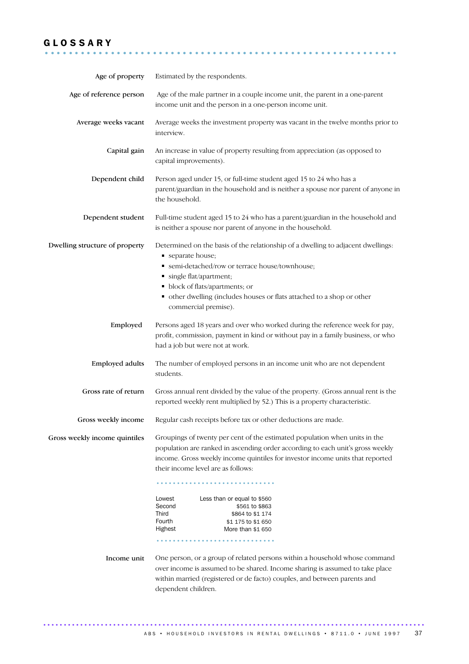# G L O S S A R Y ...........................................................

| Age of property                | Estimated by the respondents.                                                                                                                                                                                                                                                                                                                                                                                                                         |
|--------------------------------|-------------------------------------------------------------------------------------------------------------------------------------------------------------------------------------------------------------------------------------------------------------------------------------------------------------------------------------------------------------------------------------------------------------------------------------------------------|
| Age of reference person        | Age of the male partner in a couple income unit, the parent in a one-parent<br>income unit and the person in a one-person income unit.                                                                                                                                                                                                                                                                                                                |
| Average weeks vacant           | Average weeks the investment property was vacant in the twelve months prior to<br>interview.                                                                                                                                                                                                                                                                                                                                                          |
| Capital gain                   | An increase in value of property resulting from appreciation (as opposed to<br>capital improvements).                                                                                                                                                                                                                                                                                                                                                 |
| Dependent child                | Person aged under 15, or full-time student aged 15 to 24 who has a<br>parent/guardian in the household and is neither a spouse nor parent of anyone in<br>the household.                                                                                                                                                                                                                                                                              |
| Dependent student              | Full-time student aged 15 to 24 who has a parent/guardian in the household and<br>is neither a spouse nor parent of anyone in the household.                                                                                                                                                                                                                                                                                                          |
| Dwelling structure of property | Determined on the basis of the relationship of a dwelling to adjacent dwellings:<br>separate house;<br>· semi-detached/row or terrace house/townhouse;<br>single flat/apartment;<br>• block of flats/apartments; or<br>• other dwelling (includes houses or flats attached to a shop or other<br>commercial premise).                                                                                                                                 |
| Employed                       | Persons aged 18 years and over who worked during the reference week for pay,<br>profit, commission, payment in kind or without pay in a family business, or who<br>had a job but were not at work.                                                                                                                                                                                                                                                    |
| <b>Employed adults</b>         | The number of employed persons in an income unit who are not dependent<br>students.                                                                                                                                                                                                                                                                                                                                                                   |
| Gross rate of return           | Gross annual rent divided by the value of the property. (Gross annual rent is the<br>reported weekly rent multiplied by 52.) This is a property characteristic.                                                                                                                                                                                                                                                                                       |
| Gross weekly income            | Regular cash receipts before tax or other deductions are made.                                                                                                                                                                                                                                                                                                                                                                                        |
| Gross weekly income quintiles  | Groupings of twenty per cent of the estimated population when units in the<br>population are ranked in ascending order according to each unit's gross weekly<br>income. Gross weekly income quintiles for investor income units that reported<br>their income level are as follows:<br>Lowest<br>Less than or equal to \$560<br>Second<br>\$561 to \$863<br>Third<br>\$864 to \$1 174<br>Fourth<br>\$1 175 to \$1 650<br>Highest<br>More than \$1 650 |
|                                |                                                                                                                                                                                                                                                                                                                                                                                                                                                       |
| Income unit                    | One person, or a group of related persons within a household whose command<br>over income is assumed to be shared. Income sharing is assumed to take place<br>within married (registered or de facto) couples, and between parents and<br>dependent children.                                                                                                                                                                                         |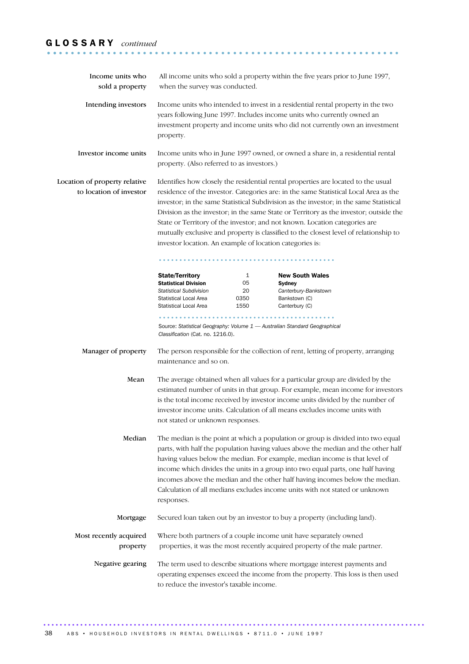# G L O S S A R Y *continued* ........................................................... ..

| Income units who<br>sold a property                      | All income units who sold a property within the five years prior to June 1997,<br>when the survey was conducted.                                                                                                                                                                                                                                                                                                                                                                                                                                                                                |  |                                                                                                                                                                                                                                                                                                                                   |  |  |  |  |
|----------------------------------------------------------|-------------------------------------------------------------------------------------------------------------------------------------------------------------------------------------------------------------------------------------------------------------------------------------------------------------------------------------------------------------------------------------------------------------------------------------------------------------------------------------------------------------------------------------------------------------------------------------------------|--|-----------------------------------------------------------------------------------------------------------------------------------------------------------------------------------------------------------------------------------------------------------------------------------------------------------------------------------|--|--|--|--|
| Intending investors                                      | Income units who intended to invest in a residential rental property in the two<br>years following June 1997. Includes income units who currently owned an<br>investment property and income units who did not currently own an investment<br>property.                                                                                                                                                                                                                                                                                                                                         |  |                                                                                                                                                                                                                                                                                                                                   |  |  |  |  |
| Investor income units                                    | Income units who in June 1997 owned, or owned a share in, a residential rental<br>property. (Also referred to as investors.)                                                                                                                                                                                                                                                                                                                                                                                                                                                                    |  |                                                                                                                                                                                                                                                                                                                                   |  |  |  |  |
| Location of property relative<br>to location of investor | Identifies how closely the residential rental properties are located to the usual<br>residence of the investor. Categories are: in the same Statistical Local Area as the<br>investor; in the same Statistical Subdivision as the investor; in the same Statistical<br>Division as the investor; in the same State or Territory as the investor; outside the<br>State or Territory of the investor; and not known. Location categories are<br>mutually exclusive and property is classified to the closest level of relationship to<br>investor location. An example of location categories is: |  |                                                                                                                                                                                                                                                                                                                                   |  |  |  |  |
|                                                          | <b>State/Territory</b><br><b>New South Wales</b><br>1<br>05<br><b>Statistical Division</b><br>Sydney<br><b>Statistical Subdivision</b><br>20<br>Canterbury-Bankstown<br>Statistical Local Area<br>0350<br>Bankstown (C)<br>Statistical Local Area<br>1550<br>Canterbury (C)                                                                                                                                                                                                                                                                                                                     |  |                                                                                                                                                                                                                                                                                                                                   |  |  |  |  |
|                                                          | Classification (Cat. no. 1216.0).                                                                                                                                                                                                                                                                                                                                                                                                                                                                                                                                                               |  | Source: Statistical Geography: Volume 1 - Australian Standard Geographical                                                                                                                                                                                                                                                        |  |  |  |  |
| Manager of property                                      | maintenance and so on.                                                                                                                                                                                                                                                                                                                                                                                                                                                                                                                                                                          |  | The person responsible for the collection of rent, letting of property, arranging                                                                                                                                                                                                                                                 |  |  |  |  |
| Mean                                                     | not stated or unknown responses.                                                                                                                                                                                                                                                                                                                                                                                                                                                                                                                                                                |  | The average obtained when all values for a particular group are divided by the<br>estimated number of units in that group. For example, mean income for investors<br>is the total income received by investor income units divided by the number of<br>investor income units. Calculation of all means excludes income units with |  |  |  |  |
| Median                                                   | The median is the point at which a population or group is divided into two equal<br>parts, with half the population having values above the median and the other half<br>having values below the median. For example, median income is that level of<br>income which divides the units in a group into two equal parts, one half having<br>incomes above the median and the other half having incomes below the median.<br>Calculation of all medians excludes income units with not stated or unknown<br>responses.                                                                            |  |                                                                                                                                                                                                                                                                                                                                   |  |  |  |  |
| Mortgage                                                 |                                                                                                                                                                                                                                                                                                                                                                                                                                                                                                                                                                                                 |  | Secured loan taken out by an investor to buy a property (including land).                                                                                                                                                                                                                                                         |  |  |  |  |
| Most recently acquired<br>property                       |                                                                                                                                                                                                                                                                                                                                                                                                                                                                                                                                                                                                 |  | Where both partners of a couple income unit have separately owned<br>properties, it was the most recently acquired property of the male partner.                                                                                                                                                                                  |  |  |  |  |
| Negative gearing                                         | to reduce the investor's taxable income.                                                                                                                                                                                                                                                                                                                                                                                                                                                                                                                                                        |  | The term used to describe situations where mortgage interest payments and<br>operating expenses exceed the income from the property. This loss is then used                                                                                                                                                                       |  |  |  |  |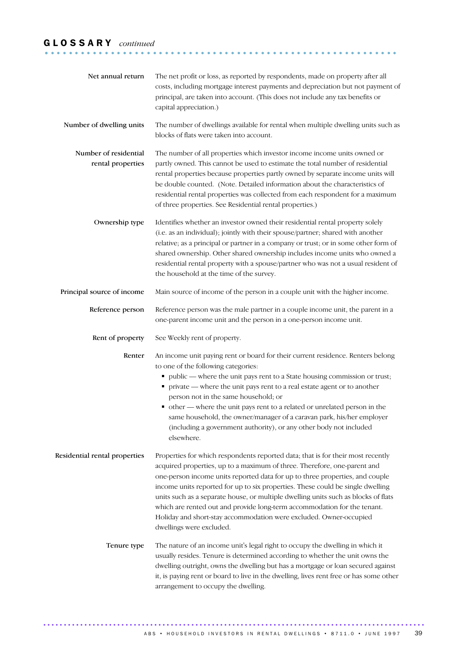# G L O S S A R Y *continued* ........................................................... .

| Net annual return                          | The net profit or loss, as reported by respondents, made on property after all<br>costs, including mortgage interest payments and depreciation but not payment of<br>principal, are taken into account. (This does not include any tax benefits or<br>capital appreciation.)                                                                                                                                                                                                                                                                                                                      |  |
|--------------------------------------------|---------------------------------------------------------------------------------------------------------------------------------------------------------------------------------------------------------------------------------------------------------------------------------------------------------------------------------------------------------------------------------------------------------------------------------------------------------------------------------------------------------------------------------------------------------------------------------------------------|--|
| Number of dwelling units                   | The number of dwellings available for rental when multiple dwelling units such as<br>blocks of flats were taken into account.                                                                                                                                                                                                                                                                                                                                                                                                                                                                     |  |
| Number of residential<br>rental properties | The number of all properties which investor income income units owned or<br>partly owned. This cannot be used to estimate the total number of residential<br>rental properties because properties partly owned by separate income units will<br>be double counted. (Note. Detailed information about the characteristics of<br>residential rental properties was collected from each respondent for a maximum<br>of three properties. See Residential rental properties.)                                                                                                                         |  |
| Ownership type                             | Identifies whether an investor owned their residential rental property solely<br>(i.e. as an individual); jointly with their spouse/partner; shared with another<br>relative; as a principal or partner in a company or trust; or in some other form of<br>shared ownership. Other shared ownership includes income units who owned a<br>residential rental property with a spouse/partner who was not a usual resident of<br>the household at the time of the survey.                                                                                                                            |  |
| Principal source of income                 | Main source of income of the person in a couple unit with the higher income.                                                                                                                                                                                                                                                                                                                                                                                                                                                                                                                      |  |
| Reference person                           | Reference person was the male partner in a couple income unit, the parent in a<br>one-parent income unit and the person in a one-person income unit.                                                                                                                                                                                                                                                                                                                                                                                                                                              |  |
| Rent of property                           | See Weekly rent of property.                                                                                                                                                                                                                                                                                                                                                                                                                                                                                                                                                                      |  |
| Renter                                     | An income unit paying rent or board for their current residence. Renters belong<br>to one of the following categories:<br>public - where the unit pays rent to a State housing commission or trust;<br>• private — where the unit pays rent to a real estate agent or to another<br>person not in the same household; or<br>• other - where the unit pays rent to a related or unrelated person in the<br>same household, the owner/manager of a caravan park, his/her employer<br>(including a government authority), or any other body not included<br>elsewhere.                               |  |
| Residential rental properties              | Properties for which respondents reported data; that is for their most recently<br>acquired properties, up to a maximum of three. Therefore, one-parent and<br>one-person income units reported data for up to three properties, and couple<br>income units reported for up to six properties. These could be single dwelling<br>units such as a separate house, or multiple dwelling units such as blocks of flats<br>which are rented out and provide long-term accommodation for the tenant.<br>Holiday and short-stay accommodation were excluded. Owner-occupied<br>dwellings were excluded. |  |
| Tenure type                                | The nature of an income unit's legal right to occupy the dwelling in which it<br>usually resides. Tenure is determined according to whether the unit owns the<br>dwelling outright, owns the dwelling but has a mortgage or loan secured against<br>it, is paying rent or board to live in the dwelling, lives rent free or has some other<br>arrangement to occupy the dwelling.                                                                                                                                                                                                                 |  |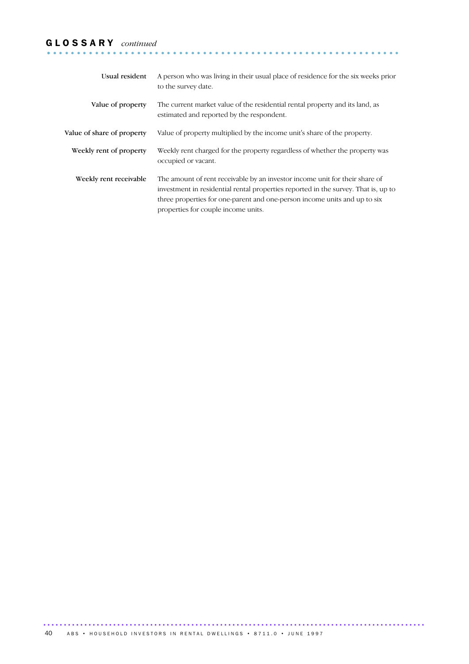# G L O S S A R Y *continued* ........................................................... .

| Usual resident             | A person who was living in their usual place of residence for the six weeks prior<br>to the survey date.                                                                                                                                                                              |
|----------------------------|---------------------------------------------------------------------------------------------------------------------------------------------------------------------------------------------------------------------------------------------------------------------------------------|
| Value of property          | The current market value of the residential rental property and its land, as<br>estimated and reported by the respondent.                                                                                                                                                             |
| Value of share of property | Value of property multiplied by the income unit's share of the property.                                                                                                                                                                                                              |
| Weekly rent of property    | Weekly rent charged for the property regardless of whether the property was<br>occupied or vacant.                                                                                                                                                                                    |
| Weekly rent receivable     | The amount of rent receivable by an investor income unit for their share of<br>investment in residential rental properties reported in the survey. That is, up to<br>three properties for one-parent and one-person income units and up to six<br>properties for couple income units. |